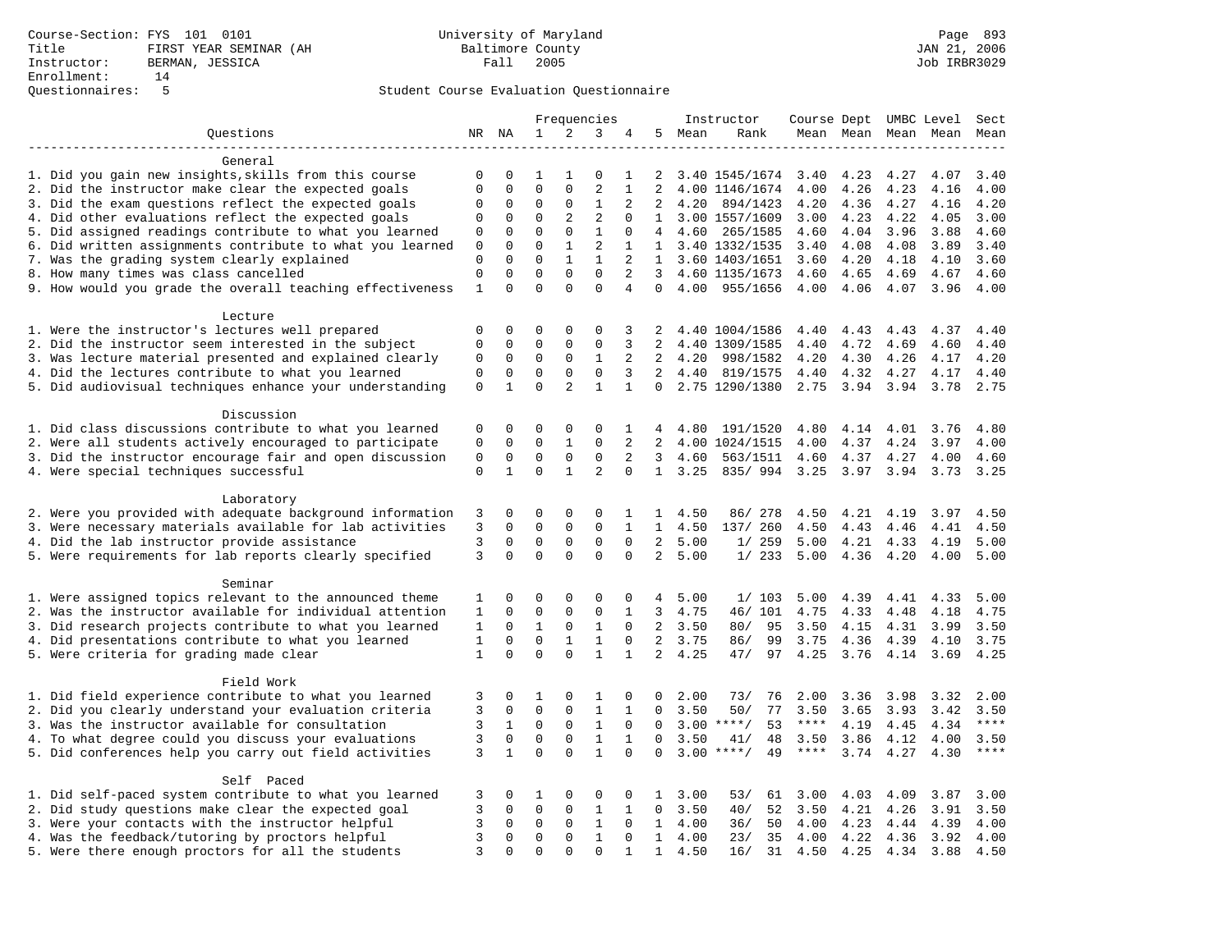| 2<br>3<br>Ouestions<br>NR NA<br>1<br>5<br>Mean<br>4<br>Rank<br>Mean Mean<br>Mean Mean<br>Mean<br>General<br>1. Did you gain new insights, skills from this course<br>$\mathbf 0$<br>0<br>0<br>3.40 1545/1674<br>3.40<br>4.23<br>4.27<br>4.07<br>3.40<br>1<br>1<br>1<br>2<br>$\mathbf{0}$<br>$\overline{2}$<br>2. Did the instructor make clear the expected goals<br>$\mathbf 0$<br>$\mathbf 0$<br>$\mathbf 0$<br>$\mathbf{1}$<br>2<br>4.00<br>4.00 1146/1674<br>4.00<br>4.26<br>4.23<br>4.16<br>3. Did the exam questions reflect the expected goals<br>0<br>0<br>0<br>1<br>2<br>2<br>4.20<br>894/1423<br>4.20<br>4.36<br>4.27<br>4.16<br>4.20<br>0<br>$\sqrt{2}$<br>4. Did other evaluations reflect the expected goals<br>$\mathbf{0}$<br>2<br>$\mathbf 0$<br>$\mathbf 0$<br>$\Omega$<br>$\mathbf{1}$<br>3.00 1557/1609<br>3.00<br>4.23<br>4.22<br>4.05<br>3.00<br>5. Did assigned readings contribute to what you learned<br>$\mathbf 0$<br>$\mathbf 0$<br>$\mathbf 0$<br>$\mathbf{1}$<br>$\mathbf 0$<br>4.60<br>4.60<br>4.04<br>3.88<br>4.60<br>0<br>4<br>265/1585<br>3.96<br>6. Did written assignments contribute to what you learned<br>$\mathbf 0$<br>$\Omega$<br>$\mathbf{1}$<br>2<br>4.08<br>3.89<br>0<br>$\mathbf 1$<br>1 3.40 1332/1535<br>3.40<br>4.08<br>3.40<br>7. Was the grading system clearly explained<br>$\mathsf 0$<br>$\mathbf 0$<br>$\mathbf 0$<br>$\mathbf{1}$<br>2<br>1<br>3.60 1403/1651<br>3.60<br>4.20<br>4.18<br>4.10<br>3.60<br>$\mathbf{1}$<br>8. How many times was class cancelled<br>$\mathbf{0}$<br>$\mathbf 0$<br>$\mathbf 0$<br>2<br>$\mathbf 0$<br>$\mathbf 0$<br>$\mathbf{3}$<br>4.60 1135/1673<br>4.60<br>4.65<br>4.69<br>4.67<br>4.60<br>$\Omega$<br>$\Omega$<br>$\Omega$<br>9. How would you grade the overall teaching effectiveness<br>$\mathbf{1}$<br>$\Omega$<br>$\Omega$<br>4<br>4.00<br>955/1656<br>4.00<br>4.06<br>4.07<br>3.96<br>4.00<br>Lecture<br>1. Were the instructor's lectures well prepared<br>$\Omega$<br>$\mathbf 0$<br>$\Omega$<br>$\mathbf 0$<br>$\Omega$<br>4.40 1004/1586<br>4.40<br>4.43<br>4.43<br>4.37<br>3<br>2<br>4.40<br>2. Did the instructor seem interested in the subject<br>$\mathbf 0$<br>$\mathbf 0$<br>$\mathbf 0$<br>$\mathbf 0$<br>$\mathbf{0}$<br>3<br>2<br>4.40 1309/1585<br>4.72<br>4.40<br>4.69<br>4.60<br>4.40<br>3. Was lecture material presented and explained clearly<br>$\mathbf 0$<br>0<br>0<br>0<br>1<br>2<br>2<br>4.20<br>998/1582<br>4.20<br>4.30<br>4.26<br>4.17<br>4.20<br>4. Did the lectures contribute to what you learned<br>$\mathsf{O}\xspace$<br>$\mathsf 0$<br>$\mathsf 0$<br>$\mathsf 0$<br>$\mathsf{O}$<br>3<br>2, 4.40<br>819/1575<br>4.40<br>4.32<br>4.27<br>4.17<br>4.40<br>5. Did audiovisual techniques enhance your understanding<br>$\mathbf 0$<br>$\Omega$<br>$\overline{a}$<br>$\mathbf{1}$<br>$\mathbf{1}$<br>$\mathbf{1}$<br>$\Omega$<br>2.75 1290/1380<br>2.75<br>3.94 3.94<br>3.78<br>2.75<br>Discussion<br>1. Did class discussions contribute to what you learned<br>$\mathbf{0}$<br>$\mathbf 0$<br>$\mathbf 0$<br>0<br>$\Omega$<br>$\mathbf{1}$<br>4.80<br>191/1520<br>4.80<br>4.14<br>4.01<br>3.76<br>4.80<br>4<br>2. Were all students actively encouraged to participate<br>$\mathbf 0$<br>$\Omega$<br>$\mathbf 0$<br>$\mathbf{1}$<br>$\mathbf{0}$<br>2<br>2<br>4.00 1024/1515<br>4.00<br>4.37<br>4.00<br>4.24<br>3.97<br>3. Did the instructor encourage fair and open discussion<br>$\mathsf 0$<br>$\mathbf 0$<br>$\mathbf{0}$<br>$\mathbf 0$<br>$\mathbf{0}$<br>$\mathbf{3}$<br>563/1511<br>4.60<br>4.37 4.27<br>2<br>4.60<br>4.00<br>4.60<br>4. Were special techniques successful<br>$\mathsf 0$<br>$\mathbf{1}$<br>$\mathbf 0$<br>$\overline{2}$<br>1<br>0<br>1, 3.25<br>835/994<br>3.25<br>3.97<br>3.94<br>3.73<br>3.25<br>Laboratory<br>2. Were you provided with adequate background information<br>$\mathbf 0$<br>4.50<br>86/ 278<br>4.50<br>4.21<br>4.19<br>3<br>0<br>0<br>0<br>1<br>1<br>3.97<br>4.50<br>3. Were necessary materials available for lab activities<br>3<br>$\mathbf{0}$<br>$\mathbf 0$<br>137/ 260<br>4.50<br>0<br>$\mathbf 0$<br>$\mathbf{1}$<br>$1 \quad 4.50$<br>4.43<br>4.46<br>4.41<br>4.50<br>4. Did the lab instructor provide assistance<br>3<br>$\mathbf 0$<br>$\Omega$<br>$\mathbf 0$<br>$\mathbf{0}$<br>$\Omega$<br>2<br>5.00<br>1/259<br>5.00<br>4.21<br>4.33<br>4.19<br>5.00<br>5. Were requirements for lab reports clearly specified<br>3<br>$\Omega$<br>$\Omega$<br>$\Omega$<br>$\Omega$<br>$\overline{2}$<br>$\Omega$<br>5.00<br>1/233<br>5.00<br>4.36<br>4.20<br>4.00<br>5.00<br>Seminar<br>1. Were assigned topics relevant to the announced theme<br>$\mathbf 0$<br>$\mathbf{0}$<br>$\mathbf 0$<br>$\mathbf{0}$<br>5.00<br>1/103<br>5.00<br>4.39<br>4.41<br>5.00<br>1<br>$\mathbf 0$<br>4<br>4.33<br>2. Was the instructor available for individual attention<br>$\Omega$<br>$\mathbf{0}$<br>$\mathbf 0$<br>$\mathbf{0}$<br>46/ 101<br>1<br>1<br>3<br>4.75<br>4.75<br>4.33<br>4.48<br>4.18<br>4.75<br>3. Did research projects contribute to what you learned<br>$\mathbf{1}$<br>$\mathsf{O}$<br>$\mathbf{1}$<br>$\mathbf 0$<br>2<br>3.50<br>95<br>1<br>0<br>80/<br>3.50<br>4.15<br>4.31<br>3.99<br>3.50<br>4. Did presentations contribute to what you learned<br>$\mathsf 0$<br>$\mathsf 0$<br>$\mathbf{1}$<br>$\mathbf{1}$<br>2, 3.75<br>1<br>0<br>86/<br>99<br>3.75<br>4.36<br>4.39<br>4.10<br>3.75<br>$\Omega$<br>$\Omega$<br>$\Omega$<br>$\mathbf{1}$<br>$\overline{2}$<br>4.25<br>5. Were criteria for grading made clear<br>$\mathbf{1}$<br>$\mathbf{1}$<br>47/<br>97<br>4.25<br>3.76<br>3.69<br>4.25<br>4.14<br>Field Work<br>1. Did field experience contribute to what you learned<br>$\mathsf 0$<br>73/<br>76<br>2.00<br>3<br>0<br>1<br>1<br>0<br>$\Omega$<br>2.00<br>2.00<br>3.36<br>3.98<br>3.32<br>2. Did you clearly understand your evaluation criteria<br>$\overline{3}$<br>$\mathbf 0$<br>$\mathbf 0$<br>$\mathbf 0$<br>$\mathbf{1}$<br>77<br>$\mathbf{1}$<br>0<br>3.50<br>50/<br>3.50<br>3.65<br>3.93<br>3.42<br>3.50<br>$\overline{3}$<br>3. Was the instructor available for consultation<br>$\mathbf{1}$<br>$\mathbf 0$<br>$\mathbf 0$<br>$\mathbf{1}$<br>$3.00$ ****/<br>53<br>$***$ * * *<br>4.34<br>$***$<br>$\mathbf 0$<br>$\Omega$<br>4.19<br>4.45<br>4. To what degree could you discuss your evaluations<br>3<br>$\mathbf 0$<br>$\mathbf{0}$<br>$\mathbf 0$<br>$\mathbf{1}$<br>3.50<br>$\mathbf{1}$<br>0<br>3.50<br>41/<br>48<br>3.86<br>4.12<br>4.00<br>3.50<br>5. Did conferences help you carry out field activities<br>$\mathbf{1}$<br>$\Omega$<br>$\Omega$<br>$***$ * * *<br>3<br>$\mathbf{1}$<br>$\Omega$<br>$\Omega$<br>3.00<br>$***$ /<br>49<br>3.74<br>4.27<br>4.30<br>****<br>Self Paced<br>1. Did self-paced system contribute to what you learned<br>3.00<br>4.03<br>3<br>0<br>1<br>0<br>0<br>0<br>1<br>53/<br>61<br>3.00<br>4.09<br>3.87<br>3.00<br>2. Did study questions make clear the expected goal<br>3<br>$\mathbf 0$<br>$\mathbf 0$<br>$\mathbf 0$<br>$\mathbf{1}$<br>$\mathbf{1}$<br>$\Omega$<br>3.50<br>40/<br>52<br>3.50<br>4.21<br>4.26<br>3.91<br>3.50<br>3. Were your contacts with the instructor helpful<br>3<br>$\mathbf 0$<br>$\Omega$<br>$\Omega$<br>$\mathbf{1}$<br>4.00<br>50<br>4.00<br>$\Omega$<br>$\mathbf{1}$<br>36/<br>4.23<br>4.44<br>4.39<br>4.00<br>$\mathbf{1}$<br>4. Was the feedback/tutoring by proctors helpful<br>3<br>$\mathbf 0$<br>$\mathbf 0$<br>$\mathbf 0$<br>$\mathbf{1}$<br>35<br>4.22<br>$\Omega$<br>4.00<br>23/<br>4.00<br>4.36<br>3.92<br>4.00<br>5. Were there enough proctors for all the students<br>3<br>$\mathbf{0}$<br>$\mathbf 0$<br>0<br>$\Omega$<br>1<br>$\mathbf{1}$<br>4.50<br>16/<br>31<br>4.50<br>4.25<br>4.34<br>3.88<br>4.50 |  |  | Frequencies |  | Instructor | Course Dept UMBC Level |  | Sect |
|--------------------------------------------------------------------------------------------------------------------------------------------------------------------------------------------------------------------------------------------------------------------------------------------------------------------------------------------------------------------------------------------------------------------------------------------------------------------------------------------------------------------------------------------------------------------------------------------------------------------------------------------------------------------------------------------------------------------------------------------------------------------------------------------------------------------------------------------------------------------------------------------------------------------------------------------------------------------------------------------------------------------------------------------------------------------------------------------------------------------------------------------------------------------------------------------------------------------------------------------------------------------------------------------------------------------------------------------------------------------------------------------------------------------------------------------------------------------------------------------------------------------------------------------------------------------------------------------------------------------------------------------------------------------------------------------------------------------------------------------------------------------------------------------------------------------------------------------------------------------------------------------------------------------------------------------------------------------------------------------------------------------------------------------------------------------------------------------------------------------------------------------------------------------------------------------------------------------------------------------------------------------------------------------------------------------------------------------------------------------------------------------------------------------------------------------------------------------------------------------------------------------------------------------------------------------------------------------------------------------------------------------------------------------------------------------------------------------------------------------------------------------------------------------------------------------------------------------------------------------------------------------------------------------------------------------------------------------------------------------------------------------------------------------------------------------------------------------------------------------------------------------------------------------------------------------------------------------------------------------------------------------------------------------------------------------------------------------------------------------------------------------------------------------------------------------------------------------------------------------------------------------------------------------------------------------------------------------------------------------------------------------------------------------------------------------------------------------------------------------------------------------------------------------------------------------------------------------------------------------------------------------------------------------------------------------------------------------------------------------------------------------------------------------------------------------------------------------------------------------------------------------------------------------------------------------------------------------------------------------------------------------------------------------------------------------------------------------------------------------------------------------------------------------------------------------------------------------------------------------------------------------------------------------------------------------------------------------------------------------------------------------------------------------------------------------------------------------------------------------------------------------------------------------------------------------------------------------------------------------------------------------------------------------------------------------------------------------------------------------------------------------------------------------------------------------------------------------------------------------------------------------------------------------------------------------------------------------------------------------------------------------------------------------------------------------------------------------------------------------------------------------------------------------------------------------------------------------------------------------------------------------------------------------------------------------------------------------------------------------------------------------------------------------------------------------------------------------------------------------------------------------------------------------------------------------------------------------------------------------------------------------------------------------------------------------------------------------------------------------------------------------------------------------------------------------------------------------------------------------------------------------------------------------------------------------------------------------------------------------------------------------------------------------------------------------------------------------------------------------------------------------------------------------------------------------------------------------------------------------------------------------------------------------------------------------------------------------------------------------------------------------------------------------------------------------------------------------------------------------------------------------------------------------------------------------------------------------------------------------------------------------------------------------------------------------------------------------------------------------------------------------------------------------------------------------------------------------------------------------------------------------------------------------------------------------------------------------------------------------------------------------------------------------------------------------------------------------------------------------------------------------------------------------------------------------------------------------------------------------------------------------------------------------------------------------------------------------------------------------------------------------------------------------------------------------------------------------|--|--|-------------|--|------------|------------------------|--|------|
|                                                                                                                                                                                                                                                                                                                                                                                                                                                                                                                                                                                                                                                                                                                                                                                                                                                                                                                                                                                                                                                                                                                                                                                                                                                                                                                                                                                                                                                                                                                                                                                                                                                                                                                                                                                                                                                                                                                                                                                                                                                                                                                                                                                                                                                                                                                                                                                                                                                                                                                                                                                                                                                                                                                                                                                                                                                                                                                                                                                                                                                                                                                                                                                                                                                                                                                                                                                                                                                                                                                                                                                                                                                                                                                                                                                                                                                                                                                                                                                                                                                                                                                                                                                                                                                                                                                                                                                                                                                                                                                                                                                                                                                                                                                                                                                                                                                                                                                                                                                                                                                                                                                                                                                                                                                                                                                                                                                                                                                                                                                                                                                                                                                                                                                                                                                                                                                                                                                                                                                                                                                                                                                                                                                                                                                                                                                                                                                                                                                                                                                                                                                                                                                                                                                                                                                                                                                                                                                                                                                                                                                                                                                                                                                                                                                                                                                                                                                                                                                                                                                                                                                                                                                                                                                    |  |  |             |  |            |                        |  |      |
|                                                                                                                                                                                                                                                                                                                                                                                                                                                                                                                                                                                                                                                                                                                                                                                                                                                                                                                                                                                                                                                                                                                                                                                                                                                                                                                                                                                                                                                                                                                                                                                                                                                                                                                                                                                                                                                                                                                                                                                                                                                                                                                                                                                                                                                                                                                                                                                                                                                                                                                                                                                                                                                                                                                                                                                                                                                                                                                                                                                                                                                                                                                                                                                                                                                                                                                                                                                                                                                                                                                                                                                                                                                                                                                                                                                                                                                                                                                                                                                                                                                                                                                                                                                                                                                                                                                                                                                                                                                                                                                                                                                                                                                                                                                                                                                                                                                                                                                                                                                                                                                                                                                                                                                                                                                                                                                                                                                                                                                                                                                                                                                                                                                                                                                                                                                                                                                                                                                                                                                                                                                                                                                                                                                                                                                                                                                                                                                                                                                                                                                                                                                                                                                                                                                                                                                                                                                                                                                                                                                                                                                                                                                                                                                                                                                                                                                                                                                                                                                                                                                                                                                                                                                                                                                    |  |  |             |  |            |                        |  |      |
|                                                                                                                                                                                                                                                                                                                                                                                                                                                                                                                                                                                                                                                                                                                                                                                                                                                                                                                                                                                                                                                                                                                                                                                                                                                                                                                                                                                                                                                                                                                                                                                                                                                                                                                                                                                                                                                                                                                                                                                                                                                                                                                                                                                                                                                                                                                                                                                                                                                                                                                                                                                                                                                                                                                                                                                                                                                                                                                                                                                                                                                                                                                                                                                                                                                                                                                                                                                                                                                                                                                                                                                                                                                                                                                                                                                                                                                                                                                                                                                                                                                                                                                                                                                                                                                                                                                                                                                                                                                                                                                                                                                                                                                                                                                                                                                                                                                                                                                                                                                                                                                                                                                                                                                                                                                                                                                                                                                                                                                                                                                                                                                                                                                                                                                                                                                                                                                                                                                                                                                                                                                                                                                                                                                                                                                                                                                                                                                                                                                                                                                                                                                                                                                                                                                                                                                                                                                                                                                                                                                                                                                                                                                                                                                                                                                                                                                                                                                                                                                                                                                                                                                                                                                                                                                    |  |  |             |  |            |                        |  |      |
|                                                                                                                                                                                                                                                                                                                                                                                                                                                                                                                                                                                                                                                                                                                                                                                                                                                                                                                                                                                                                                                                                                                                                                                                                                                                                                                                                                                                                                                                                                                                                                                                                                                                                                                                                                                                                                                                                                                                                                                                                                                                                                                                                                                                                                                                                                                                                                                                                                                                                                                                                                                                                                                                                                                                                                                                                                                                                                                                                                                                                                                                                                                                                                                                                                                                                                                                                                                                                                                                                                                                                                                                                                                                                                                                                                                                                                                                                                                                                                                                                                                                                                                                                                                                                                                                                                                                                                                                                                                                                                                                                                                                                                                                                                                                                                                                                                                                                                                                                                                                                                                                                                                                                                                                                                                                                                                                                                                                                                                                                                                                                                                                                                                                                                                                                                                                                                                                                                                                                                                                                                                                                                                                                                                                                                                                                                                                                                                                                                                                                                                                                                                                                                                                                                                                                                                                                                                                                                                                                                                                                                                                                                                                                                                                                                                                                                                                                                                                                                                                                                                                                                                                                                                                                                                    |  |  |             |  |            |                        |  |      |
|                                                                                                                                                                                                                                                                                                                                                                                                                                                                                                                                                                                                                                                                                                                                                                                                                                                                                                                                                                                                                                                                                                                                                                                                                                                                                                                                                                                                                                                                                                                                                                                                                                                                                                                                                                                                                                                                                                                                                                                                                                                                                                                                                                                                                                                                                                                                                                                                                                                                                                                                                                                                                                                                                                                                                                                                                                                                                                                                                                                                                                                                                                                                                                                                                                                                                                                                                                                                                                                                                                                                                                                                                                                                                                                                                                                                                                                                                                                                                                                                                                                                                                                                                                                                                                                                                                                                                                                                                                                                                                                                                                                                                                                                                                                                                                                                                                                                                                                                                                                                                                                                                                                                                                                                                                                                                                                                                                                                                                                                                                                                                                                                                                                                                                                                                                                                                                                                                                                                                                                                                                                                                                                                                                                                                                                                                                                                                                                                                                                                                                                                                                                                                                                                                                                                                                                                                                                                                                                                                                                                                                                                                                                                                                                                                                                                                                                                                                                                                                                                                                                                                                                                                                                                                                                    |  |  |             |  |            |                        |  |      |
|                                                                                                                                                                                                                                                                                                                                                                                                                                                                                                                                                                                                                                                                                                                                                                                                                                                                                                                                                                                                                                                                                                                                                                                                                                                                                                                                                                                                                                                                                                                                                                                                                                                                                                                                                                                                                                                                                                                                                                                                                                                                                                                                                                                                                                                                                                                                                                                                                                                                                                                                                                                                                                                                                                                                                                                                                                                                                                                                                                                                                                                                                                                                                                                                                                                                                                                                                                                                                                                                                                                                                                                                                                                                                                                                                                                                                                                                                                                                                                                                                                                                                                                                                                                                                                                                                                                                                                                                                                                                                                                                                                                                                                                                                                                                                                                                                                                                                                                                                                                                                                                                                                                                                                                                                                                                                                                                                                                                                                                                                                                                                                                                                                                                                                                                                                                                                                                                                                                                                                                                                                                                                                                                                                                                                                                                                                                                                                                                                                                                                                                                                                                                                                                                                                                                                                                                                                                                                                                                                                                                                                                                                                                                                                                                                                                                                                                                                                                                                                                                                                                                                                                                                                                                                                                    |  |  |             |  |            |                        |  |      |
|                                                                                                                                                                                                                                                                                                                                                                                                                                                                                                                                                                                                                                                                                                                                                                                                                                                                                                                                                                                                                                                                                                                                                                                                                                                                                                                                                                                                                                                                                                                                                                                                                                                                                                                                                                                                                                                                                                                                                                                                                                                                                                                                                                                                                                                                                                                                                                                                                                                                                                                                                                                                                                                                                                                                                                                                                                                                                                                                                                                                                                                                                                                                                                                                                                                                                                                                                                                                                                                                                                                                                                                                                                                                                                                                                                                                                                                                                                                                                                                                                                                                                                                                                                                                                                                                                                                                                                                                                                                                                                                                                                                                                                                                                                                                                                                                                                                                                                                                                                                                                                                                                                                                                                                                                                                                                                                                                                                                                                                                                                                                                                                                                                                                                                                                                                                                                                                                                                                                                                                                                                                                                                                                                                                                                                                                                                                                                                                                                                                                                                                                                                                                                                                                                                                                                                                                                                                                                                                                                                                                                                                                                                                                                                                                                                                                                                                                                                                                                                                                                                                                                                                                                                                                                                                    |  |  |             |  |            |                        |  |      |
|                                                                                                                                                                                                                                                                                                                                                                                                                                                                                                                                                                                                                                                                                                                                                                                                                                                                                                                                                                                                                                                                                                                                                                                                                                                                                                                                                                                                                                                                                                                                                                                                                                                                                                                                                                                                                                                                                                                                                                                                                                                                                                                                                                                                                                                                                                                                                                                                                                                                                                                                                                                                                                                                                                                                                                                                                                                                                                                                                                                                                                                                                                                                                                                                                                                                                                                                                                                                                                                                                                                                                                                                                                                                                                                                                                                                                                                                                                                                                                                                                                                                                                                                                                                                                                                                                                                                                                                                                                                                                                                                                                                                                                                                                                                                                                                                                                                                                                                                                                                                                                                                                                                                                                                                                                                                                                                                                                                                                                                                                                                                                                                                                                                                                                                                                                                                                                                                                                                                                                                                                                                                                                                                                                                                                                                                                                                                                                                                                                                                                                                                                                                                                                                                                                                                                                                                                                                                                                                                                                                                                                                                                                                                                                                                                                                                                                                                                                                                                                                                                                                                                                                                                                                                                                                    |  |  |             |  |            |                        |  |      |
|                                                                                                                                                                                                                                                                                                                                                                                                                                                                                                                                                                                                                                                                                                                                                                                                                                                                                                                                                                                                                                                                                                                                                                                                                                                                                                                                                                                                                                                                                                                                                                                                                                                                                                                                                                                                                                                                                                                                                                                                                                                                                                                                                                                                                                                                                                                                                                                                                                                                                                                                                                                                                                                                                                                                                                                                                                                                                                                                                                                                                                                                                                                                                                                                                                                                                                                                                                                                                                                                                                                                                                                                                                                                                                                                                                                                                                                                                                                                                                                                                                                                                                                                                                                                                                                                                                                                                                                                                                                                                                                                                                                                                                                                                                                                                                                                                                                                                                                                                                                                                                                                                                                                                                                                                                                                                                                                                                                                                                                                                                                                                                                                                                                                                                                                                                                                                                                                                                                                                                                                                                                                                                                                                                                                                                                                                                                                                                                                                                                                                                                                                                                                                                                                                                                                                                                                                                                                                                                                                                                                                                                                                                                                                                                                                                                                                                                                                                                                                                                                                                                                                                                                                                                                                                                    |  |  |             |  |            |                        |  |      |
|                                                                                                                                                                                                                                                                                                                                                                                                                                                                                                                                                                                                                                                                                                                                                                                                                                                                                                                                                                                                                                                                                                                                                                                                                                                                                                                                                                                                                                                                                                                                                                                                                                                                                                                                                                                                                                                                                                                                                                                                                                                                                                                                                                                                                                                                                                                                                                                                                                                                                                                                                                                                                                                                                                                                                                                                                                                                                                                                                                                                                                                                                                                                                                                                                                                                                                                                                                                                                                                                                                                                                                                                                                                                                                                                                                                                                                                                                                                                                                                                                                                                                                                                                                                                                                                                                                                                                                                                                                                                                                                                                                                                                                                                                                                                                                                                                                                                                                                                                                                                                                                                                                                                                                                                                                                                                                                                                                                                                                                                                                                                                                                                                                                                                                                                                                                                                                                                                                                                                                                                                                                                                                                                                                                                                                                                                                                                                                                                                                                                                                                                                                                                                                                                                                                                                                                                                                                                                                                                                                                                                                                                                                                                                                                                                                                                                                                                                                                                                                                                                                                                                                                                                                                                                                                    |  |  |             |  |            |                        |  |      |
|                                                                                                                                                                                                                                                                                                                                                                                                                                                                                                                                                                                                                                                                                                                                                                                                                                                                                                                                                                                                                                                                                                                                                                                                                                                                                                                                                                                                                                                                                                                                                                                                                                                                                                                                                                                                                                                                                                                                                                                                                                                                                                                                                                                                                                                                                                                                                                                                                                                                                                                                                                                                                                                                                                                                                                                                                                                                                                                                                                                                                                                                                                                                                                                                                                                                                                                                                                                                                                                                                                                                                                                                                                                                                                                                                                                                                                                                                                                                                                                                                                                                                                                                                                                                                                                                                                                                                                                                                                                                                                                                                                                                                                                                                                                                                                                                                                                                                                                                                                                                                                                                                                                                                                                                                                                                                                                                                                                                                                                                                                                                                                                                                                                                                                                                                                                                                                                                                                                                                                                                                                                                                                                                                                                                                                                                                                                                                                                                                                                                                                                                                                                                                                                                                                                                                                                                                                                                                                                                                                                                                                                                                                                                                                                                                                                                                                                                                                                                                                                                                                                                                                                                                                                                                                                    |  |  |             |  |            |                        |  |      |
|                                                                                                                                                                                                                                                                                                                                                                                                                                                                                                                                                                                                                                                                                                                                                                                                                                                                                                                                                                                                                                                                                                                                                                                                                                                                                                                                                                                                                                                                                                                                                                                                                                                                                                                                                                                                                                                                                                                                                                                                                                                                                                                                                                                                                                                                                                                                                                                                                                                                                                                                                                                                                                                                                                                                                                                                                                                                                                                                                                                                                                                                                                                                                                                                                                                                                                                                                                                                                                                                                                                                                                                                                                                                                                                                                                                                                                                                                                                                                                                                                                                                                                                                                                                                                                                                                                                                                                                                                                                                                                                                                                                                                                                                                                                                                                                                                                                                                                                                                                                                                                                                                                                                                                                                                                                                                                                                                                                                                                                                                                                                                                                                                                                                                                                                                                                                                                                                                                                                                                                                                                                                                                                                                                                                                                                                                                                                                                                                                                                                                                                                                                                                                                                                                                                                                                                                                                                                                                                                                                                                                                                                                                                                                                                                                                                                                                                                                                                                                                                                                                                                                                                                                                                                                                                    |  |  |             |  |            |                        |  |      |
|                                                                                                                                                                                                                                                                                                                                                                                                                                                                                                                                                                                                                                                                                                                                                                                                                                                                                                                                                                                                                                                                                                                                                                                                                                                                                                                                                                                                                                                                                                                                                                                                                                                                                                                                                                                                                                                                                                                                                                                                                                                                                                                                                                                                                                                                                                                                                                                                                                                                                                                                                                                                                                                                                                                                                                                                                                                                                                                                                                                                                                                                                                                                                                                                                                                                                                                                                                                                                                                                                                                                                                                                                                                                                                                                                                                                                                                                                                                                                                                                                                                                                                                                                                                                                                                                                                                                                                                                                                                                                                                                                                                                                                                                                                                                                                                                                                                                                                                                                                                                                                                                                                                                                                                                                                                                                                                                                                                                                                                                                                                                                                                                                                                                                                                                                                                                                                                                                                                                                                                                                                                                                                                                                                                                                                                                                                                                                                                                                                                                                                                                                                                                                                                                                                                                                                                                                                                                                                                                                                                                                                                                                                                                                                                                                                                                                                                                                                                                                                                                                                                                                                                                                                                                                                                    |  |  |             |  |            |                        |  |      |
|                                                                                                                                                                                                                                                                                                                                                                                                                                                                                                                                                                                                                                                                                                                                                                                                                                                                                                                                                                                                                                                                                                                                                                                                                                                                                                                                                                                                                                                                                                                                                                                                                                                                                                                                                                                                                                                                                                                                                                                                                                                                                                                                                                                                                                                                                                                                                                                                                                                                                                                                                                                                                                                                                                                                                                                                                                                                                                                                                                                                                                                                                                                                                                                                                                                                                                                                                                                                                                                                                                                                                                                                                                                                                                                                                                                                                                                                                                                                                                                                                                                                                                                                                                                                                                                                                                                                                                                                                                                                                                                                                                                                                                                                                                                                                                                                                                                                                                                                                                                                                                                                                                                                                                                                                                                                                                                                                                                                                                                                                                                                                                                                                                                                                                                                                                                                                                                                                                                                                                                                                                                                                                                                                                                                                                                                                                                                                                                                                                                                                                                                                                                                                                                                                                                                                                                                                                                                                                                                                                                                                                                                                                                                                                                                                                                                                                                                                                                                                                                                                                                                                                                                                                                                                                                    |  |  |             |  |            |                        |  |      |
|                                                                                                                                                                                                                                                                                                                                                                                                                                                                                                                                                                                                                                                                                                                                                                                                                                                                                                                                                                                                                                                                                                                                                                                                                                                                                                                                                                                                                                                                                                                                                                                                                                                                                                                                                                                                                                                                                                                                                                                                                                                                                                                                                                                                                                                                                                                                                                                                                                                                                                                                                                                                                                                                                                                                                                                                                                                                                                                                                                                                                                                                                                                                                                                                                                                                                                                                                                                                                                                                                                                                                                                                                                                                                                                                                                                                                                                                                                                                                                                                                                                                                                                                                                                                                                                                                                                                                                                                                                                                                                                                                                                                                                                                                                                                                                                                                                                                                                                                                                                                                                                                                                                                                                                                                                                                                                                                                                                                                                                                                                                                                                                                                                                                                                                                                                                                                                                                                                                                                                                                                                                                                                                                                                                                                                                                                                                                                                                                                                                                                                                                                                                                                                                                                                                                                                                                                                                                                                                                                                                                                                                                                                                                                                                                                                                                                                                                                                                                                                                                                                                                                                                                                                                                                                                    |  |  |             |  |            |                        |  |      |
|                                                                                                                                                                                                                                                                                                                                                                                                                                                                                                                                                                                                                                                                                                                                                                                                                                                                                                                                                                                                                                                                                                                                                                                                                                                                                                                                                                                                                                                                                                                                                                                                                                                                                                                                                                                                                                                                                                                                                                                                                                                                                                                                                                                                                                                                                                                                                                                                                                                                                                                                                                                                                                                                                                                                                                                                                                                                                                                                                                                                                                                                                                                                                                                                                                                                                                                                                                                                                                                                                                                                                                                                                                                                                                                                                                                                                                                                                                                                                                                                                                                                                                                                                                                                                                                                                                                                                                                                                                                                                                                                                                                                                                                                                                                                                                                                                                                                                                                                                                                                                                                                                                                                                                                                                                                                                                                                                                                                                                                                                                                                                                                                                                                                                                                                                                                                                                                                                                                                                                                                                                                                                                                                                                                                                                                                                                                                                                                                                                                                                                                                                                                                                                                                                                                                                                                                                                                                                                                                                                                                                                                                                                                                                                                                                                                                                                                                                                                                                                                                                                                                                                                                                                                                                                                    |  |  |             |  |            |                        |  |      |
|                                                                                                                                                                                                                                                                                                                                                                                                                                                                                                                                                                                                                                                                                                                                                                                                                                                                                                                                                                                                                                                                                                                                                                                                                                                                                                                                                                                                                                                                                                                                                                                                                                                                                                                                                                                                                                                                                                                                                                                                                                                                                                                                                                                                                                                                                                                                                                                                                                                                                                                                                                                                                                                                                                                                                                                                                                                                                                                                                                                                                                                                                                                                                                                                                                                                                                                                                                                                                                                                                                                                                                                                                                                                                                                                                                                                                                                                                                                                                                                                                                                                                                                                                                                                                                                                                                                                                                                                                                                                                                                                                                                                                                                                                                                                                                                                                                                                                                                                                                                                                                                                                                                                                                                                                                                                                                                                                                                                                                                                                                                                                                                                                                                                                                                                                                                                                                                                                                                                                                                                                                                                                                                                                                                                                                                                                                                                                                                                                                                                                                                                                                                                                                                                                                                                                                                                                                                                                                                                                                                                                                                                                                                                                                                                                                                                                                                                                                                                                                                                                                                                                                                                                                                                                                                    |  |  |             |  |            |                        |  |      |
|                                                                                                                                                                                                                                                                                                                                                                                                                                                                                                                                                                                                                                                                                                                                                                                                                                                                                                                                                                                                                                                                                                                                                                                                                                                                                                                                                                                                                                                                                                                                                                                                                                                                                                                                                                                                                                                                                                                                                                                                                                                                                                                                                                                                                                                                                                                                                                                                                                                                                                                                                                                                                                                                                                                                                                                                                                                                                                                                                                                                                                                                                                                                                                                                                                                                                                                                                                                                                                                                                                                                                                                                                                                                                                                                                                                                                                                                                                                                                                                                                                                                                                                                                                                                                                                                                                                                                                                                                                                                                                                                                                                                                                                                                                                                                                                                                                                                                                                                                                                                                                                                                                                                                                                                                                                                                                                                                                                                                                                                                                                                                                                                                                                                                                                                                                                                                                                                                                                                                                                                                                                                                                                                                                                                                                                                                                                                                                                                                                                                                                                                                                                                                                                                                                                                                                                                                                                                                                                                                                                                                                                                                                                                                                                                                                                                                                                                                                                                                                                                                                                                                                                                                                                                                                                    |  |  |             |  |            |                        |  |      |
|                                                                                                                                                                                                                                                                                                                                                                                                                                                                                                                                                                                                                                                                                                                                                                                                                                                                                                                                                                                                                                                                                                                                                                                                                                                                                                                                                                                                                                                                                                                                                                                                                                                                                                                                                                                                                                                                                                                                                                                                                                                                                                                                                                                                                                                                                                                                                                                                                                                                                                                                                                                                                                                                                                                                                                                                                                                                                                                                                                                                                                                                                                                                                                                                                                                                                                                                                                                                                                                                                                                                                                                                                                                                                                                                                                                                                                                                                                                                                                                                                                                                                                                                                                                                                                                                                                                                                                                                                                                                                                                                                                                                                                                                                                                                                                                                                                                                                                                                                                                                                                                                                                                                                                                                                                                                                                                                                                                                                                                                                                                                                                                                                                                                                                                                                                                                                                                                                                                                                                                                                                                                                                                                                                                                                                                                                                                                                                                                                                                                                                                                                                                                                                                                                                                                                                                                                                                                                                                                                                                                                                                                                                                                                                                                                                                                                                                                                                                                                                                                                                                                                                                                                                                                                                                    |  |  |             |  |            |                        |  |      |
|                                                                                                                                                                                                                                                                                                                                                                                                                                                                                                                                                                                                                                                                                                                                                                                                                                                                                                                                                                                                                                                                                                                                                                                                                                                                                                                                                                                                                                                                                                                                                                                                                                                                                                                                                                                                                                                                                                                                                                                                                                                                                                                                                                                                                                                                                                                                                                                                                                                                                                                                                                                                                                                                                                                                                                                                                                                                                                                                                                                                                                                                                                                                                                                                                                                                                                                                                                                                                                                                                                                                                                                                                                                                                                                                                                                                                                                                                                                                                                                                                                                                                                                                                                                                                                                                                                                                                                                                                                                                                                                                                                                                                                                                                                                                                                                                                                                                                                                                                                                                                                                                                                                                                                                                                                                                                                                                                                                                                                                                                                                                                                                                                                                                                                                                                                                                                                                                                                                                                                                                                                                                                                                                                                                                                                                                                                                                                                                                                                                                                                                                                                                                                                                                                                                                                                                                                                                                                                                                                                                                                                                                                                                                                                                                                                                                                                                                                                                                                                                                                                                                                                                                                                                                                                                    |  |  |             |  |            |                        |  |      |
|                                                                                                                                                                                                                                                                                                                                                                                                                                                                                                                                                                                                                                                                                                                                                                                                                                                                                                                                                                                                                                                                                                                                                                                                                                                                                                                                                                                                                                                                                                                                                                                                                                                                                                                                                                                                                                                                                                                                                                                                                                                                                                                                                                                                                                                                                                                                                                                                                                                                                                                                                                                                                                                                                                                                                                                                                                                                                                                                                                                                                                                                                                                                                                                                                                                                                                                                                                                                                                                                                                                                                                                                                                                                                                                                                                                                                                                                                                                                                                                                                                                                                                                                                                                                                                                                                                                                                                                                                                                                                                                                                                                                                                                                                                                                                                                                                                                                                                                                                                                                                                                                                                                                                                                                                                                                                                                                                                                                                                                                                                                                                                                                                                                                                                                                                                                                                                                                                                                                                                                                                                                                                                                                                                                                                                                                                                                                                                                                                                                                                                                                                                                                                                                                                                                                                                                                                                                                                                                                                                                                                                                                                                                                                                                                                                                                                                                                                                                                                                                                                                                                                                                                                                                                                                                    |  |  |             |  |            |                        |  |      |
|                                                                                                                                                                                                                                                                                                                                                                                                                                                                                                                                                                                                                                                                                                                                                                                                                                                                                                                                                                                                                                                                                                                                                                                                                                                                                                                                                                                                                                                                                                                                                                                                                                                                                                                                                                                                                                                                                                                                                                                                                                                                                                                                                                                                                                                                                                                                                                                                                                                                                                                                                                                                                                                                                                                                                                                                                                                                                                                                                                                                                                                                                                                                                                                                                                                                                                                                                                                                                                                                                                                                                                                                                                                                                                                                                                                                                                                                                                                                                                                                                                                                                                                                                                                                                                                                                                                                                                                                                                                                                                                                                                                                                                                                                                                                                                                                                                                                                                                                                                                                                                                                                                                                                                                                                                                                                                                                                                                                                                                                                                                                                                                                                                                                                                                                                                                                                                                                                                                                                                                                                                                                                                                                                                                                                                                                                                                                                                                                                                                                                                                                                                                                                                                                                                                                                                                                                                                                                                                                                                                                                                                                                                                                                                                                                                                                                                                                                                                                                                                                                                                                                                                                                                                                                                                    |  |  |             |  |            |                        |  |      |
|                                                                                                                                                                                                                                                                                                                                                                                                                                                                                                                                                                                                                                                                                                                                                                                                                                                                                                                                                                                                                                                                                                                                                                                                                                                                                                                                                                                                                                                                                                                                                                                                                                                                                                                                                                                                                                                                                                                                                                                                                                                                                                                                                                                                                                                                                                                                                                                                                                                                                                                                                                                                                                                                                                                                                                                                                                                                                                                                                                                                                                                                                                                                                                                                                                                                                                                                                                                                                                                                                                                                                                                                                                                                                                                                                                                                                                                                                                                                                                                                                                                                                                                                                                                                                                                                                                                                                                                                                                                                                                                                                                                                                                                                                                                                                                                                                                                                                                                                                                                                                                                                                                                                                                                                                                                                                                                                                                                                                                                                                                                                                                                                                                                                                                                                                                                                                                                                                                                                                                                                                                                                                                                                                                                                                                                                                                                                                                                                                                                                                                                                                                                                                                                                                                                                                                                                                                                                                                                                                                                                                                                                                                                                                                                                                                                                                                                                                                                                                                                                                                                                                                                                                                                                                                                    |  |  |             |  |            |                        |  |      |
|                                                                                                                                                                                                                                                                                                                                                                                                                                                                                                                                                                                                                                                                                                                                                                                                                                                                                                                                                                                                                                                                                                                                                                                                                                                                                                                                                                                                                                                                                                                                                                                                                                                                                                                                                                                                                                                                                                                                                                                                                                                                                                                                                                                                                                                                                                                                                                                                                                                                                                                                                                                                                                                                                                                                                                                                                                                                                                                                                                                                                                                                                                                                                                                                                                                                                                                                                                                                                                                                                                                                                                                                                                                                                                                                                                                                                                                                                                                                                                                                                                                                                                                                                                                                                                                                                                                                                                                                                                                                                                                                                                                                                                                                                                                                                                                                                                                                                                                                                                                                                                                                                                                                                                                                                                                                                                                                                                                                                                                                                                                                                                                                                                                                                                                                                                                                                                                                                                                                                                                                                                                                                                                                                                                                                                                                                                                                                                                                                                                                                                                                                                                                                                                                                                                                                                                                                                                                                                                                                                                                                                                                                                                                                                                                                                                                                                                                                                                                                                                                                                                                                                                                                                                                                                                    |  |  |             |  |            |                        |  |      |
|                                                                                                                                                                                                                                                                                                                                                                                                                                                                                                                                                                                                                                                                                                                                                                                                                                                                                                                                                                                                                                                                                                                                                                                                                                                                                                                                                                                                                                                                                                                                                                                                                                                                                                                                                                                                                                                                                                                                                                                                                                                                                                                                                                                                                                                                                                                                                                                                                                                                                                                                                                                                                                                                                                                                                                                                                                                                                                                                                                                                                                                                                                                                                                                                                                                                                                                                                                                                                                                                                                                                                                                                                                                                                                                                                                                                                                                                                                                                                                                                                                                                                                                                                                                                                                                                                                                                                                                                                                                                                                                                                                                                                                                                                                                                                                                                                                                                                                                                                                                                                                                                                                                                                                                                                                                                                                                                                                                                                                                                                                                                                                                                                                                                                                                                                                                                                                                                                                                                                                                                                                                                                                                                                                                                                                                                                                                                                                                                                                                                                                                                                                                                                                                                                                                                                                                                                                                                                                                                                                                                                                                                                                                                                                                                                                                                                                                                                                                                                                                                                                                                                                                                                                                                                                                    |  |  |             |  |            |                        |  |      |
|                                                                                                                                                                                                                                                                                                                                                                                                                                                                                                                                                                                                                                                                                                                                                                                                                                                                                                                                                                                                                                                                                                                                                                                                                                                                                                                                                                                                                                                                                                                                                                                                                                                                                                                                                                                                                                                                                                                                                                                                                                                                                                                                                                                                                                                                                                                                                                                                                                                                                                                                                                                                                                                                                                                                                                                                                                                                                                                                                                                                                                                                                                                                                                                                                                                                                                                                                                                                                                                                                                                                                                                                                                                                                                                                                                                                                                                                                                                                                                                                                                                                                                                                                                                                                                                                                                                                                                                                                                                                                                                                                                                                                                                                                                                                                                                                                                                                                                                                                                                                                                                                                                                                                                                                                                                                                                                                                                                                                                                                                                                                                                                                                                                                                                                                                                                                                                                                                                                                                                                                                                                                                                                                                                                                                                                                                                                                                                                                                                                                                                                                                                                                                                                                                                                                                                                                                                                                                                                                                                                                                                                                                                                                                                                                                                                                                                                                                                                                                                                                                                                                                                                                                                                                                                                    |  |  |             |  |            |                        |  |      |
|                                                                                                                                                                                                                                                                                                                                                                                                                                                                                                                                                                                                                                                                                                                                                                                                                                                                                                                                                                                                                                                                                                                                                                                                                                                                                                                                                                                                                                                                                                                                                                                                                                                                                                                                                                                                                                                                                                                                                                                                                                                                                                                                                                                                                                                                                                                                                                                                                                                                                                                                                                                                                                                                                                                                                                                                                                                                                                                                                                                                                                                                                                                                                                                                                                                                                                                                                                                                                                                                                                                                                                                                                                                                                                                                                                                                                                                                                                                                                                                                                                                                                                                                                                                                                                                                                                                                                                                                                                                                                                                                                                                                                                                                                                                                                                                                                                                                                                                                                                                                                                                                                                                                                                                                                                                                                                                                                                                                                                                                                                                                                                                                                                                                                                                                                                                                                                                                                                                                                                                                                                                                                                                                                                                                                                                                                                                                                                                                                                                                                                                                                                                                                                                                                                                                                                                                                                                                                                                                                                                                                                                                                                                                                                                                                                                                                                                                                                                                                                                                                                                                                                                                                                                                                                                    |  |  |             |  |            |                        |  |      |
|                                                                                                                                                                                                                                                                                                                                                                                                                                                                                                                                                                                                                                                                                                                                                                                                                                                                                                                                                                                                                                                                                                                                                                                                                                                                                                                                                                                                                                                                                                                                                                                                                                                                                                                                                                                                                                                                                                                                                                                                                                                                                                                                                                                                                                                                                                                                                                                                                                                                                                                                                                                                                                                                                                                                                                                                                                                                                                                                                                                                                                                                                                                                                                                                                                                                                                                                                                                                                                                                                                                                                                                                                                                                                                                                                                                                                                                                                                                                                                                                                                                                                                                                                                                                                                                                                                                                                                                                                                                                                                                                                                                                                                                                                                                                                                                                                                                                                                                                                                                                                                                                                                                                                                                                                                                                                                                                                                                                                                                                                                                                                                                                                                                                                                                                                                                                                                                                                                                                                                                                                                                                                                                                                                                                                                                                                                                                                                                                                                                                                                                                                                                                                                                                                                                                                                                                                                                                                                                                                                                                                                                                                                                                                                                                                                                                                                                                                                                                                                                                                                                                                                                                                                                                                                                    |  |  |             |  |            |                        |  |      |
|                                                                                                                                                                                                                                                                                                                                                                                                                                                                                                                                                                                                                                                                                                                                                                                                                                                                                                                                                                                                                                                                                                                                                                                                                                                                                                                                                                                                                                                                                                                                                                                                                                                                                                                                                                                                                                                                                                                                                                                                                                                                                                                                                                                                                                                                                                                                                                                                                                                                                                                                                                                                                                                                                                                                                                                                                                                                                                                                                                                                                                                                                                                                                                                                                                                                                                                                                                                                                                                                                                                                                                                                                                                                                                                                                                                                                                                                                                                                                                                                                                                                                                                                                                                                                                                                                                                                                                                                                                                                                                                                                                                                                                                                                                                                                                                                                                                                                                                                                                                                                                                                                                                                                                                                                                                                                                                                                                                                                                                                                                                                                                                                                                                                                                                                                                                                                                                                                                                                                                                                                                                                                                                                                                                                                                                                                                                                                                                                                                                                                                                                                                                                                                                                                                                                                                                                                                                                                                                                                                                                                                                                                                                                                                                                                                                                                                                                                                                                                                                                                                                                                                                                                                                                                                                    |  |  |             |  |            |                        |  |      |
|                                                                                                                                                                                                                                                                                                                                                                                                                                                                                                                                                                                                                                                                                                                                                                                                                                                                                                                                                                                                                                                                                                                                                                                                                                                                                                                                                                                                                                                                                                                                                                                                                                                                                                                                                                                                                                                                                                                                                                                                                                                                                                                                                                                                                                                                                                                                                                                                                                                                                                                                                                                                                                                                                                                                                                                                                                                                                                                                                                                                                                                                                                                                                                                                                                                                                                                                                                                                                                                                                                                                                                                                                                                                                                                                                                                                                                                                                                                                                                                                                                                                                                                                                                                                                                                                                                                                                                                                                                                                                                                                                                                                                                                                                                                                                                                                                                                                                                                                                                                                                                                                                                                                                                                                                                                                                                                                                                                                                                                                                                                                                                                                                                                                                                                                                                                                                                                                                                                                                                                                                                                                                                                                                                                                                                                                                                                                                                                                                                                                                                                                                                                                                                                                                                                                                                                                                                                                                                                                                                                                                                                                                                                                                                                                                                                                                                                                                                                                                                                                                                                                                                                                                                                                                                                    |  |  |             |  |            |                        |  |      |
|                                                                                                                                                                                                                                                                                                                                                                                                                                                                                                                                                                                                                                                                                                                                                                                                                                                                                                                                                                                                                                                                                                                                                                                                                                                                                                                                                                                                                                                                                                                                                                                                                                                                                                                                                                                                                                                                                                                                                                                                                                                                                                                                                                                                                                                                                                                                                                                                                                                                                                                                                                                                                                                                                                                                                                                                                                                                                                                                                                                                                                                                                                                                                                                                                                                                                                                                                                                                                                                                                                                                                                                                                                                                                                                                                                                                                                                                                                                                                                                                                                                                                                                                                                                                                                                                                                                                                                                                                                                                                                                                                                                                                                                                                                                                                                                                                                                                                                                                                                                                                                                                                                                                                                                                                                                                                                                                                                                                                                                                                                                                                                                                                                                                                                                                                                                                                                                                                                                                                                                                                                                                                                                                                                                                                                                                                                                                                                                                                                                                                                                                                                                                                                                                                                                                                                                                                                                                                                                                                                                                                                                                                                                                                                                                                                                                                                                                                                                                                                                                                                                                                                                                                                                                                                                    |  |  |             |  |            |                        |  |      |
|                                                                                                                                                                                                                                                                                                                                                                                                                                                                                                                                                                                                                                                                                                                                                                                                                                                                                                                                                                                                                                                                                                                                                                                                                                                                                                                                                                                                                                                                                                                                                                                                                                                                                                                                                                                                                                                                                                                                                                                                                                                                                                                                                                                                                                                                                                                                                                                                                                                                                                                                                                                                                                                                                                                                                                                                                                                                                                                                                                                                                                                                                                                                                                                                                                                                                                                                                                                                                                                                                                                                                                                                                                                                                                                                                                                                                                                                                                                                                                                                                                                                                                                                                                                                                                                                                                                                                                                                                                                                                                                                                                                                                                                                                                                                                                                                                                                                                                                                                                                                                                                                                                                                                                                                                                                                                                                                                                                                                                                                                                                                                                                                                                                                                                                                                                                                                                                                                                                                                                                                                                                                                                                                                                                                                                                                                                                                                                                                                                                                                                                                                                                                                                                                                                                                                                                                                                                                                                                                                                                                                                                                                                                                                                                                                                                                                                                                                                                                                                                                                                                                                                                                                                                                                                                    |  |  |             |  |            |                        |  |      |
|                                                                                                                                                                                                                                                                                                                                                                                                                                                                                                                                                                                                                                                                                                                                                                                                                                                                                                                                                                                                                                                                                                                                                                                                                                                                                                                                                                                                                                                                                                                                                                                                                                                                                                                                                                                                                                                                                                                                                                                                                                                                                                                                                                                                                                                                                                                                                                                                                                                                                                                                                                                                                                                                                                                                                                                                                                                                                                                                                                                                                                                                                                                                                                                                                                                                                                                                                                                                                                                                                                                                                                                                                                                                                                                                                                                                                                                                                                                                                                                                                                                                                                                                                                                                                                                                                                                                                                                                                                                                                                                                                                                                                                                                                                                                                                                                                                                                                                                                                                                                                                                                                                                                                                                                                                                                                                                                                                                                                                                                                                                                                                                                                                                                                                                                                                                                                                                                                                                                                                                                                                                                                                                                                                                                                                                                                                                                                                                                                                                                                                                                                                                                                                                                                                                                                                                                                                                                                                                                                                                                                                                                                                                                                                                                                                                                                                                                                                                                                                                                                                                                                                                                                                                                                                                    |  |  |             |  |            |                        |  |      |
|                                                                                                                                                                                                                                                                                                                                                                                                                                                                                                                                                                                                                                                                                                                                                                                                                                                                                                                                                                                                                                                                                                                                                                                                                                                                                                                                                                                                                                                                                                                                                                                                                                                                                                                                                                                                                                                                                                                                                                                                                                                                                                                                                                                                                                                                                                                                                                                                                                                                                                                                                                                                                                                                                                                                                                                                                                                                                                                                                                                                                                                                                                                                                                                                                                                                                                                                                                                                                                                                                                                                                                                                                                                                                                                                                                                                                                                                                                                                                                                                                                                                                                                                                                                                                                                                                                                                                                                                                                                                                                                                                                                                                                                                                                                                                                                                                                                                                                                                                                                                                                                                                                                                                                                                                                                                                                                                                                                                                                                                                                                                                                                                                                                                                                                                                                                                                                                                                                                                                                                                                                                                                                                                                                                                                                                                                                                                                                                                                                                                                                                                                                                                                                                                                                                                                                                                                                                                                                                                                                                                                                                                                                                                                                                                                                                                                                                                                                                                                                                                                                                                                                                                                                                                                                                    |  |  |             |  |            |                        |  |      |
|                                                                                                                                                                                                                                                                                                                                                                                                                                                                                                                                                                                                                                                                                                                                                                                                                                                                                                                                                                                                                                                                                                                                                                                                                                                                                                                                                                                                                                                                                                                                                                                                                                                                                                                                                                                                                                                                                                                                                                                                                                                                                                                                                                                                                                                                                                                                                                                                                                                                                                                                                                                                                                                                                                                                                                                                                                                                                                                                                                                                                                                                                                                                                                                                                                                                                                                                                                                                                                                                                                                                                                                                                                                                                                                                                                                                                                                                                                                                                                                                                                                                                                                                                                                                                                                                                                                                                                                                                                                                                                                                                                                                                                                                                                                                                                                                                                                                                                                                                                                                                                                                                                                                                                                                                                                                                                                                                                                                                                                                                                                                                                                                                                                                                                                                                                                                                                                                                                                                                                                                                                                                                                                                                                                                                                                                                                                                                                                                                                                                                                                                                                                                                                                                                                                                                                                                                                                                                                                                                                                                                                                                                                                                                                                                                                                                                                                                                                                                                                                                                                                                                                                                                                                                                                                    |  |  |             |  |            |                        |  |      |
|                                                                                                                                                                                                                                                                                                                                                                                                                                                                                                                                                                                                                                                                                                                                                                                                                                                                                                                                                                                                                                                                                                                                                                                                                                                                                                                                                                                                                                                                                                                                                                                                                                                                                                                                                                                                                                                                                                                                                                                                                                                                                                                                                                                                                                                                                                                                                                                                                                                                                                                                                                                                                                                                                                                                                                                                                                                                                                                                                                                                                                                                                                                                                                                                                                                                                                                                                                                                                                                                                                                                                                                                                                                                                                                                                                                                                                                                                                                                                                                                                                                                                                                                                                                                                                                                                                                                                                                                                                                                                                                                                                                                                                                                                                                                                                                                                                                                                                                                                                                                                                                                                                                                                                                                                                                                                                                                                                                                                                                                                                                                                                                                                                                                                                                                                                                                                                                                                                                                                                                                                                                                                                                                                                                                                                                                                                                                                                                                                                                                                                                                                                                                                                                                                                                                                                                                                                                                                                                                                                                                                                                                                                                                                                                                                                                                                                                                                                                                                                                                                                                                                                                                                                                                                                                    |  |  |             |  |            |                        |  |      |
|                                                                                                                                                                                                                                                                                                                                                                                                                                                                                                                                                                                                                                                                                                                                                                                                                                                                                                                                                                                                                                                                                                                                                                                                                                                                                                                                                                                                                                                                                                                                                                                                                                                                                                                                                                                                                                                                                                                                                                                                                                                                                                                                                                                                                                                                                                                                                                                                                                                                                                                                                                                                                                                                                                                                                                                                                                                                                                                                                                                                                                                                                                                                                                                                                                                                                                                                                                                                                                                                                                                                                                                                                                                                                                                                                                                                                                                                                                                                                                                                                                                                                                                                                                                                                                                                                                                                                                                                                                                                                                                                                                                                                                                                                                                                                                                                                                                                                                                                                                                                                                                                                                                                                                                                                                                                                                                                                                                                                                                                                                                                                                                                                                                                                                                                                                                                                                                                                                                                                                                                                                                                                                                                                                                                                                                                                                                                                                                                                                                                                                                                                                                                                                                                                                                                                                                                                                                                                                                                                                                                                                                                                                                                                                                                                                                                                                                                                                                                                                                                                                                                                                                                                                                                                                                    |  |  |             |  |            |                        |  |      |
|                                                                                                                                                                                                                                                                                                                                                                                                                                                                                                                                                                                                                                                                                                                                                                                                                                                                                                                                                                                                                                                                                                                                                                                                                                                                                                                                                                                                                                                                                                                                                                                                                                                                                                                                                                                                                                                                                                                                                                                                                                                                                                                                                                                                                                                                                                                                                                                                                                                                                                                                                                                                                                                                                                                                                                                                                                                                                                                                                                                                                                                                                                                                                                                                                                                                                                                                                                                                                                                                                                                                                                                                                                                                                                                                                                                                                                                                                                                                                                                                                                                                                                                                                                                                                                                                                                                                                                                                                                                                                                                                                                                                                                                                                                                                                                                                                                                                                                                                                                                                                                                                                                                                                                                                                                                                                                                                                                                                                                                                                                                                                                                                                                                                                                                                                                                                                                                                                                                                                                                                                                                                                                                                                                                                                                                                                                                                                                                                                                                                                                                                                                                                                                                                                                                                                                                                                                                                                                                                                                                                                                                                                                                                                                                                                                                                                                                                                                                                                                                                                                                                                                                                                                                                                                                    |  |  |             |  |            |                        |  |      |
|                                                                                                                                                                                                                                                                                                                                                                                                                                                                                                                                                                                                                                                                                                                                                                                                                                                                                                                                                                                                                                                                                                                                                                                                                                                                                                                                                                                                                                                                                                                                                                                                                                                                                                                                                                                                                                                                                                                                                                                                                                                                                                                                                                                                                                                                                                                                                                                                                                                                                                                                                                                                                                                                                                                                                                                                                                                                                                                                                                                                                                                                                                                                                                                                                                                                                                                                                                                                                                                                                                                                                                                                                                                                                                                                                                                                                                                                                                                                                                                                                                                                                                                                                                                                                                                                                                                                                                                                                                                                                                                                                                                                                                                                                                                                                                                                                                                                                                                                                                                                                                                                                                                                                                                                                                                                                                                                                                                                                                                                                                                                                                                                                                                                                                                                                                                                                                                                                                                                                                                                                                                                                                                                                                                                                                                                                                                                                                                                                                                                                                                                                                                                                                                                                                                                                                                                                                                                                                                                                                                                                                                                                                                                                                                                                                                                                                                                                                                                                                                                                                                                                                                                                                                                                                                    |  |  |             |  |            |                        |  |      |
|                                                                                                                                                                                                                                                                                                                                                                                                                                                                                                                                                                                                                                                                                                                                                                                                                                                                                                                                                                                                                                                                                                                                                                                                                                                                                                                                                                                                                                                                                                                                                                                                                                                                                                                                                                                                                                                                                                                                                                                                                                                                                                                                                                                                                                                                                                                                                                                                                                                                                                                                                                                                                                                                                                                                                                                                                                                                                                                                                                                                                                                                                                                                                                                                                                                                                                                                                                                                                                                                                                                                                                                                                                                                                                                                                                                                                                                                                                                                                                                                                                                                                                                                                                                                                                                                                                                                                                                                                                                                                                                                                                                                                                                                                                                                                                                                                                                                                                                                                                                                                                                                                                                                                                                                                                                                                                                                                                                                                                                                                                                                                                                                                                                                                                                                                                                                                                                                                                                                                                                                                                                                                                                                                                                                                                                                                                                                                                                                                                                                                                                                                                                                                                                                                                                                                                                                                                                                                                                                                                                                                                                                                                                                                                                                                                                                                                                                                                                                                                                                                                                                                                                                                                                                                                                    |  |  |             |  |            |                        |  |      |
|                                                                                                                                                                                                                                                                                                                                                                                                                                                                                                                                                                                                                                                                                                                                                                                                                                                                                                                                                                                                                                                                                                                                                                                                                                                                                                                                                                                                                                                                                                                                                                                                                                                                                                                                                                                                                                                                                                                                                                                                                                                                                                                                                                                                                                                                                                                                                                                                                                                                                                                                                                                                                                                                                                                                                                                                                                                                                                                                                                                                                                                                                                                                                                                                                                                                                                                                                                                                                                                                                                                                                                                                                                                                                                                                                                                                                                                                                                                                                                                                                                                                                                                                                                                                                                                                                                                                                                                                                                                                                                                                                                                                                                                                                                                                                                                                                                                                                                                                                                                                                                                                                                                                                                                                                                                                                                                                                                                                                                                                                                                                                                                                                                                                                                                                                                                                                                                                                                                                                                                                                                                                                                                                                                                                                                                                                                                                                                                                                                                                                                                                                                                                                                                                                                                                                                                                                                                                                                                                                                                                                                                                                                                                                                                                                                                                                                                                                                                                                                                                                                                                                                                                                                                                                                                    |  |  |             |  |            |                        |  |      |
|                                                                                                                                                                                                                                                                                                                                                                                                                                                                                                                                                                                                                                                                                                                                                                                                                                                                                                                                                                                                                                                                                                                                                                                                                                                                                                                                                                                                                                                                                                                                                                                                                                                                                                                                                                                                                                                                                                                                                                                                                                                                                                                                                                                                                                                                                                                                                                                                                                                                                                                                                                                                                                                                                                                                                                                                                                                                                                                                                                                                                                                                                                                                                                                                                                                                                                                                                                                                                                                                                                                                                                                                                                                                                                                                                                                                                                                                                                                                                                                                                                                                                                                                                                                                                                                                                                                                                                                                                                                                                                                                                                                                                                                                                                                                                                                                                                                                                                                                                                                                                                                                                                                                                                                                                                                                                                                                                                                                                                                                                                                                                                                                                                                                                                                                                                                                                                                                                                                                                                                                                                                                                                                                                                                                                                                                                                                                                                                                                                                                                                                                                                                                                                                                                                                                                                                                                                                                                                                                                                                                                                                                                                                                                                                                                                                                                                                                                                                                                                                                                                                                                                                                                                                                                                                    |  |  |             |  |            |                        |  |      |
|                                                                                                                                                                                                                                                                                                                                                                                                                                                                                                                                                                                                                                                                                                                                                                                                                                                                                                                                                                                                                                                                                                                                                                                                                                                                                                                                                                                                                                                                                                                                                                                                                                                                                                                                                                                                                                                                                                                                                                                                                                                                                                                                                                                                                                                                                                                                                                                                                                                                                                                                                                                                                                                                                                                                                                                                                                                                                                                                                                                                                                                                                                                                                                                                                                                                                                                                                                                                                                                                                                                                                                                                                                                                                                                                                                                                                                                                                                                                                                                                                                                                                                                                                                                                                                                                                                                                                                                                                                                                                                                                                                                                                                                                                                                                                                                                                                                                                                                                                                                                                                                                                                                                                                                                                                                                                                                                                                                                                                                                                                                                                                                                                                                                                                                                                                                                                                                                                                                                                                                                                                                                                                                                                                                                                                                                                                                                                                                                                                                                                                                                                                                                                                                                                                                                                                                                                                                                                                                                                                                                                                                                                                                                                                                                                                                                                                                                                                                                                                                                                                                                                                                                                                                                                                                    |  |  |             |  |            |                        |  |      |
|                                                                                                                                                                                                                                                                                                                                                                                                                                                                                                                                                                                                                                                                                                                                                                                                                                                                                                                                                                                                                                                                                                                                                                                                                                                                                                                                                                                                                                                                                                                                                                                                                                                                                                                                                                                                                                                                                                                                                                                                                                                                                                                                                                                                                                                                                                                                                                                                                                                                                                                                                                                                                                                                                                                                                                                                                                                                                                                                                                                                                                                                                                                                                                                                                                                                                                                                                                                                                                                                                                                                                                                                                                                                                                                                                                                                                                                                                                                                                                                                                                                                                                                                                                                                                                                                                                                                                                                                                                                                                                                                                                                                                                                                                                                                                                                                                                                                                                                                                                                                                                                                                                                                                                                                                                                                                                                                                                                                                                                                                                                                                                                                                                                                                                                                                                                                                                                                                                                                                                                                                                                                                                                                                                                                                                                                                                                                                                                                                                                                                                                                                                                                                                                                                                                                                                                                                                                                                                                                                                                                                                                                                                                                                                                                                                                                                                                                                                                                                                                                                                                                                                                                                                                                                                                    |  |  |             |  |            |                        |  |      |
|                                                                                                                                                                                                                                                                                                                                                                                                                                                                                                                                                                                                                                                                                                                                                                                                                                                                                                                                                                                                                                                                                                                                                                                                                                                                                                                                                                                                                                                                                                                                                                                                                                                                                                                                                                                                                                                                                                                                                                                                                                                                                                                                                                                                                                                                                                                                                                                                                                                                                                                                                                                                                                                                                                                                                                                                                                                                                                                                                                                                                                                                                                                                                                                                                                                                                                                                                                                                                                                                                                                                                                                                                                                                                                                                                                                                                                                                                                                                                                                                                                                                                                                                                                                                                                                                                                                                                                                                                                                                                                                                                                                                                                                                                                                                                                                                                                                                                                                                                                                                                                                                                                                                                                                                                                                                                                                                                                                                                                                                                                                                                                                                                                                                                                                                                                                                                                                                                                                                                                                                                                                                                                                                                                                                                                                                                                                                                                                                                                                                                                                                                                                                                                                                                                                                                                                                                                                                                                                                                                                                                                                                                                                                                                                                                                                                                                                                                                                                                                                                                                                                                                                                                                                                                                                    |  |  |             |  |            |                        |  |      |
|                                                                                                                                                                                                                                                                                                                                                                                                                                                                                                                                                                                                                                                                                                                                                                                                                                                                                                                                                                                                                                                                                                                                                                                                                                                                                                                                                                                                                                                                                                                                                                                                                                                                                                                                                                                                                                                                                                                                                                                                                                                                                                                                                                                                                                                                                                                                                                                                                                                                                                                                                                                                                                                                                                                                                                                                                                                                                                                                                                                                                                                                                                                                                                                                                                                                                                                                                                                                                                                                                                                                                                                                                                                                                                                                                                                                                                                                                                                                                                                                                                                                                                                                                                                                                                                                                                                                                                                                                                                                                                                                                                                                                                                                                                                                                                                                                                                                                                                                                                                                                                                                                                                                                                                                                                                                                                                                                                                                                                                                                                                                                                                                                                                                                                                                                                                                                                                                                                                                                                                                                                                                                                                                                                                                                                                                                                                                                                                                                                                                                                                                                                                                                                                                                                                                                                                                                                                                                                                                                                                                                                                                                                                                                                                                                                                                                                                                                                                                                                                                                                                                                                                                                                                                                                                    |  |  |             |  |            |                        |  |      |
|                                                                                                                                                                                                                                                                                                                                                                                                                                                                                                                                                                                                                                                                                                                                                                                                                                                                                                                                                                                                                                                                                                                                                                                                                                                                                                                                                                                                                                                                                                                                                                                                                                                                                                                                                                                                                                                                                                                                                                                                                                                                                                                                                                                                                                                                                                                                                                                                                                                                                                                                                                                                                                                                                                                                                                                                                                                                                                                                                                                                                                                                                                                                                                                                                                                                                                                                                                                                                                                                                                                                                                                                                                                                                                                                                                                                                                                                                                                                                                                                                                                                                                                                                                                                                                                                                                                                                                                                                                                                                                                                                                                                                                                                                                                                                                                                                                                                                                                                                                                                                                                                                                                                                                                                                                                                                                                                                                                                                                                                                                                                                                                                                                                                                                                                                                                                                                                                                                                                                                                                                                                                                                                                                                                                                                                                                                                                                                                                                                                                                                                                                                                                                                                                                                                                                                                                                                                                                                                                                                                                                                                                                                                                                                                                                                                                                                                                                                                                                                                                                                                                                                                                                                                                                                                    |  |  |             |  |            |                        |  |      |
|                                                                                                                                                                                                                                                                                                                                                                                                                                                                                                                                                                                                                                                                                                                                                                                                                                                                                                                                                                                                                                                                                                                                                                                                                                                                                                                                                                                                                                                                                                                                                                                                                                                                                                                                                                                                                                                                                                                                                                                                                                                                                                                                                                                                                                                                                                                                                                                                                                                                                                                                                                                                                                                                                                                                                                                                                                                                                                                                                                                                                                                                                                                                                                                                                                                                                                                                                                                                                                                                                                                                                                                                                                                                                                                                                                                                                                                                                                                                                                                                                                                                                                                                                                                                                                                                                                                                                                                                                                                                                                                                                                                                                                                                                                                                                                                                                                                                                                                                                                                                                                                                                                                                                                                                                                                                                                                                                                                                                                                                                                                                                                                                                                                                                                                                                                                                                                                                                                                                                                                                                                                                                                                                                                                                                                                                                                                                                                                                                                                                                                                                                                                                                                                                                                                                                                                                                                                                                                                                                                                                                                                                                                                                                                                                                                                                                                                                                                                                                                                                                                                                                                                                                                                                                                                    |  |  |             |  |            |                        |  |      |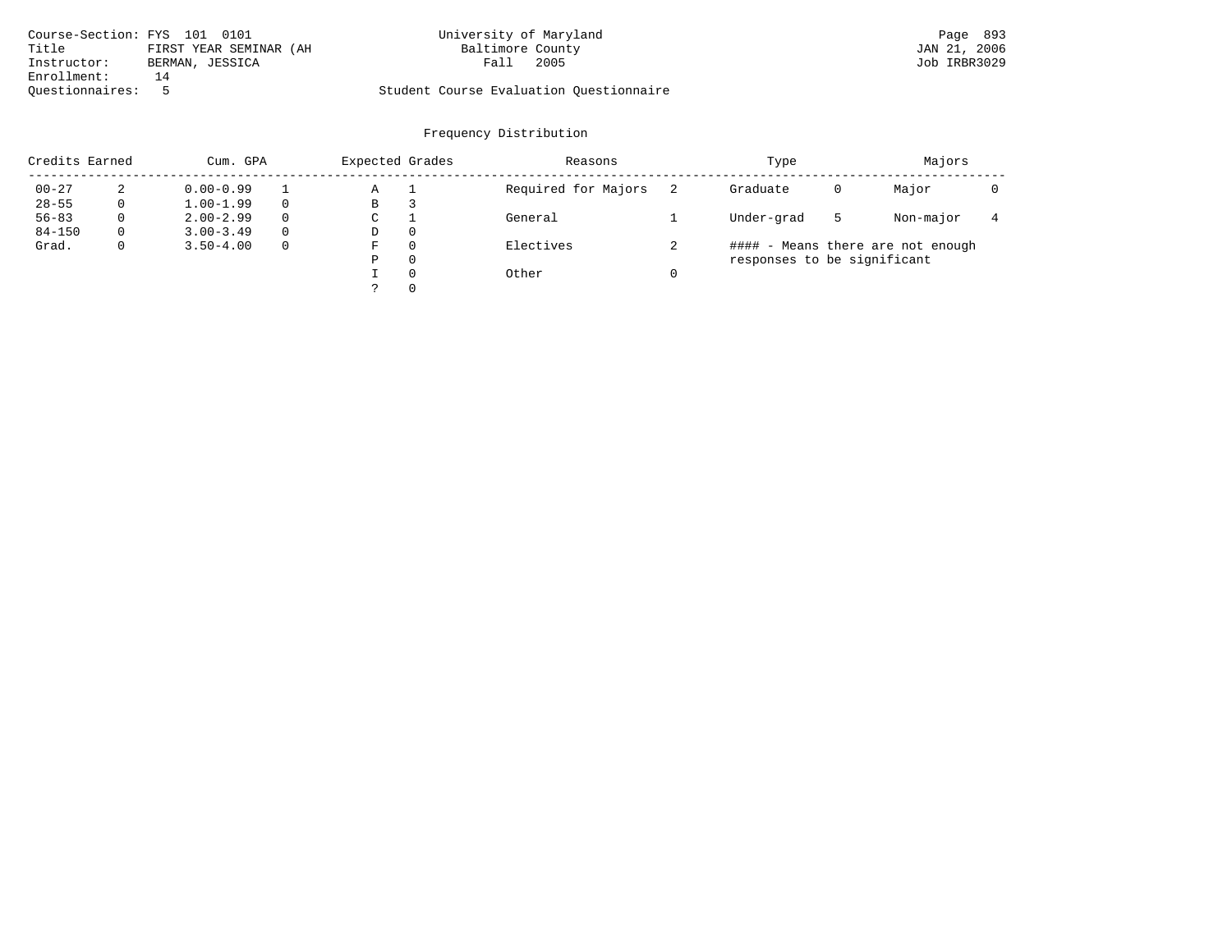| Course-Section: FYS 101 0101 |                        | University of Maryland                  | Page 893     |
|------------------------------|------------------------|-----------------------------------------|--------------|
| Title                        | FIRST YEAR SEMINAR (AH | Baltimore County                        | JAN 21, 2006 |
| Instructor:                  | BERMAN, JESSICA        | 2005<br>Fall                            | Job IRBR3029 |
| Enrollment:                  | 14                     |                                         |              |
| Ouestionnaires:              |                        | Student Course Evaluation Questionnaire |              |

| Credits Earned |          | Cum. GPA      |              | Expected Grades |   | Reasons             | Type     |                             |   |                                   |  |
|----------------|----------|---------------|--------------|-----------------|---|---------------------|----------|-----------------------------|---|-----------------------------------|--|
| $00 - 27$      | 2        | $0.00 - 0.99$ |              | Α               |   | Required for Majors |          | Graduate                    | 0 | Major                             |  |
| $28 - 55$      | 0        | $1.00 - 1.99$ | $\Omega$     | В               |   |                     |          |                             |   |                                   |  |
| $56 - 83$      | 0        | $2.00 - 2.99$ | $\Omega$     | С               |   | General             |          | Under-grad                  | 5 | Non-major                         |  |
| $84 - 150$     | $\Omega$ | $3.00 - 3.49$ | $\Omega$     | D               | 0 |                     |          |                             |   |                                   |  |
| Grad.          | 0        | $3.50 - 4.00$ | $\mathbf{0}$ | F               | 0 | Electives           |          |                             |   | #### - Means there are not enough |  |
|                |          |               |              | Ρ               | 0 |                     |          | responses to be significant |   |                                   |  |
|                |          |               |              |                 | 0 | Other               | $\Omega$ |                             |   |                                   |  |
|                |          |               |              |                 | 0 |                     |          |                             |   |                                   |  |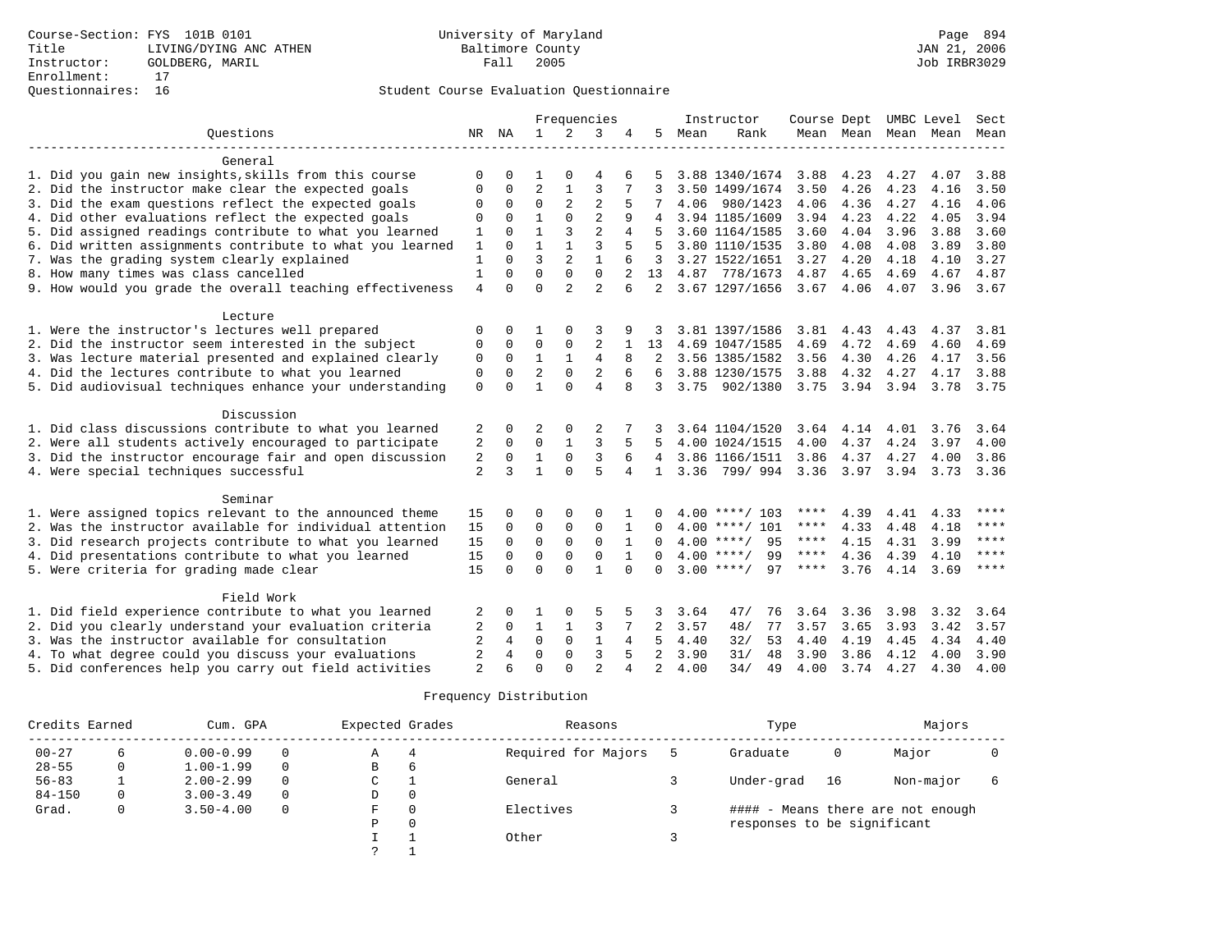|                                                           |                |                |                |                | Frequencies    |              |                |      | Instructor         | Course Dept UMBC Level |           |                     |      | Sect        |
|-----------------------------------------------------------|----------------|----------------|----------------|----------------|----------------|--------------|----------------|------|--------------------|------------------------|-----------|---------------------|------|-------------|
| Ouestions                                                 |                | NR NA          | $\mathbf{1}$   | $\overline{2}$ | 3              | 4            | 5              | Mean | Rank               |                        |           | Mean Mean Mean Mean |      | Mean        |
|                                                           |                |                |                |                |                |              |                |      |                    |                        |           |                     |      |             |
| General                                                   |                |                |                |                |                |              |                |      |                    |                        |           |                     |      |             |
| 1. Did you gain new insights, skills from this course     | <sup>0</sup>   | 0              | 1              |                | 4              | 6            |                |      | 3.88 1340/1674     | 3.88                   | 4.23      | 4.27                | 4.07 | 3.88        |
| 2. Did the instructor make clear the expected goals       | $\Omega$       | 0              | $\overline{2}$ | 1              | $\overline{3}$ | 7            | 3              |      | 3.50 1499/1674     | 3.50                   | 4.26      | 4.23                | 4.16 | 3.50        |
| 3. Did the exam questions reflect the expected goals      | 0              | $\Omega$       | $\mathbf 0$    | $\overline{2}$ | $\overline{2}$ |              |                |      | 4.06 980/1423      | 4.06                   | 4.36      | 4.27                | 4.16 | 4.06        |
| 4. Did other evaluations reflect the expected goals       | $\mathbf 0$    | $\Omega$       | $\mathbf{1}$   | $\Omega$       | $\overline{2}$ |              |                |      | 3.94 1185/1609     | 3.94                   | 4.23      | 4.22                | 4.05 | 3.94        |
| 5. Did assigned readings contribute to what you learned   | $\mathbf{1}$   | $\Omega$       | $\mathbf{1}$   | 3              | $\overline{a}$ | 4            |                |      | 3.60 1164/1585     | 3.60                   | 4.04      | 3.96                | 3.88 | 3.60        |
| 6. Did written assignments contribute to what you learned | $\mathbf{1}$   | $\Omega$       | $\mathbf{1}$   | $\mathbf{1}$   | 3              | 5            | 5              |      | 3.80 1110/1535     | 3.80                   | 4.08      | 4.08                | 3.89 | 3.80        |
| 7. Was the grading system clearly explained               | $\mathbf{1}$   | $\Omega$       | 3              | $\overline{2}$ |                |              | 3              |      | 3.27 1522/1651     | 3.27                   | 4.20      | 4.18                | 4.10 | 3.27        |
| 8. How many times was class cancelled                     | $\mathbf{1}$   | $\Omega$       | $\Omega$       | $\mathbf 0$    | $\Omega$       |              | 13             |      | 4.87 778/1673      | 4.87                   | 4.65      | 4.69                | 4.67 | 4.87        |
| 9. How would you grade the overall teaching effectiveness | $\overline{4}$ | $\Omega$       | $\Omega$       | $\overline{2}$ | $\mathfrak{D}$ | 6            | 2              |      | 3.67 1297/1656     | $3.67$ 4.06            |           | 4.07                | 3.96 | 3.67        |
|                                                           |                |                |                |                |                |              |                |      |                    |                        |           |                     |      |             |
| Lecture                                                   |                |                |                |                |                |              |                |      |                    |                        |           |                     |      |             |
| 1. Were the instructor's lectures well prepared           | 0              | 0              |                |                | 3              |              |                |      | 3.81 1397/1586     | 3.81                   | 4.43      | 4.43                | 4.37 | 3.81        |
| 2. Did the instructor seem interested in the subject      | 0              | $\Omega$       | $\Omega$       | $\Omega$       | 2              | 1            | 13             |      | 4.69 1047/1585     | 4.69                   | 4.72      | 4.69                | 4.60 | 4.69        |
| 3. Was lecture material presented and explained clearly   | $\mathbf 0$    | $\mathbf 0$    | 1              | $\mathbf{1}$   | 4              | 8            | 2              |      | 3.56 1385/1582     | 3.56                   | 4.30      | 4.26                | 4.17 | 3.56        |
| 4. Did the lectures contribute to what you learned        | $\mathbf 0$    | $\Omega$       | $\overline{2}$ | $\Omega$       | $\overline{2}$ | 6            | 6              |      | 3.88 1230/1575     | 3.88                   | 4.32      | 4.27                | 4.17 | 3.88        |
| 5. Did audiovisual techniques enhance your understanding  | $\mathbf 0$    | $\Omega$       |                | $\Omega$       | $\overline{A}$ |              | 3              |      | 3.75 902/1380      | 3.75                   | 3.94 3.94 |                     | 3.78 | 3.75        |
|                                                           |                |                |                |                |                |              |                |      |                    |                        |           |                     |      |             |
| Discussion                                                |                |                |                |                |                |              |                |      |                    |                        |           |                     |      |             |
| 1. Did class discussions contribute to what you learned   | 2              | 0              | 2              | 0              | 2              |              |                |      | 3.64 1104/1520     | 3.64                   | 4.14      | 4.01                | 3.76 | 3.64        |
| 2. Were all students actively encouraged to participate   | $\sqrt{2}$     | $\Omega$       | $\Omega$       | $\mathbf{1}$   | $\overline{3}$ |              |                |      | 4.00 1024/1515     | 4.00                   | 4.37      | 4.24                | 3.97 | 4.00        |
| 3. Did the instructor encourage fair and open discussion  | $\sqrt{2}$     | $\mathbf 0$    | $\mathbf{1}$   | $\mathbf 0$    | 3              | 6            | 4              |      | 3.86 1166/1511     | 3.86                   | 4.37      | 4.27                | 4.00 | 3.86        |
| 4. Were special techniques successful                     | $\overline{2}$ | 3              | $\mathbf{1}$   | $\Omega$       | $\overline{5}$ | 4            | $\mathbf{1}$   |      | 3.36 799/994       | 3.36                   | 3.97      | 3.94                | 3.73 | 3.36        |
|                                                           |                |                |                |                |                |              |                |      |                    |                        |           |                     |      |             |
| Seminar                                                   |                |                |                |                |                |              |                |      |                    |                        |           |                     |      |             |
| 1. Were assigned topics relevant to the announced theme   | 15             | 0              | $\Omega$       | $\Omega$       | $\Omega$       |              |                |      | $4.00$ ****/ 103   | ****                   | 4.39      | 4.41                | 4.33 | ****        |
| 2. Was the instructor available for individual attention  | 15             | $\Omega$       | $\Omega$       | $\Omega$       | $\Omega$       | $\mathbf{1}$ | $\Omega$       |      | $4.00$ ****/ 101   | ****                   | 4.33      | 4.48                | 4.18 | ****        |
| 3. Did research projects contribute to what you learned   | 15             | $\Omega$       | $\mathbf 0$    | $\mathbf 0$    | $\mathbf 0$    |              |                |      | $4.00$ ****/ 95    | $***$ * * *            | 4.15      | 4.31                | 3.99 | $* * * *$   |
| 4. Did presentations contribute to what you learned       | 15             | $\Omega$       | $\Omega$       | $\Omega$       | $\Omega$       |              |                |      | $4.00$ ****/<br>99 | $***$ * * *            | 4.36      | 4.39                | 4.10 | $* * * *$   |
| 5. Were criteria for grading made clear                   | 15             | $\Omega$       | $\Omega$       | $\cap$         | $\mathbf{1}$   | $\cap$       | $\cap$         |      | $3.00$ ****/<br>97 | ****                   | 3.76      | 4.14                | 3.69 | $***$ * * * |
|                                                           |                |                |                |                |                |              |                |      |                    |                        |           |                     |      |             |
| Field Work                                                |                |                |                |                |                |              |                |      |                    |                        |           |                     |      |             |
| 1. Did field experience contribute to what you learned    | 2              |                |                |                | 5              |              |                | 3.64 | 47/<br>76          | 3.64                   | 3.36      | 3.98                | 3.32 | 3.64        |
| 2. Did you clearly understand your evaluation criteria    | 2              | $\Omega$       | 1              | 1              | 3              |              | 2              | 3.57 | 48/<br>77          | 3.57                   | 3.65      | 3.93                | 3.42 | 3.57        |
| 3. Was the instructor available for consultation          | $\overline{a}$ | $\overline{4}$ | $\Omega$       | $\Omega$       | $\mathbf{1}$   | 4            | 5              | 4.40 | 32/<br>53          | 4.40                   | 4.19      | 4.45                | 4.34 | 4.40        |
| 4. To what degree could you discuss your evaluations      | $\overline{2}$ | 4              | $\Omega$       | $\mathbf{0}$   | $\overline{3}$ | 5            | $\overline{a}$ | 3.90 | 31/<br>48          | 3.90                   | 3.86      | 4.12                | 4.00 | 3.90        |
| 5. Did conferences help you carry out field activities    | $\overline{2}$ |                | $\Omega$       | $\Omega$       | $\mathcal{L}$  |              | $\overline{a}$ | 4.00 | 34/<br>49          | 4.00                   | 3.74      | 4.27                | 4.30 | 4.00        |

| Credits Earned | Cum. GPA      |          | Expected Grades |   | Reasons             | Type                        | Majors |                                   |  |
|----------------|---------------|----------|-----------------|---|---------------------|-----------------------------|--------|-----------------------------------|--|
| $00 - 27$      | $0.00 - 0.99$ |          | Α               | 4 | Required for Majors | Graduate                    | 0      | Major                             |  |
| $28 - 55$      | $1.00 - 1.99$ | $\Omega$ | B               | 6 |                     |                             |        |                                   |  |
| $56 - 83$      | $2.00 - 2.99$ | $\Omega$ | C               |   | General             | Under-grad                  | 16     | Non-major                         |  |
| $84 - 150$     | $3.00 - 3.49$ | $\Omega$ | D               | 0 |                     |                             |        |                                   |  |
| Grad.          | $3.50 - 4.00$ | $\Omega$ | F               | 0 | Electives           |                             |        | #### - Means there are not enough |  |
|                |               |          | Р               | 0 |                     | responses to be significant |        |                                   |  |
|                |               |          |                 |   | Other               |                             |        |                                   |  |
|                |               |          |                 |   |                     |                             |        |                                   |  |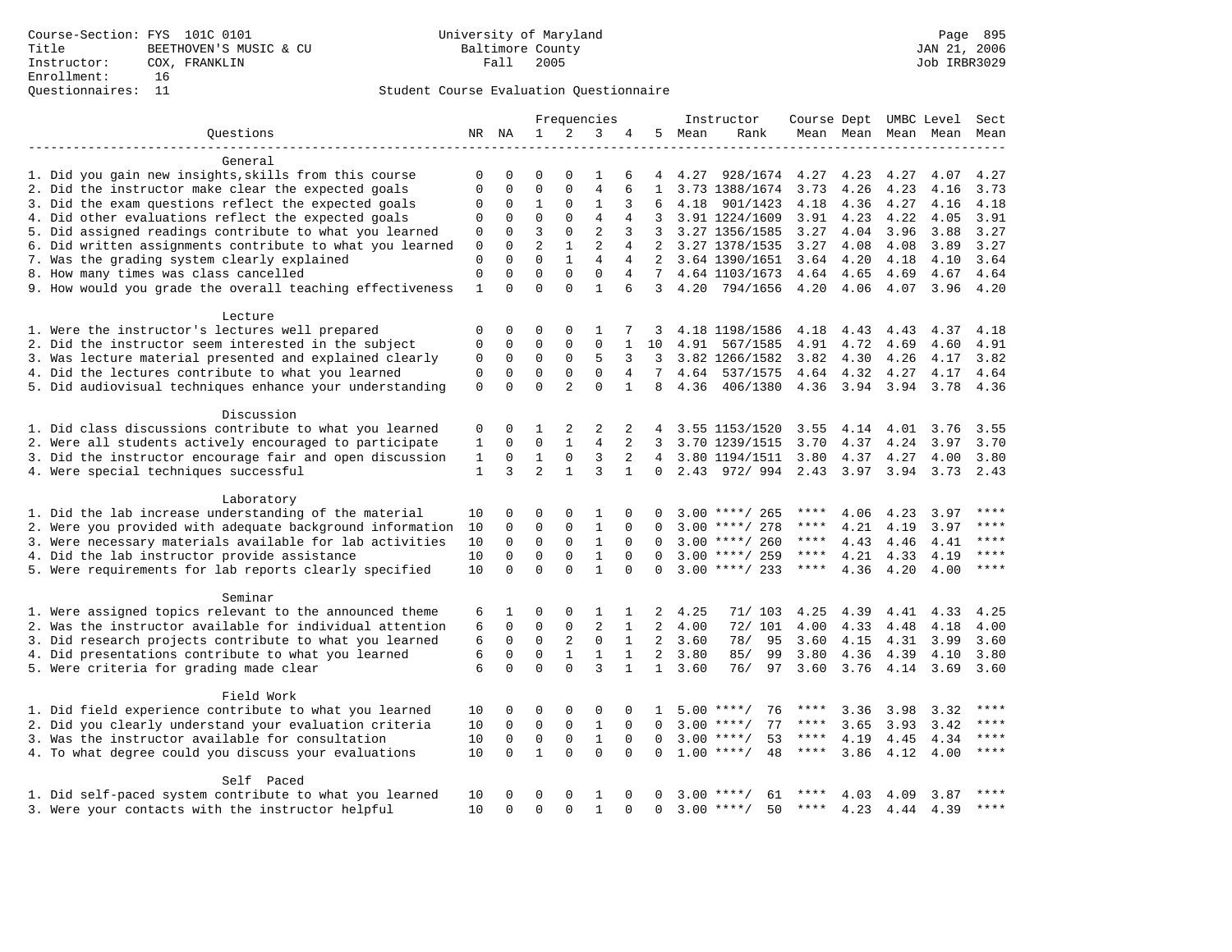|                                                           |              |             |                |                | Frequencies    |                |                 |        | Instructor             | Course Dept UMBC Level |           |                     |           | Sect      |
|-----------------------------------------------------------|--------------|-------------|----------------|----------------|----------------|----------------|-----------------|--------|------------------------|------------------------|-----------|---------------------|-----------|-----------|
| Ouestions                                                 |              | NR NA       | $\mathbf{1}$   | 2              | 3              | 4              |                 | 5 Mean | Rank                   |                        |           | Mean Mean Mean Mean |           | Mean      |
|                                                           |              |             |                |                |                |                |                 |        |                        |                        |           |                     |           |           |
| General                                                   |              |             |                |                |                |                |                 |        |                        |                        |           |                     |           |           |
| 1. Did you gain new insights, skills from this course     | 0            | $\Omega$    | $\Omega$       | $\Omega$       | 1              | 6              | 4               | 4.27   | 928/1674               | 4.27                   | 4.23      | 4.27                | 4.07      | 4.27      |
| 2. Did the instructor make clear the expected goals       | $\mathbf 0$  | $\mathsf 0$ | $\mathsf 0$    | $\mathbf{0}$   | $\overline{4}$ | 6              | $\mathbf{1}$    |        | 3.73 1388/1674         | 3.73                   | 4.26      | 4.23                | 4.16      | 3.73      |
| 3. Did the exam questions reflect the expected goals      | 0            | 0           | 1              | $\mathbf 0$    | 1              | 3              | 6               | 4.18   | 901/1423               | 4.18                   | 4.36      | 4.27                | 4.16      | 4.18      |
| 4. Did other evaluations reflect the expected goals       | 0            | $\mathbf 0$ | $\mathbf 0$    | $\mathbf{0}$   | $\overline{4}$ | 4              | 3               |        | 3.91 1224/1609         | 3.91                   | 4.23      | 4.22                | 4.05      | 3.91      |
| 5. Did assigned readings contribute to what you learned   | 0            | $\mathbf 0$ | $\overline{3}$ | $\mathbf{0}$   | $\overline{2}$ | 3              | 3               |        | 3.27 1356/1585         | 3.27                   | 4.04      | 3.96                | 3.88      | 3.27      |
| 6. Did written assignments contribute to what you learned | 0            | $\Omega$    | $\overline{a}$ | $\mathbf{1}$   | $\overline{2}$ | 4              | 2               |        | 3.27 1378/1535         | 3.27                   | 4.08      | 4.08                | 3.89      | 3.27      |
| 7. Was the grading system clearly explained               | $\mathbf 0$  | $\Omega$    | $\Omega$       | $\mathbf{1}$   | $\overline{4}$ | 4              | $\overline{2}$  |        | 3.64 1390/1651         | 3.64                   | 4.20      | 4.18                | 4.10      | 3.64      |
| 8. How many times was class cancelled                     | $\mathbf 0$  | $\mathbf 0$ | $\mathbf 0$    | $\mathbf{0}$   | $\mathbf 0$    | $\overline{4}$ | 7               |        | 4.64 1103/1673         | 4.64                   | 4.65      | 4.69                | 4.67      | 4.64      |
| 9. How would you grade the overall teaching effectiveness | 1            | $\Omega$    | $\mathbf 0$    | $\Omega$       | 1              | 6              | 3               | 4.20   | 794/1656               | 4.20                   | 4.06      | 4.07                | 3.96      | 4.20      |
| Lecture                                                   |              |             |                |                |                |                |                 |        |                        |                        |           |                     |           |           |
| 1. Were the instructor's lectures well prepared           | 0            | 0           | 0              | $\Omega$       | 1              | 7              | 3               |        | 4.18 1198/1586         | 4.18                   | 4.43      | 4.43                | 4.37      | 4.18      |
| 2. Did the instructor seem interested in the subject      | 0            | $\mathbf 0$ | $\mathsf 0$    | $\mathbf{0}$   | $\mathbf 0$    | 1              | 10              | 4.91   | 567/1585               | 4.91                   | 4.72      | 4.69                | 4.60      | 4.91      |
| 3. Was lecture material presented and explained clearly   | 0            | 0           | 0              | 0              | 5              | 3              | 3               |        | 3.82 1266/1582         | 3.82                   | 4.30      | 4.26                | 4.17      | 3.82      |
| 4. Did the lectures contribute to what you learned        | 0            | 0           | $\mathbf 0$    | $\mathbf{0}$   | $\mathbf 0$    | 4              | $7\overline{ }$ | 4.64   | 537/1575               | 4.64 4.32              |           | 4.27                | 4.17      | 4.64      |
| 5. Did audiovisual techniques enhance your understanding  | $\mathbf 0$  | $\Omega$    | $\Omega$       | $\overline{a}$ | $\Omega$       | $\mathbf{1}$   | 8               | 4.36   | 406/1380               | 4.36                   | 3.94 3.94 |                     | 3.78      | 4.36      |
|                                                           |              |             |                |                |                |                |                 |        |                        |                        |           |                     |           |           |
| Discussion                                                |              |             |                |                |                |                |                 |        |                        |                        |           |                     |           |           |
| 1. Did class discussions contribute to what you learned   | 0            | 0           | 1              | 2              | 2              | 2              | 4               |        | 3.55 1153/1520         | 3.55                   | 4.14      | 4.01                | 3.76      | 3.55      |
| 2. Were all students actively encouraged to participate   | 1            | 0           | $\mathbf 0$    | 1              | $\overline{4}$ | 2              | 3               |        | 3.70 1239/1515         | 3.70                   | 4.37      | 4.24                | 3.97      | 3.70      |
| 3. Did the instructor encourage fair and open discussion  | 1            | $\mathbf 0$ | $\mathbf{1}$   | $\mathbf 0$    | 3              | 2              |                 |        | 4 3.80 1194/1511       | 3.80                   | 4.37      | 4.27                | 4.00      | 3.80      |
| 4. Were special techniques successful                     | $\mathbf{1}$ | 3           | $\overline{a}$ | $\mathbf{1}$   | 3              | $\mathbf{1}$   | 0               |        | 2.43 972/994 2.43 3.97 |                        |           | 3.94                | 3.73      | 2.43      |
|                                                           |              |             |                |                |                |                |                 |        |                        |                        |           |                     |           |           |
| Laboratory                                                |              |             |                |                |                |                |                 |        |                        |                        |           |                     |           |           |
| 1. Did the lab increase understanding of the material     | 10           | 0           | 0              | 0              | 1              | 0              | 0               |        | $3.00$ ****/ 265       | ****                   | 4.06      | 4.23                | 3.97      | ****      |
| 2. Were you provided with adequate background information | 10           | 0           | $\mathbf 0$    | 0              | $\mathbf{1}$   | $\Omega$       | $\Omega$        |        | $3.00$ ****/ 278       | ****                   | 4.21      | 4.19                | 3.97      | ****      |
| 3. Were necessary materials available for lab activities  | 10           | $\mathbf 0$ | $\mathbf 0$    | $\mathbf 0$    | $\mathbf{1}$   | $\Omega$       | $\Omega$        |        | $3.00$ ****/ 260       | ****                   | 4.43      | 4.46                | 4.41      | ****      |
| 4. Did the lab instructor provide assistance              | 10           | $\Omega$    | $\mathbf 0$    | $\mathbf{0}$   | $\mathbf{1}$   | $\Omega$       | $\Omega$        |        | $3.00$ ****/ 259       | $***$ * * *            | 4.21      | 4.33                | 4.19      | ****      |
| 5. Were requirements for lab reports clearly specified    | 10           | $\Omega$    | $\Omega$       | $\Omega$       | $\mathbf{1}$   | $\Omega$       | $\Omega$        |        | $3.00$ ****/ 233       | $***$ * * *            | 4.36      | 4.20                | 4.00      | ****      |
|                                                           |              |             |                |                |                |                |                 |        |                        |                        |           |                     |           |           |
| Seminar                                                   |              |             |                |                |                |                |                 |        |                        |                        |           |                     |           |           |
| 1. Were assigned topics relevant to the announced theme   | 6            | 1           | $\Omega$       | 0              | 1              | 1              | 2               | 4.25   | 71/103                 | 4.25                   | 4.39      | 4.41                | 4.33      | 4.25      |
| 2. Was the instructor available for individual attention  | 6            | $\mathbf 0$ | $\mathbf 0$    | $\mathbf{0}$   | $\overline{a}$ | $\mathbf{1}$   | $\overline{2}$  | 4.00   | 72/ 101                | 4.00                   | 4.33      | 4.48                | 4.18      | 4.00      |
| 3. Did research projects contribute to what you learned   | 6            | $\mathbf 0$ | $\mathbf 0$    | 2              | $\mathbf 0$    | $\mathbf{1}$   | $\overline{a}$  | 3.60   | 78/<br>95              | 3.60                   | 4.15      | 4.31                | 3.99      | 3.60      |
| 4. Did presentations contribute to what you learned       | 6            | $\Omega$    | $\mathbf 0$    | $\mathbf{1}$   | $\mathbf{1}$   | $\mathbf{1}$   | $\overline{2}$  | 3.80   | 85/<br>99              | 3.80                   | 4.36      | 4.39                | 4.10      | 3.80      |
| 5. Were criteria for grading made clear                   | 6            | $\Omega$    | $\Omega$       | $\Omega$       | 3              | $\mathbf{1}$   | $\mathbf{1}$    | 3.60   | 76/<br>97              | 3.60                   | 3.76      | 4.14                | 3.69      | 3.60      |
| Field Work                                                |              |             |                |                |                |                |                 |        |                        |                        |           |                     |           |           |
| 1. Did field experience contribute to what you learned    | 10           | 0           | 0              | 0              | 0              | 0              | 1               |        | $5.00$ ****/<br>76     | ****                   | 3.36      |                     | 3.32      |           |
| 2. Did you clearly understand your evaluation criteria    | 10           | $\Omega$    | $\mathbf 0$    | $\mathbf 0$    | $\mathbf{1}$   | $\Omega$       | $\Omega$        | 3.00   | 77<br>$***/$           | $***$ * * *            | 3.65      | 3.98<br>3.93        | 3.42      | ****      |
|                                                           |              | $\mathbf 0$ | $\mathsf 0$    |                | $1\,$          | $\mathbf 0$    |                 |        | 53                     | $***$ * * *            |           |                     |           | $***$     |
| 3. Was the instructor available for consultation          | 10           |             |                | $\mathsf 0$    |                |                | $\mathbf 0$     |        | $3.00$ ****/           |                        | 4.19      | 4.45                | 4.34      | ****      |
| 4. To what degree could you discuss your evaluations      | 10           | $\mathbf 0$ | $\mathbf{1}$   | $\Omega$       | $\Omega$       | $\Omega$       | $\Omega$        |        | 48<br>$1.00$ ****/     | ****                   | 3.86      | 4.12                | 4.00      |           |
| Self Paced                                                |              |             |                |                |                |                |                 |        |                        |                        |           |                     |           |           |
| 1. Did self-paced system contribute to what you learned   | 10           | $\Omega$    | $\Omega$       | $\Omega$       | 1              | $\Omega$       | 0               | 3.00   | **** /<br>61           |                        | 4.03      | 4.09                | 3.87      | ****      |
| 3. Were your contacts with the instructor helpful         | 10           | $\Omega$    | $\Omega$       | $\Omega$       | $\mathbf{1}$   | $\Omega$       | $\Omega$        |        | $3.00$ ****/<br>50     | ****                   | 4.23      |                     | 4.44 4.39 | $* * * *$ |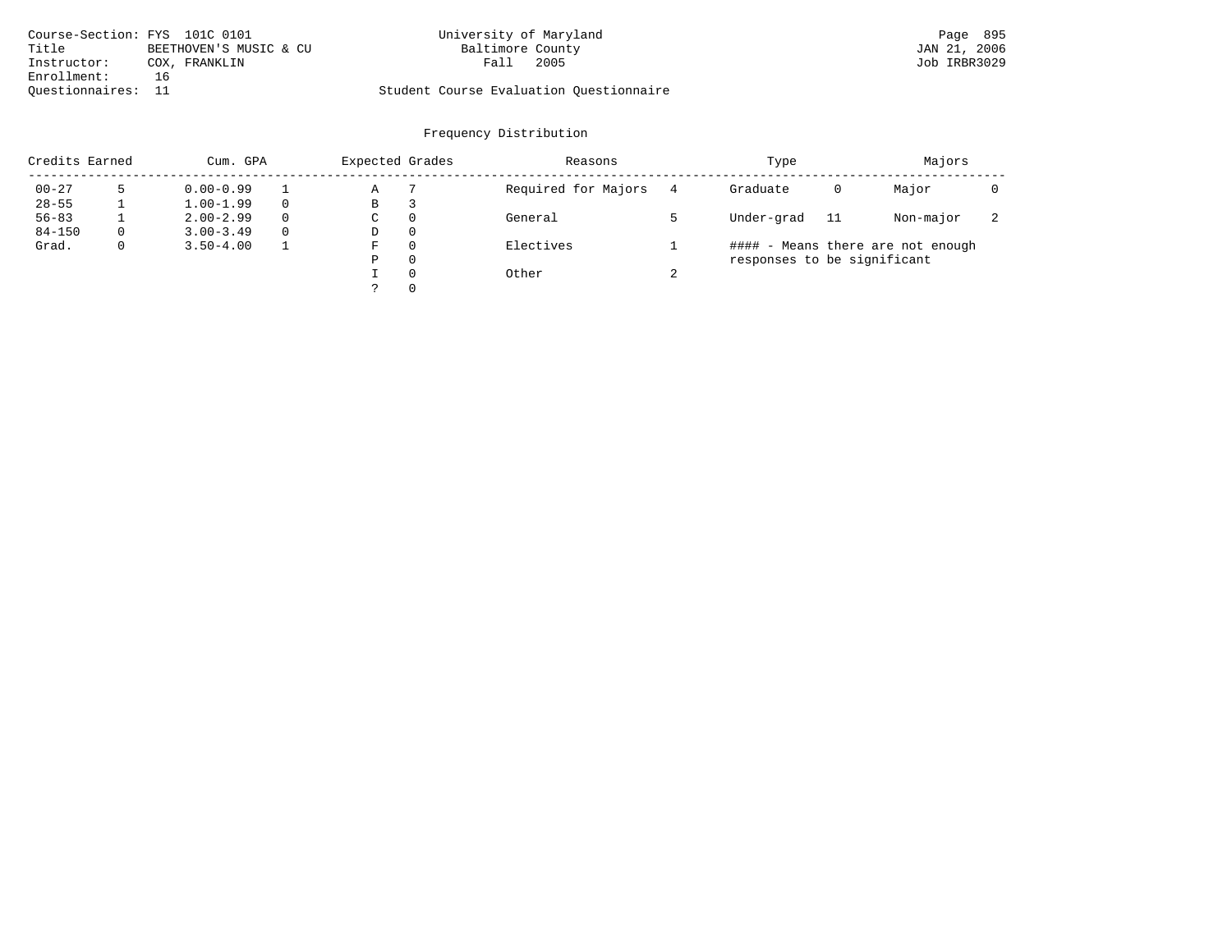| Course-Section: FYS 101C 0101 |                        | University of Maryland                  |      | Page 895     |
|-------------------------------|------------------------|-----------------------------------------|------|--------------|
| Title                         | BEETHOVEN'S MUSIC & CU | Baltimore County                        |      | JAN 21, 2006 |
| Instructor:                   | COX, FRANKLIN          | Fall                                    | 2005 | Job IRBR3029 |
| Enrollment:                   | 16                     |                                         |      |              |
| Ouestionnaires: 11            |                        | Student Course Evaluation Questionnaire |      |              |

| Credits Earned |          | Cum. GPA      |          | Expected Grades |   | Reasons             |          | Type                        |     | Majors                            |   |
|----------------|----------|---------------|----------|-----------------|---|---------------------|----------|-----------------------------|-----|-----------------------------------|---|
| $00 - 27$      |          | $0.00 - 0.99$ |          | Α               |   | Required for Majors | 4        | Graduate                    | 0   | Major                             |   |
| $28 - 55$      |          | $1.00 - 1.99$ | $\Omega$ | В               |   |                     |          |                             |     |                                   |   |
| $56 - 83$      |          | $2.00 - 2.99$ | $\Omega$ | С               | 0 | General             |          | Under-grad                  | -11 | Non-major                         | ∠ |
| $84 - 150$     | $\Omega$ | $3.00 - 3.49$ | $\Omega$ | D               | 0 |                     |          |                             |     |                                   |   |
| Grad.          | 0        | $3.50 - 4.00$ |          | F               | 0 | Electives           |          |                             |     | #### - Means there are not enough |   |
|                |          |               |          | Ρ               | 0 |                     |          | responses to be significant |     |                                   |   |
|                |          |               |          |                 | 0 | Other               | $\Omega$ |                             |     |                                   |   |
|                |          |               |          |                 | 0 |                     |          |                             |     |                                   |   |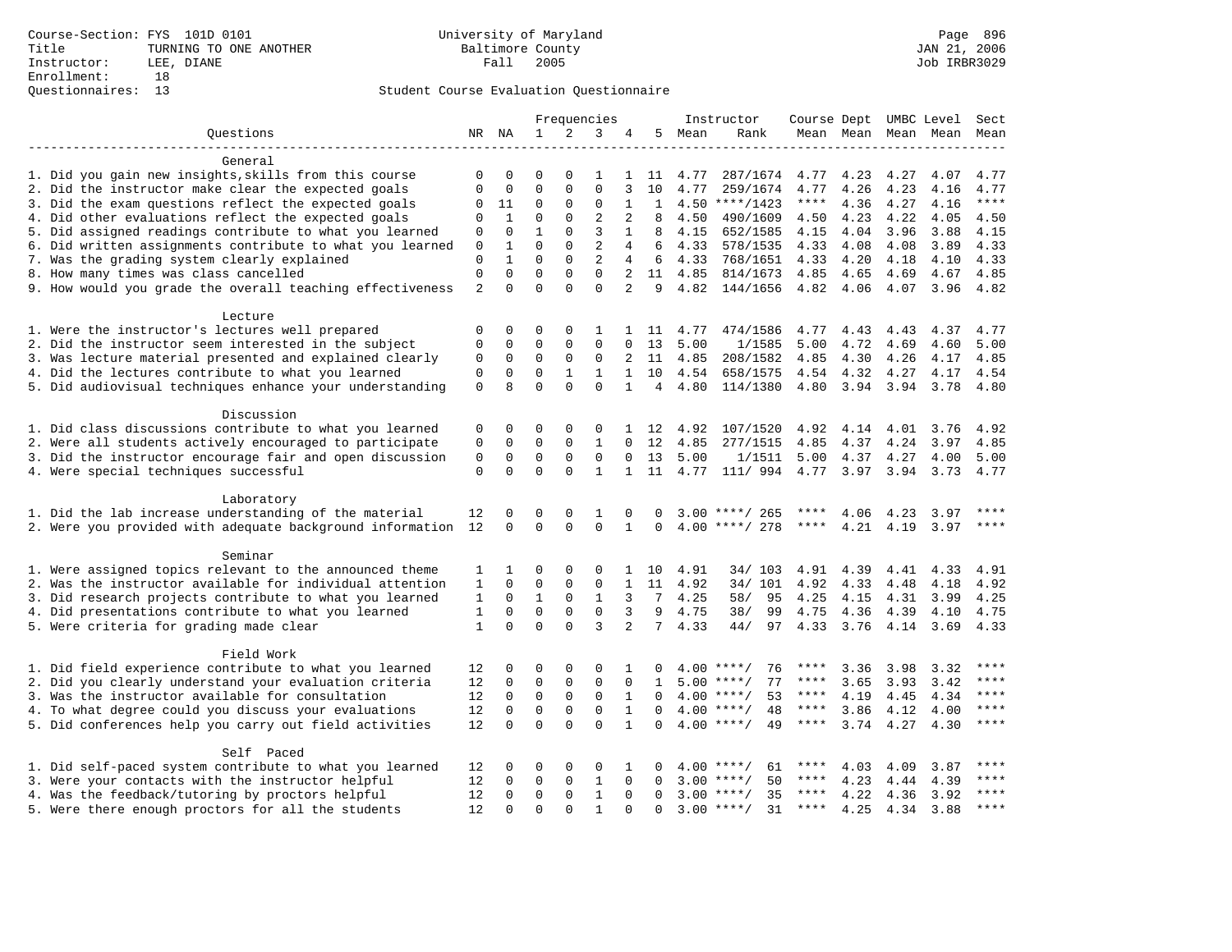|                                                                       |              |              |              |              | Frequencies    |                |                |      | Instructor         | Course Dept UMBC Level |      |      |                          | Sect        |
|-----------------------------------------------------------------------|--------------|--------------|--------------|--------------|----------------|----------------|----------------|------|--------------------|------------------------|------|------|--------------------------|-------------|
| Questions                                                             |              | NR NA        | $\mathbf{1}$ | 2            | 3              |                | 5              | Mean | Rank               |                        |      |      | Mean Mean Mean Mean Mean |             |
| General                                                               |              |              |              |              |                |                |                |      |                    |                        |      |      |                          |             |
| 1. Did you gain new insights, skills from this course                 | 0            | 0            | 0            | 0            | 1              | 1              | 11             | 4.77 | 287/1674           | 4.77                   | 4.23 | 4.27 | 4.07                     | 4.77        |
| 2. Did the instructor make clear the expected goals                   | 0            | $\mathbf 0$  | $\mathbf 0$  | $\Omega$     | $\mathbf{0}$   | 3              | 10             | 4.77 | 259/1674           | 4.77                   | 4.26 | 4.23 | 4.16                     | 4.77        |
| 3. Did the exam questions reflect the expected goals                  | $\mathbf 0$  | 11           | $\mathbf 0$  | $\Omega$     | $\mathbf{0}$   | $\mathbf{1}$   | 1              |      | $4.50$ ****/1423   | $***$ * *              | 4.36 | 4.27 | 4.16                     | $***$       |
| 4. Did other evaluations reflect the expected goals                   | $\mathbf 0$  | $\mathbf{1}$ | $\mathbf 0$  | $\Omega$     | $\overline{2}$ | $\overline{2}$ | 8              | 4.50 | 490/1609           | 4.50                   | 4.23 | 4.22 | 4.05                     | 4.50        |
| 5. Did assigned readings contribute to what you learned               | $\mathbf 0$  | $\mathbf 0$  | $\mathbf{1}$ | $\Omega$     | 3              | $\mathbf{1}$   | 8              | 4.15 | 652/1585           | 4.15                   | 4.04 | 3.96 | 3.88                     | 4.15        |
| 6. Did written assignments contribute to what you learned             | 0            | $\mathbf{1}$ | $\Omega$     | $\Omega$     | $\overline{2}$ | 4              | 6              | 4.33 | 578/1535           | 4.33                   | 4.08 | 4.08 | 3.89                     | 4.33        |
| 7. Was the grading system clearly explained                           | $\mathbf 0$  | $\mathbf{1}$ | $\mathbf 0$  | $\mathbf{0}$ | 2              | 4              | 6              | 4.33 | 768/1651           | 4.33                   | 4.20 | 4.18 | 4.10                     | 4.33        |
| 8. How many times was class cancelled                                 | $\mathsf 0$  | $\mathbf 0$  | $\mathbf 0$  | $\mathbf 0$  | $\mathbf 0$    | 2              | 11             | 4.85 | 814/1673           | 4.85                   |      | 4.69 | 4.67                     | 4.85        |
|                                                                       |              | $\Omega$     | $\Omega$     | $\Omega$     | $\Omega$       | $\overline{a}$ | 9              |      |                    |                        | 4.65 |      |                          |             |
| 9. How would you grade the overall teaching effectiveness             | 2            |              |              |              |                |                |                | 4.82 | 144/1656           | 4.82                   | 4.06 | 4.07 | 3.96                     | 4.82        |
| Lecture                                                               |              |              |              |              |                |                |                |      |                    |                        |      |      |                          |             |
| 1. Were the instructor's lectures well prepared                       | 0            | 0            | 0            | 0            | 1              | 1              | 11             | 4.77 | 474/1586           | 4.77                   | 4.43 | 4.43 | 4.37                     | 4.77        |
| 2. Did the instructor seem interested in the subject                  | $\mathbf{0}$ | 0            | $\mathbf 0$  | $\mathbf{0}$ | $\mathbf 0$    | $\Omega$       | 13             | 5.00 | 1/1585             | 5.00                   | 4.72 | 4.69 | 4.60                     | 5.00        |
| 3. Was lecture material presented and explained clearly               | 0            | $\mathbf 0$  | $\mathbf 0$  | 0            | $\mathbf{0}$   | 2              | 11             | 4.85 | 208/1582           | 4.85                   | 4.30 | 4.26 | 4.17                     | 4.85        |
| 4. Did the lectures contribute to what you learned                    | $\mathbf 0$  | $\mathbf 0$  | $\mathbf 0$  | $\mathbf{1}$ | $\mathbf{1}$   | $\mathbf{1}$   | 10             | 4.54 | 658/1575           | 4.54                   | 4.32 | 4.27 | 4.17                     | 4.54        |
| 5. Did audiovisual techniques enhance your understanding              | $\mathbf{0}$ | $\mathsf{R}$ | $\Omega$     | $\Omega$     | $\Omega$       | $\mathbf{1}$   | $\overline{4}$ | 4.80 | 114/1380           | 4.80                   | 3.94 | 3.94 | 3.78                     | 4.80        |
|                                                                       |              |              |              |              |                |                |                |      |                    |                        |      |      |                          |             |
| Discussion                                                            |              |              |              |              |                |                |                |      |                    |                        |      |      |                          |             |
| 1. Did class discussions contribute to what you learned               | 0            | 0            | 0            | 0            | 0              | 1              | 12             | 4.92 | 107/1520           | 4.92                   | 4.14 | 4.01 | 3.76                     | 4.92        |
| 2. Were all students actively encouraged to participate               | 0            | 0            | $\mathbf 0$  | 0            | $\mathbf{1}$   | $\Omega$       | 12             | 4.85 | 277/1515           | 4.85                   | 4.37 | 4.24 | 3.97                     | 4.85        |
| 3. Did the instructor encourage fair and open discussion              | $\mathsf 0$  | 0            | 0            | $\mathsf 0$  | $\mathsf 0$    | $\mathbf 0$    | 13             | 5.00 | 1/1511             | 5.00                   | 4.37 | 4.27 | 4.00                     | 5.00        |
| 4. Were special techniques successful                                 | $\mathbf 0$  | $\Omega$     | $\Omega$     | $\Omega$     | $\mathbf{1}$   | 1              | 11             | 4.77 | 111/ 994           | 4.77                   | 3.97 | 3.94 | 3.73                     | 4.77        |
| Laboratory                                                            |              |              |              |              |                |                |                |      |                    |                        |      |      |                          |             |
| 1. Did the lab increase understanding of the material                 | 12           | 0            | 0            | 0            | 1              | $\Omega$       | O              | 3.00 | 265<br>****/       |                        | 4.06 | 4.23 | 3.97                     | ****        |
| 2. Were you provided with adequate background information             | 12           | $\Omega$     | $\Omega$     | $\Omega$     | $\Omega$       | $\mathbf{1}$   | $\Omega$       | 4.00 | ****/ 278          | ****                   | 4.21 | 4.19 | 3.97                     | $***$       |
|                                                                       |              |              |              |              |                |                |                |      |                    |                        |      |      |                          |             |
| Seminar                                                               |              |              |              |              |                |                |                |      |                    |                        |      |      |                          |             |
| 1. Were assigned topics relevant to the announced theme               | 1            | 1            | 0            | 0            | 0              | 1              | 10             | 4.91 | 34/ 103            | 4.91                   | 4.39 | 4.41 | 4.33                     | 4.91        |
| 2. Was the instructor available for individual attention              | 1            | 0            | 0            | 0            | $\mathsf 0$    | 1              | 11             | 4.92 | 34/ 101            | 4.92                   | 4.33 | 4.48 | 4.18                     | 4.92        |
| 3. Did research projects contribute to what you learned               | 1            | $\mathbf 0$  | $\mathbf{1}$ | $\mathbf{0}$ | $\mathbf{1}$   | 3              | 7              | 4.25 | 58/<br>95          | 4.25                   | 4.15 | 4.31 | 3.99                     | 4.25        |
| 4. Did presentations contribute to what you learned                   | 1            | $\mathbf 0$  | $\mathbf 0$  | $\mathbf{0}$ | $\mathbf 0$    | 3              | 9              | 4.75 | 38/<br>99          | 4.75                   | 4.36 | 4.39 | 4.10                     | 4.75        |
| 5. Were criteria for grading made clear                               | $\mathbf{1}$ | $\Omega$     | $\Omega$     | $\Omega$     | 3              | 2              | $7^{\circ}$    | 4.33 | 44/<br>97          | 4.33                   | 3.76 | 4.14 | 3.69                     | 4.33        |
| Field Work                                                            |              |              |              |              |                |                |                |      |                    |                        |      |      |                          |             |
| 1. Did field experience contribute to what you learned                | 12           | 0            | 0            | 0            | 0              | 1              | O              |      | $4.00$ ****/<br>76 | ****                   | 3.36 | 3.98 | 3.32                     |             |
| 2. Did you clearly understand your evaluation criteria                | 12           | 0            | 0            | 0            | $\mathsf 0$    | 0              | 1              | 5.00 | 77<br>$***$ /      | ****                   | 3.65 | 3.93 | 3.42                     | ****        |
| 3. Was the instructor available for consultation                      | 12           | 0            | 0            | 0            | $\mathbf 0$    | 1              | 0              | 4.00 | 53<br>$***$ /      | ****                   | 4.19 | 4.45 | 4.34                     | ****        |
| 4. To what degree could you discuss your evaluations                  | 12           | 0            | 0            | $\mathsf 0$  | $\mathsf 0$    | $\mathbf{1}$   | $\mathbf 0$    | 4.00 | $***$ /<br>48      | ****                   | 3.86 | 4.12 | 4.00                     | ****        |
| 5. Did conferences help you carry out field activities                | 12           | 0            | $\mathbf 0$  | $\Omega$     | $\Omega$       | $\mathbf{1}$   | 0              |      | $4.00$ ****/<br>49 | ****                   | 3.74 | 4.27 | 4.30                     | ****        |
|                                                                       |              |              |              |              |                |                |                |      |                    |                        |      |      |                          |             |
| Self Paced<br>1. Did self-paced system contribute to what you learned | 12           | 0            | 0            | 0            | 0              | 1              | 0              | 4.00 | $***$ /<br>61      | ****                   | 4.03 | 4.09 | 3.87                     |             |
| 3. Were your contacts with the instructor helpful                     | 12           | $\Omega$     | $\mathbf 0$  | 0            | $\mathbf{1}$   | $\mathbf 0$    | $\Omega$       | 3.00 | $***$ /<br>50      | ****                   | 4.23 | 4.44 | 4.39                     | ****        |
| 4. Was the feedback/tutoring by proctors helpful                      | 12           | $\Omega$     | $\mathbf 0$  | $\Omega$     | $\mathbf{1}$   | $\Omega$       | $\Omega$       |      | 35<br>$3.00$ ****/ | ****                   | 4.22 | 4.36 | 3.92                     | ****        |
| 5. Were there enough proctors for all the students                    | 12           | $\cap$       | $\Omega$     | $\cap$       | $\mathbf{1}$   | $\cap$         | $\cap$         | 3.00 | $***$ /<br>31      | $***$ * *              | 4.25 | 4.34 | 3.88                     | $***$ * * * |
|                                                                       |              |              |              |              |                |                |                |      |                    |                        |      |      |                          |             |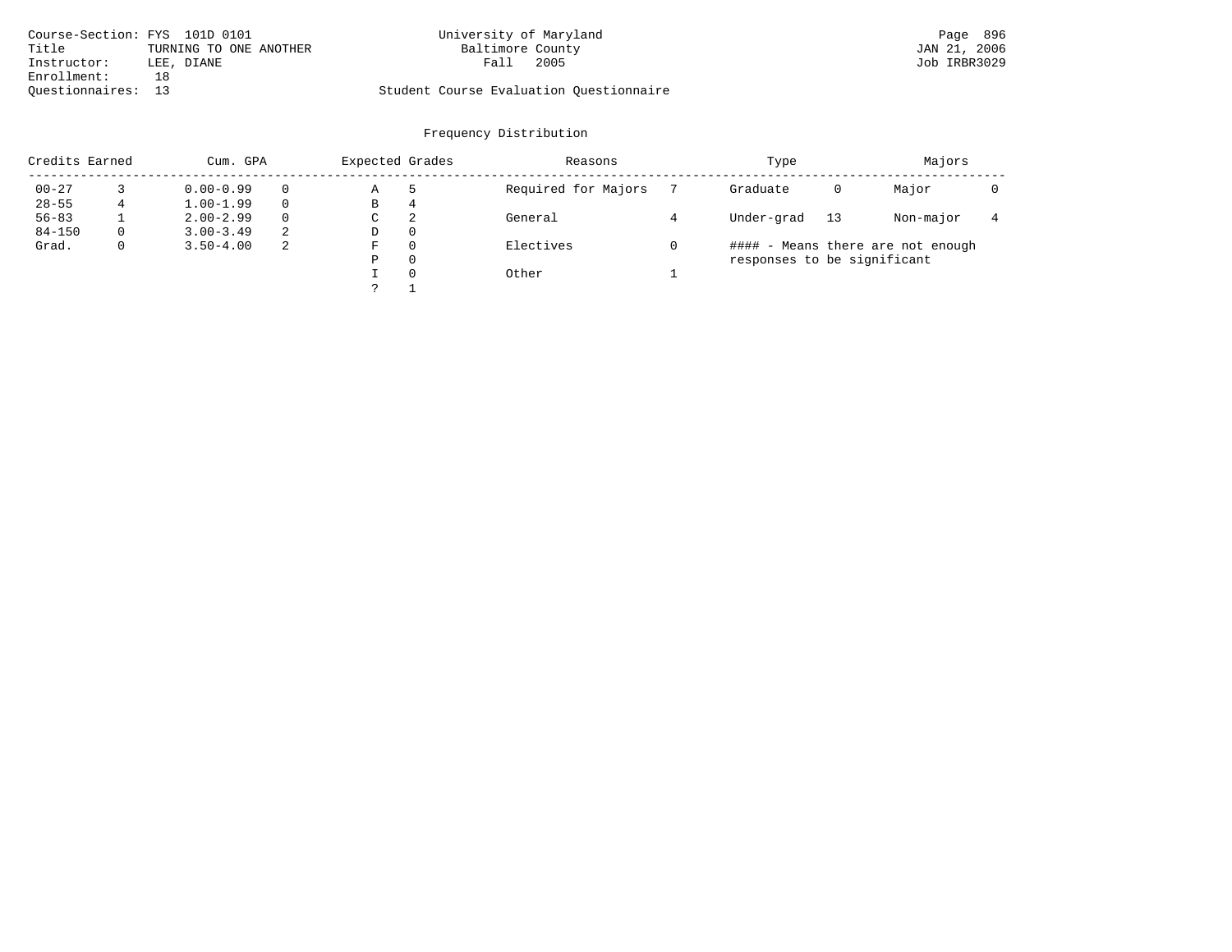|                    | Course-Section: FYS 101D 0101 | University of Maryland                  | Page 896     |
|--------------------|-------------------------------|-----------------------------------------|--------------|
| Title              | TURNING TO ONE ANOTHER        | Baltimore County                        | JAN 21, 2006 |
| Instructor:        | LEE, DIANE                    | 2005<br>Fall                            | Job IRBR3029 |
| Enrollment:        | 18                            |                                         |              |
| Ouestionnaires: 13 |                               | Student Course Evaluation Questionnaire |              |

| Credits Earned |   | Cum. GPA      |          | Expected Grades |          | Reasons             | Type                        |    | Majors                            |  |
|----------------|---|---------------|----------|-----------------|----------|---------------------|-----------------------------|----|-----------------------------------|--|
| $00 - 27$      |   | $0.00 - 0.99$ | $\Omega$ | Α               | -5       | Required for Majors | Graduate                    | 0  | Major                             |  |
| $28 - 55$      | 4 | $1.00 - 1.99$ | $\Omega$ | В               | 4        |                     |                             |    |                                   |  |
| $56 - 83$      |   | $2.00 - 2.99$ | $\Omega$ | C               | 2        | General             | Under-grad                  | 13 | Non-major                         |  |
| $84 - 150$     |   | $3.00 - 3.49$ | 2        | D               | $\Omega$ |                     |                             |    |                                   |  |
| Grad.          |   | $3.50 - 4.00$ | 2        | F               | $\Omega$ | Electives           |                             |    | #### - Means there are not enough |  |
|                |   |               |          | Ρ               | 0        |                     | responses to be significant |    |                                   |  |
|                |   |               |          |                 | $\Omega$ | Other               |                             |    |                                   |  |
|                |   |               |          |                 |          |                     |                             |    |                                   |  |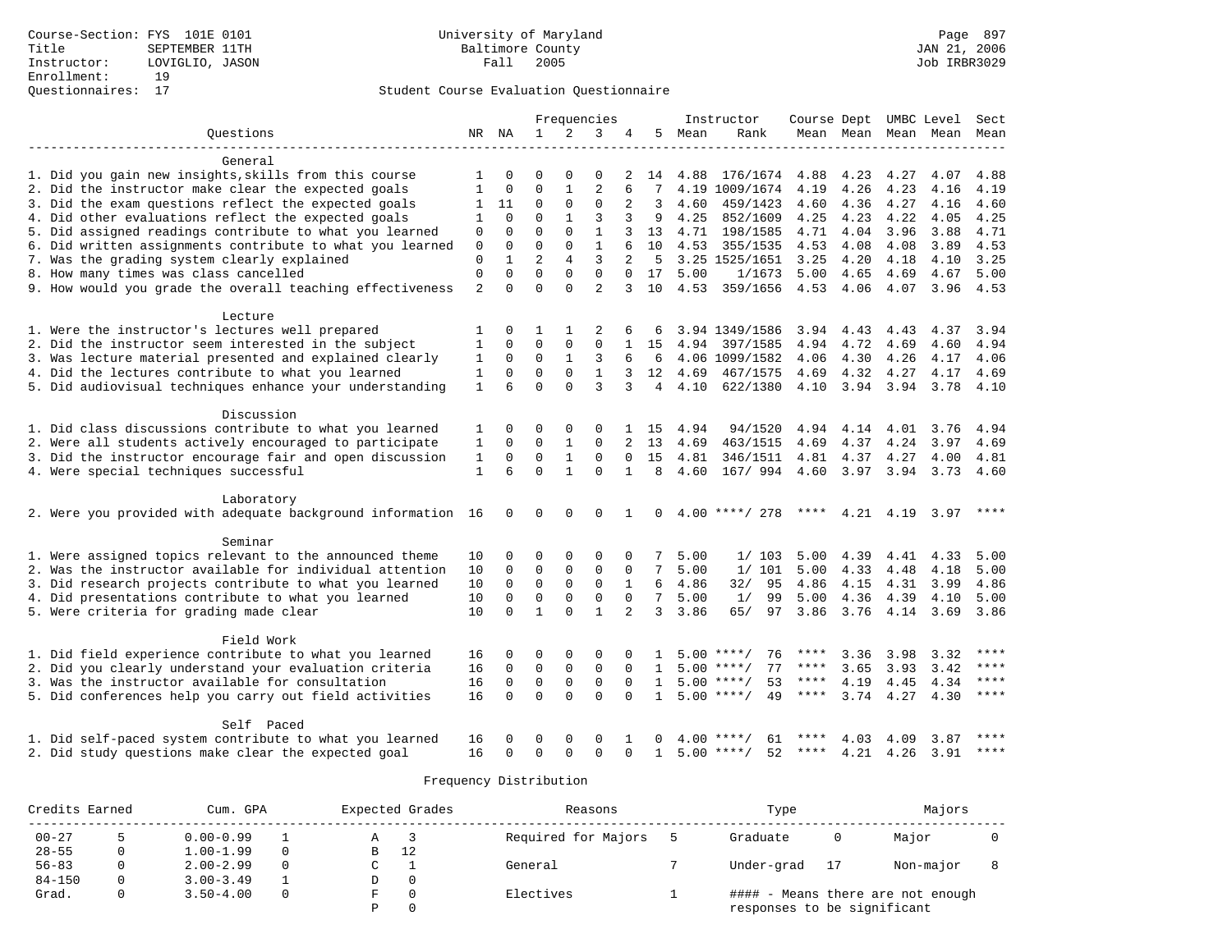### Questionnaires: 17 Student Course Evaluation Questionnaire

|                                                              |                |              |                |              | Frequencies    |                |                 |      | Instructor                   |             |                     |           | Course Dept UMBC Level | Sect        |
|--------------------------------------------------------------|----------------|--------------|----------------|--------------|----------------|----------------|-----------------|------|------------------------------|-------------|---------------------|-----------|------------------------|-------------|
| Ouestions                                                    |                | NR NA        | $\mathbf{1}$   | 2            | 3              | 4              | 5               | Mean | Rank                         |             | Mean Mean Mean Mean |           |                        | Mean        |
|                                                              |                |              |                |              |                |                |                 |      |                              |             |                     |           |                        |             |
| General                                                      |                |              |                |              |                |                |                 |      |                              |             |                     |           |                        |             |
| 1. Did you gain new insights, skills from this course        | 1              | $\Omega$     |                |              | $\Omega$       | 2              | 14              |      | 4.88 176/1674 4.88           |             | 4.23                | 4.27      | 4.07                   | 4.88        |
| 2. Did the instructor make clear the expected goals          | 1              | 0            | $\mathbf 0$    | 1            | 2              |                | 7               |      | 4.19 1009/1674               | 4.19        | 4.26                | 4.23      | 4.16                   | 4.19        |
| 3. Did the exam questions reflect the expected goals         | 1              | 11           | 0              | $\mathbf{0}$ | $\mathbf{0}$   | 2              | 3               | 4.60 | 459/1423                     | 4.60        | 4.36                | 4.27      | 4.16                   | 4.60        |
| 4. Did other evaluations reflect the expected goals          | 1              | $\Omega$     | $\Omega$       | $\mathbf{1}$ | 3              | 3              | 9               | 4.25 | 852/1609                     | 4.25        | 4.23                | 4.22      | 4.05                   | 4.25        |
| 5. Did assigned readings contribute to what you learned      | 0              | $\Omega$     | $\Omega$       | $\Omega$     | $\mathbf{1}$   |                | 13              | 4.71 | 198/1585                     | 4.71        | 4.04                | 3.96      | 3.88                   | 4.71        |
| 6. Did written assignments contribute to what you learned    | $\mathbf{0}$   | $\Omega$     | $\Omega$       | $\Omega$     | $\mathbf{1}$   |                | 10              | 4.53 | 355/1535                     | 4.53        | 4.08                | 4.08      | 3.89                   | 4.53        |
| 7. Was the grading system clearly explained                  | $\mathbf{0}$   | $\mathbf{1}$ | $\overline{a}$ | 4            | 3              | $\overline{2}$ | 5               |      | 3.25 1525/1651               | 3.25        | 4.20                | 4.18      | 4.10                   | 3.25        |
| 8. How many times was class cancelled                        | $\mathbf{0}$   | $\mathbf 0$  | $\mathbf 0$    | $\mathbf{0}$ | $\Omega$       | $\Omega$       | 17              | 5.00 | 1/1673                       | 5.00        | 4.65                | 4.69      | 4.67                   | 5.00        |
| 9. How would you grade the overall teaching effectiveness    | $\overline{2}$ | $\Omega$     | $\Omega$       | $\Omega$     | $\overline{a}$ | 3              | 10              | 4.53 | 359/1656                     | 4.53        | 4.06                | 4.07      | 3.96                   | 4.53        |
| Lecture                                                      |                |              |                |              |                |                |                 |      |                              |             |                     |           |                        |             |
| 1. Were the instructor's lectures well prepared              | 1              | 0            | 1              | 1            |                |                |                 |      | 3.94 1349/1586               |             | 3.94 4.43           | 4.43      | 4.37                   | 3.94        |
| 2. Did the instructor seem interested in the subject         | 1              | $\Omega$     | $\Omega$       | $\mathbf 0$  | $\Omega$       |                | 15              |      | 4.94 397/1585                | 4.94        | 4.72                | 4.69      | 4.60                   | 4.94        |
| 3. Was lecture material presented and explained clearly      | 1              | 0            | $\mathbf 0$    | 1            | 3              | 6              | 6               |      | 4.06 1099/1582               | 4.06        | 4.30                | 4.26      | 4.17                   | 4.06        |
| 4. Did the lectures contribute to what you learned           | 1              | $\mathbf 0$  | $\mathbf 0$    | $\mathbf 0$  | $\mathbf{1}$   | 3              | 12              | 4.69 | 467/1575                     | 4.69        | 4.32                | 4.27      | 4.17                   | 4.69        |
| 5. Did audiovisual techniques enhance your understanding     | $\mathbf{1}$   | 6            | $\Omega$       | $\Omega$     | 3              | 3              | $\overline{4}$  | 4.10 | 622/1380                     | 4.10        | 3.94 3.94           |           | 3.78                   | 4.10        |
| Discussion                                                   |                |              |                |              |                |                |                 |      |                              |             |                     |           |                        |             |
| 1. Did class discussions contribute to what you learned      | 1              | 0            | 0              | 0            | $\Omega$       | $\mathbf{1}$   | 15              | 4.94 | 94/1520                      | 4.94        | 4.14                | 4.01      | 3.76                   | 4.94        |
| 2. Were all students actively encouraged to participate      | 1              | $\Omega$     | $\Omega$       | $\mathbf{1}$ | $\Omega$       |                | 13              | 4.69 | 463/1515                     | 4.69        | 4.37                | 4.24      | 3.97                   | 4.69        |
| 3. Did the instructor encourage fair and open discussion     | 1              | $\mathbf 0$  | 0              | $\mathbf{1}$ | $\mathbf 0$    |                | 15              | 4.81 | 346/1511                     | 4.81 4.37   |                     | 4.27      | 4.00                   | 4.81        |
| 4. Were special techniques successful                        | 1              | 6            | $\Omega$       | $\mathbf{1}$ | $\Omega$       | $\mathbf{1}$   | 8               | 4.60 | 167/ 994 4.60 3.97 3.94 3.73 |             |                     |           |                        | 4.60        |
| Laboratory                                                   |                |              |                |              |                |                |                 |      |                              |             |                     |           |                        |             |
| 2. Were you provided with adequate background information 16 |                | 0            | $\mathbf 0$    | $\Omega$     | $\Omega$       | 1              | $\Omega$        |      | $4.00$ ****/ 278             | ****        |                     | 4.21 4.19 | 3.97                   | ****        |
|                                                              |                |              |                |              |                |                |                 |      |                              |             |                     |           |                        |             |
| Seminar                                                      |                |              |                |              |                |                |                 |      |                              |             |                     |           |                        |             |
| 1. Were assigned topics relevant to the announced theme      | 10             | 0            | $\Omega$       | 0            | $\Omega$       |                |                 | 5.00 | 1/103                        | 5.00        | 4.39                | 4.41      | 4.33                   | 5.00        |
| 2. Was the instructor available for individual attention     | 10             | $\mathbf 0$  | $\mathbf 0$    | $\mathbf 0$  | $\mathbf 0$    | 0              | 7               | 5.00 | 1/101                        | 5.00        | 4.33                | 4.48      | 4.18                   | 5.00        |
| 3. Did research projects contribute to what you learned      | 10             | $\mathbf 0$  | $\mathbf 0$    | $\mathbf 0$  | $\mathbf 0$    | $\mathbf{1}$   | 6               | 4.86 | 32/<br>95                    | 4.86        | 4.15                | 4.31      | 3.99                   | 4.86        |
| 4. Did presentations contribute to what you learned          | 10             | $\Omega$     | $\mathbf 0$    | $\mathbf 0$  | $\mathbf 0$    | $\Omega$       | $7\overline{ }$ | 5.00 | 1/<br>99                     | 5.00        | 4.36                | 4.39      | 4.10                   | 5.00        |
| 5. Were criteria for grading made clear                      | 10             | $\Omega$     | $\mathbf{1}$   | $\Omega$     | $\mathbf{1}$   | $\mathfrak{D}$ | 3               | 3.86 | 65/<br>97                    | 3.86        | 3.76                | 4.14 3.69 |                        | 3.86        |
| Field Work                                                   |                |              |                |              |                |                |                 |      |                              |             |                     |           |                        |             |
| 1. Did field experience contribute to what you learned       | 16             | 0            | 0              | 0            | $\Omega$       |                |                 |      | $5.00$ ****/<br>76           | ****        | 3.36                | 3.98      | 3.32                   | ****        |
| 2. Did you clearly understand your evaluation criteria       | 16             | $\mathbf 0$  | $\mathbf 0$    | $\mathbf 0$  | $\mathbf 0$    | $\Omega$       | 1               | 5.00 | 77<br>$***/$                 | ****        | 3.65                | 3.93      | 3.42                   | ****        |
| 3. Was the instructor available for consultation             | 16             | $\mathbf 0$  | $\mathsf 0$    | $\mathbf 0$  | $\mathbf 0$    | $\Omega$       | $\mathbf{1}$    |      | $5.00$ ****/<br>53           | $***$ * * * | 4.19                | 4.45      | 4.34                   | $***$       |
| 5. Did conferences help you carry out field activities       | 16             | $\Omega$     | $\Omega$       | $\Omega$     | $\Omega$       | $\Omega$       | $\mathbf{1}$    |      | $5.00$ ****/<br>49           | $***$ * * * | 3.74                | 4.27      | 4.30                   | $***$ * * * |
| Self Paced                                                   |                |              |                |              |                |                |                 |      |                              |             |                     |           |                        |             |
| 1. Did self-paced system contribute to what you learned      | 16             | 0            | $\Omega$       | 0            | $\Omega$       |                |                 | 4.00 | 61<br>****/                  |             | 4.03                | 4.09      | 3.87                   | ****        |
| 2. Did study questions make clear the expected goal          | 16             | $\Omega$     | $\Omega$       | $\Omega$     | $\Omega$       | $\Omega$       | $\mathbf{1}$    |      | $5.00$ ****/<br>52           | ****        | 4.21                | 4.26      | 3.91                   | $***$ * * * |

| Credits Earned | Cum. GPA      |          |   | Expected Grades | Reasons             | Type                        |    | Majors                            |  |
|----------------|---------------|----------|---|-----------------|---------------------|-----------------------------|----|-----------------------------------|--|
| $00 - 27$      | $0.00 - 0.99$ |          |   |                 | Required for Majors | Graduate                    |    | Major                             |  |
| $28 - 55$      | $1.00 - 1.99$ | $\Omega$ | в | 12              |                     |                             |    |                                   |  |
| $56 - 83$      | $2.00 - 2.99$ | $\Omega$ |   |                 | General             | Under-grad                  | 17 | Non-major                         |  |
| $84 - 150$     | $3.00 - 3.49$ |          |   |                 |                     |                             |    |                                   |  |
| Grad.          | $3.50 - 4.00$ | $\Omega$ |   |                 | Electives           |                             |    | #### - Means there are not enough |  |
|                |               |          |   |                 |                     | responses to be significant |    |                                   |  |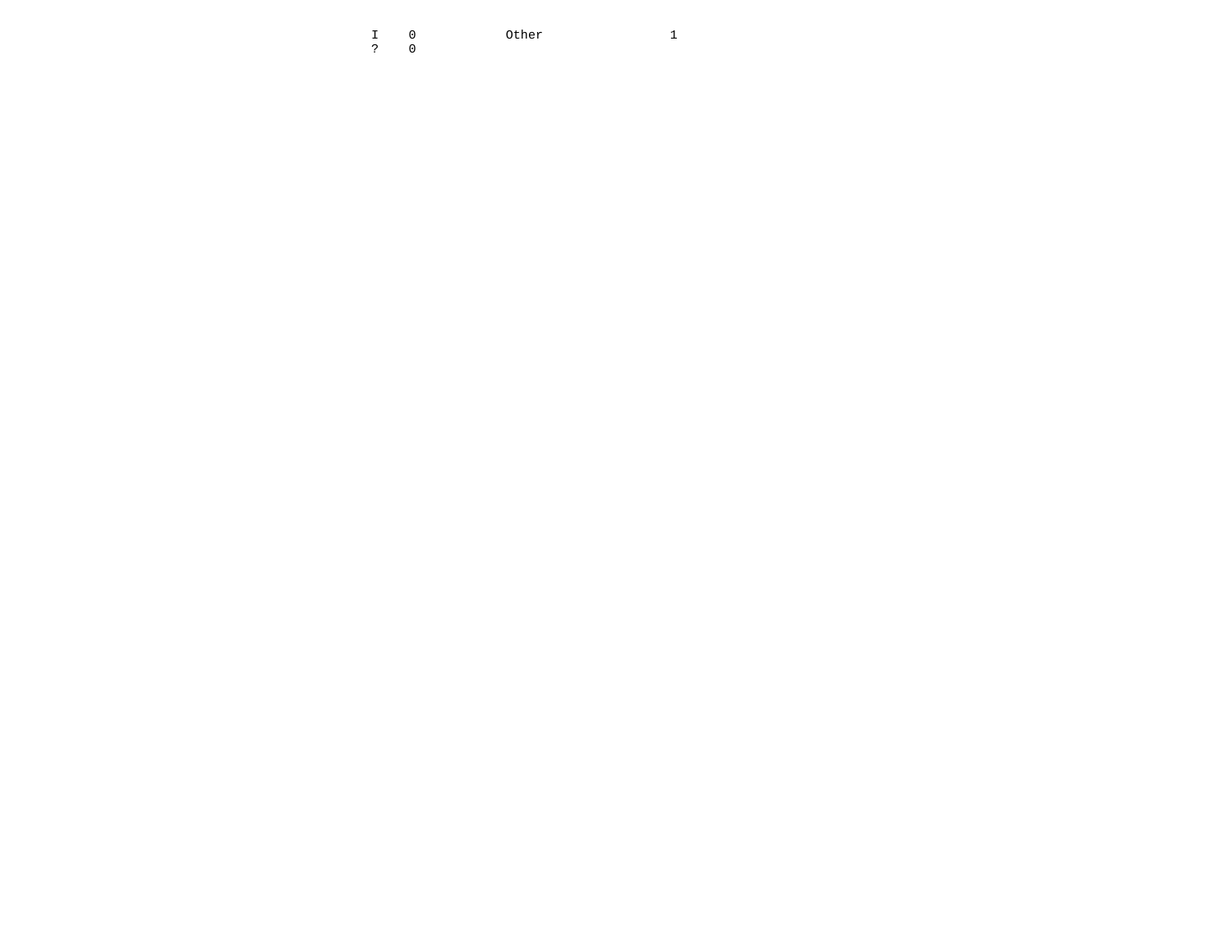I 0 Other 1  $\begin{array}{cc} \text{I} & 0 \\ \text{?} & 0 \end{array}$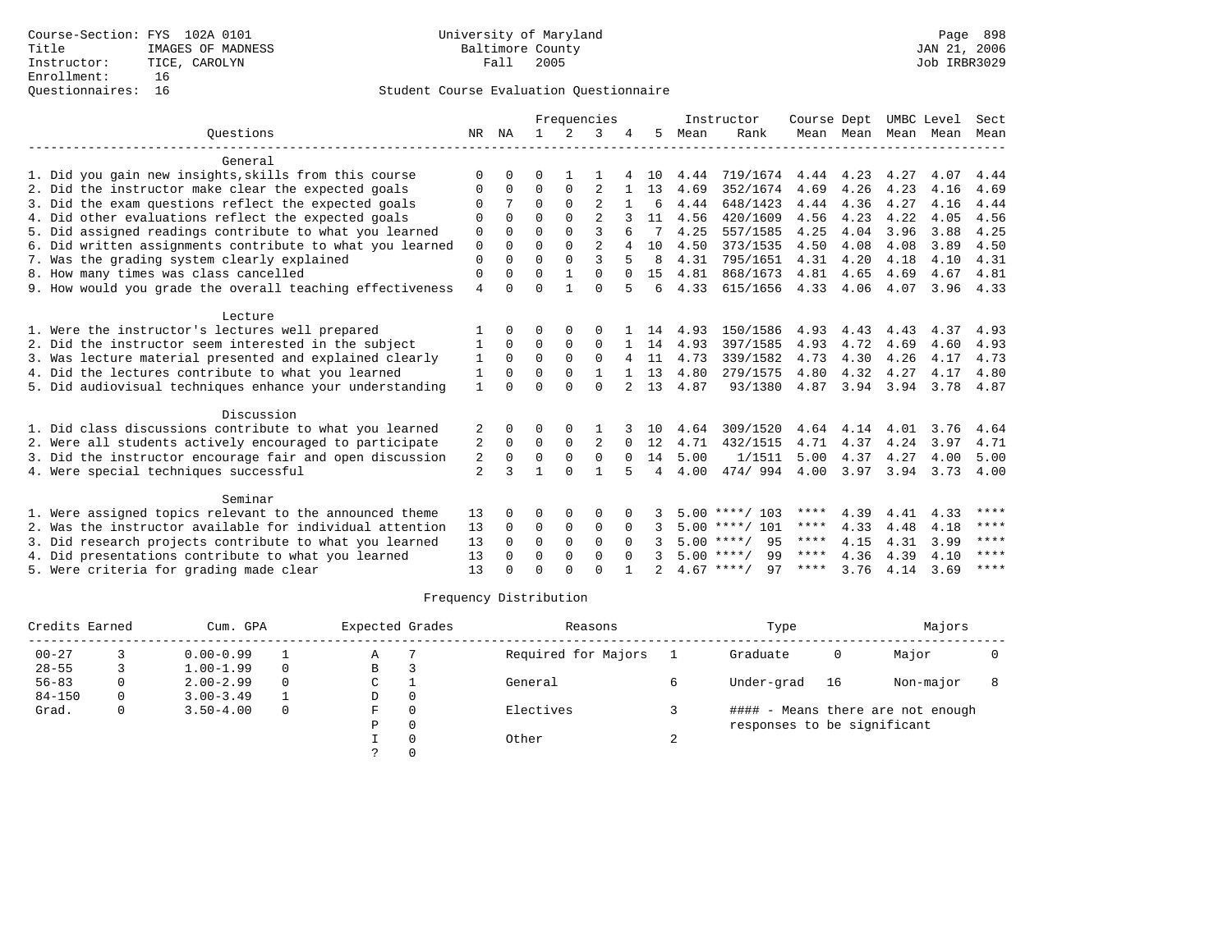|                                                           |                | Frequencies  |              |             |                | Instructor | Course Dept |      | UMBC Level         |      | Sect      |      |      |             |
|-----------------------------------------------------------|----------------|--------------|--------------|-------------|----------------|------------|-------------|------|--------------------|------|-----------|------|------|-------------|
| Ouestions                                                 |                | NR NA        | $\mathbf{1}$ | $2^{\circ}$ | 3              |            | 5           | Mean | Rank               |      | Mean Mean | Mean | Mean | Mean        |
| General                                                   |                |              |              |             |                |            |             |      |                    |      |           |      |      |             |
| 1. Did you gain new insights, skills from this course     | $\Omega$       | O            | 0            |             |                |            | 10          | 4.44 | 719/1674           | 4.44 | 4.23      | 4.27 | 4.07 | 4.44        |
| 2. Did the instructor make clear the expected goals       | O              | $\Omega$     | $\Omega$     | $\Omega$    | $\overline{2}$ |            | 13          | 4.69 | 352/1674           | 4.69 | 4.26      | 4.23 | 4.16 | 4.69        |
| 3. Did the exam questions reflect the expected goals      | O              |              | $\Omega$     | $\Omega$    |                |            | 6           | 4.44 | 648/1423           | 4.44 | 4.36      | 4.27 | 4.16 | 4.44        |
| 4. Did other evaluations reflect the expected goals       | $\Omega$       | $\Omega$     | $\Omega$     | $\Omega$    | $\overline{a}$ |            | 11          | 4.56 | 420/1609           | 4.56 | 4.23      | 4.22 | 4.05 | 4.56        |
| 5. Did assigned readings contribute to what you learned   | 0              | $\Omega$     | $\Omega$     | $\Omega$    | 3              |            |             | 4.25 | 557/1585           | 4.25 | 4.04      | 3.96 | 3.88 | 4.25        |
| 6. Did written assignments contribute to what you learned | $\mathbf 0$    | $\Omega$     | $\Omega$     | $\Omega$    | $\overline{a}$ |            | 10          | 4.50 | 373/1535           | 4.50 | 4.08      | 4.08 | 3.89 | 4.50        |
| 7. Was the grading system clearly explained               | $\Omega$       | $\Omega$     | $\Omega$     | $\Omega$    | 3              |            | 8           | 4.31 | 795/1651           | 4.31 | 4.20      | 4.18 | 4.10 | 4.31        |
| 8. How many times was class cancelled                     | $\mathbf 0$    | 0            | $\Omega$     |             | $\Omega$       | $\Omega$   | 15          | 4.81 | 868/1673           | 4.81 | 4.65      | 4.69 | 4.67 | 4.81        |
| 9. How would you grade the overall teaching effectiveness | $\overline{4}$ | <sup>0</sup> | $\Omega$     | 1           | $\Omega$       | 5          | 6           | 4.33 | 615/1656           | 4.33 | 4.06      | 4.07 | 3.96 | 4.33        |
| Lecture                                                   |                |              |              |             |                |            |             |      |                    |      |           |      |      |             |
| 1. Were the instructor's lectures well prepared           |                | <sup>0</sup> | U            | $\Omega$    | $\Omega$       |            | 14          | 4.93 | 150/1586           | 4.93 | 4.43      | 4.43 | 4.37 | 4.93        |
| 2. Did the instructor seem interested in the subject      |                | $\Omega$     | 0            | 0           | $\mathbf 0$    |            | 14          | 4.93 | 397/1585           | 4.93 | 4.72      | 4.69 | 4.60 | 4.93        |
| 3. Was lecture material presented and explained clearly   | 1              | $\Omega$     | $\Omega$     | $\Omega$    | $\Omega$       |            | 11          | 4.73 | 339/1582           | 4.73 | 4.30      | 4.26 | 4.17 | 4.73        |
| 4. Did the lectures contribute to what you learned        | 1              | $\Omega$     | $\Omega$     | $\Omega$    | $\mathbf{1}$   |            | 13          | 4.80 | 279/1575           | 4.80 | 4.32      | 4.27 | 4.17 | 4.80        |
| 5. Did audiovisual techniques enhance your understanding  | 1              | $\Omega$     | $\Omega$     | $\Omega$    | $\Omega$       |            | 13          | 4.87 | 93/1380            | 4.87 | 3.94      | 3.94 | 3.78 | 4.87        |
| Discussion                                                |                |              |              |             |                |            |             |      |                    |      |           |      |      |             |
| 1. Did class discussions contribute to what you learned   | 2              | <sup>0</sup> | 0            | $\Omega$    |                |            | 10          | 4.64 | 309/1520           | 4.64 | 4.14      | 4.01 | 3.76 | 4.64        |
| 2. Were all students actively encouraged to participate   | 2              | 0            | 0            | 0           | 2              | $\Omega$   | 12          | 4.71 | 432/1515           | 4.71 | 4.37      | 4.24 | 3.97 | 4.71        |
| 3. Did the instructor encourage fair and open discussion  | 2              | 0            | $\Omega$     | $\Omega$    | $\Omega$       | $\Omega$   | 14          | 5.00 | 1/1511             | 5.00 | 4.37      | 4.27 | 4.00 | 5.00        |
| 4. Were special techniques successful                     | $\overline{2}$ | ζ            | 1            | $\Omega$    | $\mathbf{1}$   | 5          | 4           | 4.00 | 474/994            | 4.00 | 3.97      | 3.94 | 3.73 | 4.00        |
| Seminar                                                   |                |              |              |             |                |            |             |      |                    |      |           |      |      |             |
| 1. Were assigned topics relevant to the announced theme   | 13             | <sup>0</sup> | O            | $\Omega$    | $\Omega$       |            |             |      | $5.00$ ****/ 103   | **** | 4.39      | 4.41 | 4.33 | ****        |
| 2. Was the instructor available for individual attention  | 13             | $\Omega$     | 0            | $\mathbf 0$ | $\mathbf 0$    | $\Omega$   |             |      | $5.00$ ****/ 101   | **** | 4.33      | 4.48 | 4.18 | $***$ * * * |
| 3. Did research projects contribute to what you learned   | 13             | $\Omega$     | $\Omega$     | $\mathbf 0$ | $\Omega$       | $\Omega$   |             |      | $5.00$ ****/<br>95 | **** | 4.15      | 4.31 | 3.99 | ****        |
| 4. Did presentations contribute to what you learned       | 13             | <sup>0</sup> | 0            | 0           | $\mathbf 0$    | $\Omega$   |             |      | 99<br>$5.00$ ****/ | **** | 4.36      | 4.39 | 4.10 | ****        |
| 5. Were criteria for grading made clear                   | 13             |              | $\Omega$     | $\cap$      | $\cap$         |            |             |      | $4.67$ ****/<br>97 | **** | 3.76      | 4.14 | 3.69 | ****        |

| Credits Earned |   | Cum. GPA      |          | Expected Grades | Reasons             |   | Type                        |      | Majors                            |  |
|----------------|---|---------------|----------|-----------------|---------------------|---|-----------------------------|------|-----------------------------------|--|
| $00 - 27$      |   | $0.00 - 0.99$ |          | Α               | Required for Majors |   | Graduate                    | 0    | Major                             |  |
| $28 - 55$      |   | $1.00 - 1.99$ | $\Omega$ | B               |                     |   |                             |      |                                   |  |
| $56 - 83$      |   | $2.00 - 2.99$ | $\Omega$ | C               | General             |   | Under-grad                  | - 16 | Non-major                         |  |
| $84 - 150$     | 0 | $3.00 - 3.49$ |          | D               |                     |   |                             |      |                                   |  |
| Grad.          |   | $3.50 - 4.00$ | $\Omega$ | F               | Electives           |   |                             |      | #### - Means there are not enough |  |
|                |   |               |          | P               |                     |   | responses to be significant |      |                                   |  |
|                |   |               |          |                 | Other               | ∠ |                             |      |                                   |  |
|                |   |               |          |                 |                     |   |                             |      |                                   |  |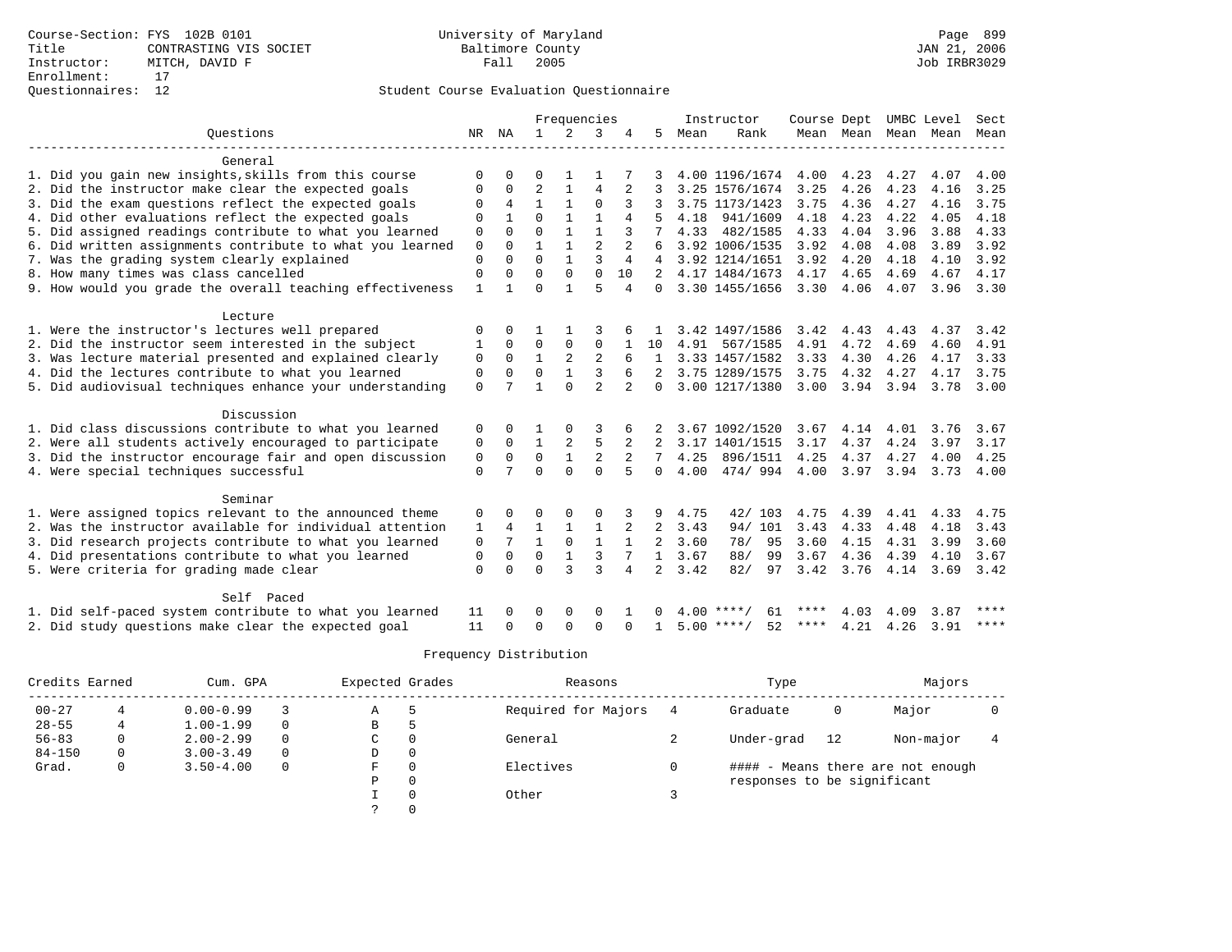|                                                           |              |                |                | Frequencies  |                |                |                |      | Instructor         | Course Dept |                     |      | UMBC Level | Sect        |
|-----------------------------------------------------------|--------------|----------------|----------------|--------------|----------------|----------------|----------------|------|--------------------|-------------|---------------------|------|------------|-------------|
| Ouestions                                                 | NR           | ΝA             | $\mathbf{1}$   | 2            | 3              | 4              | 5              | Mean | Rank               |             | Mean Mean Mean Mean |      |            | Mean        |
| General                                                   |              |                |                |              |                |                |                |      |                    |             |                     |      |            |             |
| 1. Did you gain new insights, skills from this course     | $\Omega$     |                | $\Omega$       |              |                |                |                |      | 4.00 1196/1674     | 4.00        | 4.23                | 4.27 | 4.07       | 4.00        |
| 2. Did the instructor make clear the expected goals       | 0            | $\Omega$       | $\overline{2}$ |              | $\overline{4}$ | $\overline{a}$ |                |      | 3.25 1576/1674     | 3.25        | 4.26                | 4.23 | 4.16       | 3.25        |
| 3. Did the exam questions reflect the expected goals      | $\Omega$     | $\overline{4}$ | $\mathbf{1}$   |              | $\Omega$       | 3              | 3              |      | 3.75 1173/1423     | 3.75        | 4.36                | 4.27 | 4.16       | 3.75        |
| 4. Did other evaluations reflect the expected goals       | 0            |                | $\Omega$       |              |                | 4              |                | 4.18 | 941/1609           | 4.18        | 4.23                | 4.22 | 4.05       | 4.18        |
| 5. Did assigned readings contribute to what you learned   | 0            | $\Omega$       | $\Omega$       |              |                | 3              |                | 4.33 | 482/1585           | 4.33        | 4.04                | 3.96 | 3.88       | 4.33        |
| 6. Did written assignments contribute to what you learned | 0            | $\Omega$       |                |              | $\overline{2}$ | 2              |                |      | 3.92 1006/1535     | 3.92        | 4.08                | 4.08 | 3.89       | 3.92        |
| 7. Was the grading system clearly explained               | $\mathbf 0$  | $\Omega$       | $\Omega$       |              | 3              | 4              |                |      | 3.92 1214/1651     | 3.92        | 4.20                | 4.18 | 4.10       | 3.92        |
| 8. How many times was class cancelled                     | $\Omega$     | $\Omega$       | $\Omega$       | $\Omega$     | $\Omega$       | 10             | $2^{1}$        |      | 4.17 1484/1673     | 4.17        | 4.65                | 4.69 | 4.67       | 4.17        |
| 9. How would you grade the overall teaching effectiveness | $\mathbf{1}$ |                | $\Omega$       |              | 5              | 4              | $\Omega$       |      | 3.30 1455/1656     | 3.30        | 4.06                | 4.07 | 3.96       | 3.30        |
| Lecture                                                   |              |                |                |              |                |                |                |      |                    |             |                     |      |            |             |
| 1. Were the instructor's lectures well prepared           | $\Omega$     | $\Omega$       |                |              |                |                |                |      | 3.42 1497/1586     | 3.42        | 4.43                | 4.43 | 4.37       | 3.42        |
| 2. Did the instructor seem interested in the subject      | 1            | $\Omega$       | $\Omega$       | $\Omega$     | $\Omega$       |                | 10             | 4.91 | 567/1585           | 4.91        | 4.72                | 4.69 | 4.60       | 4.91        |
| 3. Was lecture material presented and explained clearly   | 0            | $\Omega$       | $\mathbf{1}$   | 2            | $\overline{2}$ |                | $\mathbf{1}$   |      | 3.33 1457/1582     | 3.33        | 4.30                | 4.26 | 4.17       | 3.33        |
| 4. Did the lectures contribute to what you learned        | 0            | $\Omega$       | $\Omega$       |              | 3              |                |                |      | 3.75 1289/1575     | 3.75        | 4.32                | 4.27 | 4.17       | 3.75        |
| 5. Did audiovisual techniques enhance your understanding  | $\Omega$     | 7              |                | $\Omega$     | $\overline{a}$ |                | $\Omega$       |      | 3.00 1217/1380     | 3.00        | 3.94 3.94           |      | 3.78       | 3.00        |
| Discussion                                                |              |                |                |              |                |                |                |      |                    |             |                     |      |            |             |
| 1. Did class discussions contribute to what you learned   | 0            | $\Omega$       |                |              | 3              | 6              |                |      | 3.67 1092/1520     | 3.67        | 4.14                | 4.01 | 3.76       | 3.67        |
| 2. Were all students actively encouraged to participate   | 0            | $\Omega$       |                | 2            | 5              | 2              | 2              |      | 3.17 1401/1515     | 3.17        | 4.37                | 4.24 | 3.97       | 3.17        |
| 3. Did the instructor encourage fair and open discussion  | $\mathbf 0$  | $\Omega$       | $\Omega$       |              | $\overline{2}$ |                | 7              | 4.25 | 896/1511           | 4.25        | 4.37                | 4.27 | 4.00       | 4.25        |
| 4. Were special techniques successful                     | $\Omega$     |                | $\Omega$       | $\Omega$     | $\Omega$       | 5              | $\Omega$       | 4.00 | 474/994            | 4.00        | 3.97                | 3.94 | 3.73       | 4.00        |
| Seminar                                                   |              |                |                |              |                |                |                |      |                    |             |                     |      |            |             |
| 1. Were assigned topics relevant to the announced theme   | 0            |                | $\Omega$       |              | $\Omega$       |                | 9              | 4.75 | 42/103             | 4.75        | 4.39                | 4.41 | 4.33       | 4.75        |
| 2. Was the instructor available for individual attention  | 1            | 4              | $\mathbf{1}$   |              | $\mathbf{1}$   | 2              | $\overline{2}$ | 3.43 | 94/ 101            | 3.43        | 4.33                | 4.48 | 4.18       | 3.43        |
| 3. Did research projects contribute to what you learned   | 0            | 7              | $\mathbf{1}$   | $\Omega$     | $\mathbf{1}$   | $\mathbf{1}$   | $\overline{a}$ | 3.60 | 78/<br>95          | 3.60        | 4.15                | 4.31 | 3.99       | 3.60        |
| 4. Did presentations contribute to what you learned       | 0            | $\Omega$       | $\mathbf 0$    | $\mathbf{1}$ | 3              |                | $\mathbf{1}$   | 3.67 | 88/<br>99          | 3.67        | 4.36                | 4.39 | 4.10       | 3.67        |
| 5. Were criteria for grading made clear                   | $\Omega$     | $\Omega$       | $\Omega$       | 3            | $\mathbf{3}$   | 4              | $\overline{a}$ | 3.42 | 82/<br>97          | 3.42        | 3.76                | 4.14 | 3.69       | 3.42        |
| Self Paced                                                |              |                |                |              |                |                |                |      |                    |             |                     |      |            |             |
| 1. Did self-paced system contribute to what you learned   | 11           |                |                | $\Omega$     | $\Omega$       |                |                | 4.00 | 61                 |             | 4.03                | 4.09 | 3.87       | $***$ * * * |
| 2. Did study questions make clear the expected goal       | 11           | $\Omega$       | $\Omega$       | $\Omega$     | $\Omega$       | $\Omega$       |                |      | $5.00$ ****/<br>52 | ****        | 4.21                | 4.26 | 3.91       | $***$ * * * |

| Credits Earned |   | Cum. GPA      |             | Expected Grades |          | Reasons             | Type                        |    | Majors                            |  |
|----------------|---|---------------|-------------|-----------------|----------|---------------------|-----------------------------|----|-----------------------------------|--|
| $00 - 27$      |   | $0.00 - 0.99$ |             | Α               |          | Required for Majors | Graduate                    | 0  | Major                             |  |
| $28 - 55$      |   | $1.00 - 1.99$ | 0           | B               |          |                     |                             |    |                                   |  |
| $56 - 83$      |   | $2.00 - 2.99$ | $\Omega$    | C               |          | General             | Under-grad                  | 12 | Non-major                         |  |
| $84 - 150$     |   | $3.00 - 3.49$ | $\mathbf 0$ | D               | $\Omega$ |                     |                             |    |                                   |  |
| Grad.          | 0 | $3.50 - 4.00$ | 0           | F               |          | Electives           |                             |    | #### - Means there are not enough |  |
|                |   |               |             | Ρ               |          |                     | responses to be significant |    |                                   |  |
|                |   |               |             |                 |          | Other               |                             |    |                                   |  |
|                |   |               |             |                 |          |                     |                             |    |                                   |  |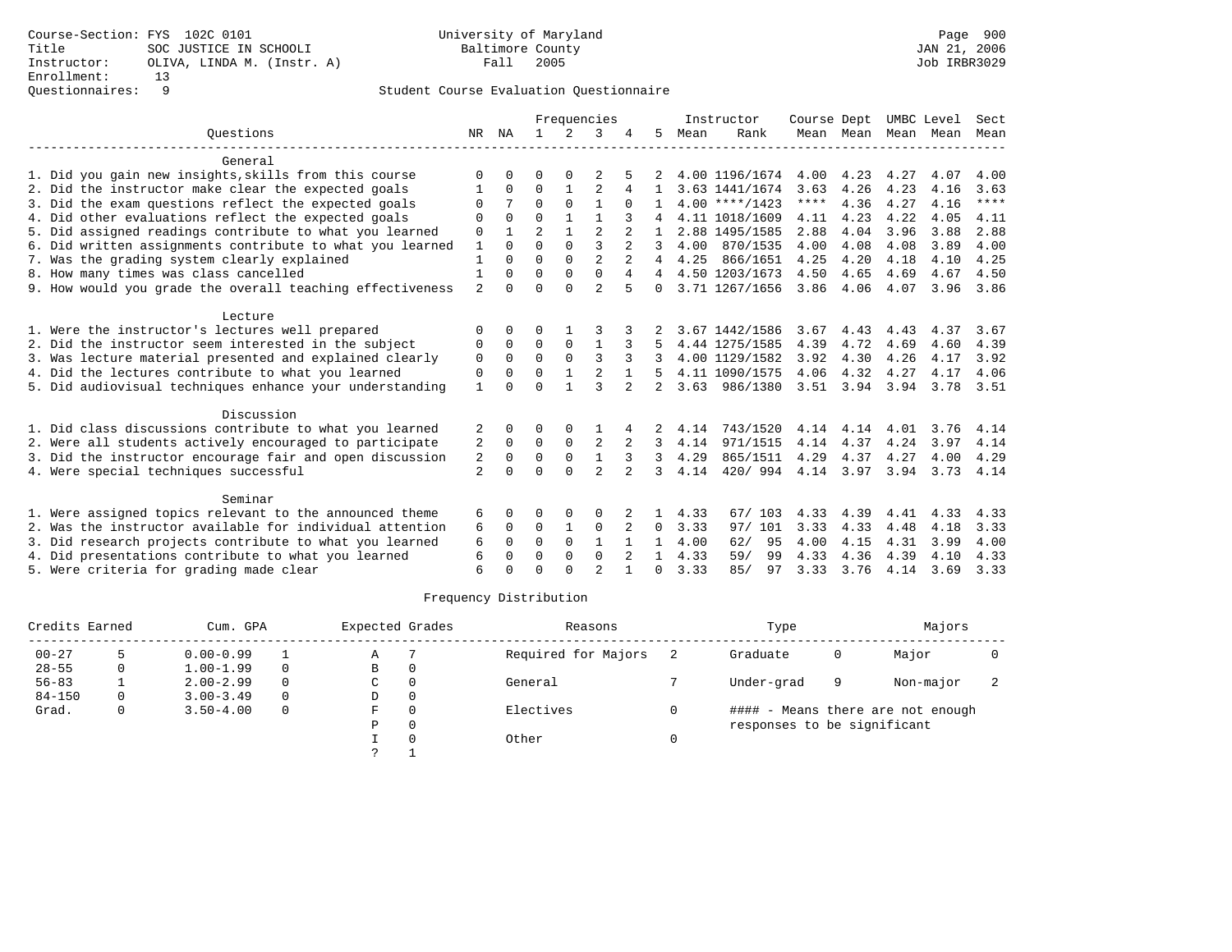|                                                           |                | Frequencies  |                |               |                | Instructor     | Course Dept    |      |                  | UMBC Level | Sect      |      |      |      |
|-----------------------------------------------------------|----------------|--------------|----------------|---------------|----------------|----------------|----------------|------|------------------|------------|-----------|------|------|------|
| Ouestions                                                 |                | NR NA        | $\mathbf{1}$   | $\mathcal{L}$ | 3              |                | 5              | Mean | Rank             |            | Mean Mean | Mean | Mean | Mean |
| General                                                   |                |              |                |               |                |                |                |      |                  |            |           |      |      |      |
| 1. Did you gain new insights, skills from this course     | ∩              | <sup>0</sup> | O              | $\Omega$      |                |                |                |      | 4.00 1196/1674   | 4.00       | 4.23      | 4.27 | 4.07 | 4.00 |
| 2. Did the instructor make clear the expected goals       |                | $\Omega$     | $\Omega$       | 1             | $\overline{2}$ |                |                |      | 3.63 1441/1674   | 3.63       | 4.26      | 4.23 | 4.16 | 3.63 |
| 3. Did the exam questions reflect the expected goals      | O              |              | $\Omega$       | $\Omega$      |                | 0              |                |      | $4.00$ ****/1423 | ****       | 4.36      | 4.27 | 4.16 | **** |
| 4. Did other evaluations reflect the expected goals       | $\Omega$       | $\Omega$     | $\Omega$       | $\mathbf{1}$  | 1              |                |                |      | 4.11 1018/1609   | 4.11       | 4.23      | 4.22 | 4.05 | 4.11 |
| 5. Did assigned readings contribute to what you learned   | 0              |              | $\overline{a}$ | 1             | $\overline{2}$ | $\overline{2}$ |                |      | 2.88 1495/1585   | 2.88       | 4.04      | 3.96 | 3.88 | 2.88 |
| 6. Did written assignments contribute to what you learned | 1              | $\cap$       | $\cap$         | $\Omega$      | $\mathbf{3}$   | $\mathfrak{D}$ | 3              | 4.00 | 870/1535         | 4.00       | 4.08      | 4.08 | 3.89 | 4.00 |
| 7. Was the grading system clearly explained               |                |              | $\Omega$       | $\Omega$      | $\overline{2}$ |                |                | 4.25 | 866/1651         | 4.25       | 4.20      | 4.18 | 4.10 | 4.25 |
| 8. How many times was class cancelled                     | 1              | 0            | $\Omega$       | $\Omega$      | $\Omega$       | 4              | 4              |      | 4.50 1203/1673   | 4.50       | 4.65      | 4.69 | 4.67 | 4.50 |
| 9. How would you grade the overall teaching effectiveness | $\overline{a}$ | $\Omega$     | $\Omega$       | $\cap$        | $\overline{2}$ | 5              | 0              |      | 3.71 1267/1656   | 3.86       | 4.06      | 4.07 | 3.96 | 3.86 |
| Lecture                                                   |                |              |                |               |                |                |                |      |                  |            |           |      |      |      |
| 1. Were the instructor's lectures well prepared           | $\Omega$       | 0            | 0              |               |                |                |                |      | 3.67 1442/1586   | 3.67       | 4.43      | 4.43 | 4.37 | 3.67 |
| 2. Did the instructor seem interested in the subject      | $\Omega$       | $\Omega$     | $\Omega$       | 0             | 1              |                |                |      | 4.44 1275/1585   | 4.39       | 4.72      | 4.69 | 4.60 | 4.39 |
| 3. Was lecture material presented and explained clearly   | 0              | $\Omega$     | $\Omega$       | $\Omega$      | 3              |                |                |      | 4.00 1129/1582   | 3.92       | 4.30      | 4.26 | 4.17 | 3.92 |
| 4. Did the lectures contribute to what you learned        | 0              | $\Omega$     | $\Omega$       |               |                |                |                |      | 4.11 1090/1575   | 4.06       | 4.32      | 4.27 | 4.17 | 4.06 |
| 5. Did audiovisual techniques enhance your understanding  | $\mathbf{1}$   | $\cap$       | $\cap$         |               | $\mathbf{3}$   | $\mathfrak{D}$ | $\mathfrak{D}$ | 3.63 | 986/1380         | 3.51       | 3.94      | 3.94 | 3.78 | 3.51 |
| Discussion                                                |                |              |                |               |                |                |                |      |                  |            |           |      |      |      |
| 1. Did class discussions contribute to what you learned   | 2              | 0            | O              | $\Omega$      |                |                |                | 4.14 | 743/1520         | 4.14       | 4.14      | 4.01 | 3.76 | 4.14 |
| 2. Were all students actively encouraged to participate   | 2              | 0            | $\Omega$       | 0             | $\overline{2}$ | 2              | 3              | 4.14 | 971/1515         | 4.14       | 4.37      | 4.24 | 3.97 | 4.14 |
| 3. Did the instructor encourage fair and open discussion  | 2              | 0            | $\mathbf 0$    | $\mathbf 0$   | $\mathbf{1}$   | 3              | 3              | 4.29 | 865/1511         | 4.29       | 4.37      | 4.27 | 4.00 | 4.29 |
| 4. Were special techniques successful                     | $\overline{a}$ | <sup>0</sup> | $\Omega$       | $\Omega$      | $\overline{2}$ | $\overline{a}$ | 3              | 4.14 | 420/994          | 4.14 3.97  |           | 3.94 | 3.73 | 4.14 |
| Seminar                                                   |                |              |                |               |                |                |                |      |                  |            |           |      |      |      |
| 1. Were assigned topics relevant to the announced theme   | 6              | 0            | 0              | $\Omega$      | $\Omega$       |                |                | 4.33 | 67/103           | 4.33       | 4.39      | 4.41 | 4.33 | 4.33 |
| 2. Was the instructor available for individual attention  | 6              | 0            | 0              |               | $\mathbf 0$    | 2              | 0              | 3.33 | 97/ 101          | 3.33       | 4.33      | 4.48 | 4.18 | 3.33 |
| 3. Did research projects contribute to what you learned   | 6              | $\Omega$     | $\Omega$       | $\Omega$      | $\mathbf{1}$   |                | 1              | 4.00 | 62/<br>95        | 4.00       | 4.15      | 4.31 | 3.99 | 4.00 |
| 4. Did presentations contribute to what you learned       | 6              | 0            | $\Omega$       | $\Omega$      | $\mathbf 0$    |                | 1.             | 4.33 | 99<br>59/        | 4.33       | 4.36      | 4.39 | 4.10 | 4.33 |
| 5. Were criteria for grading made clear                   | 6              |              | $\Omega$       | $\cap$        | $\overline{a}$ |                | <sup>0</sup>   | 3.33 | 85/<br>97        | 3.33       | 3.76      | 4.14 | 3.69 | 3.33 |

| Credits Earned |   | Cum. GPA      |          | Expected Grades |          | Reasons             | Type                        |   | Majors                            |  |
|----------------|---|---------------|----------|-----------------|----------|---------------------|-----------------------------|---|-----------------------------------|--|
| $00 - 27$      |   | $0.00 - 0.99$ |          | Α               |          | Required for Majors | Graduate                    | 0 | Major                             |  |
| $28 - 55$      | 0 | $1.00 - 1.99$ |          | В               | 0        |                     |                             |   |                                   |  |
| $56 - 83$      |   | $2.00 - 2.99$ |          | C               | $\Omega$ | General             | Under-grad                  | 9 | Non-major                         |  |
| $84 - 150$     | 0 | $3.00 - 3.49$ | $\Omega$ | D               | $\Omega$ |                     |                             |   |                                   |  |
| Grad.          | 0 | $3.50 - 4.00$ | 0        | F.              | $\Omega$ | Electives           |                             |   | #### - Means there are not enough |  |
|                |   |               |          | P               | $\Omega$ |                     | responses to be significant |   |                                   |  |
|                |   |               |          |                 |          | Other               |                             |   |                                   |  |
|                |   |               |          |                 |          |                     |                             |   |                                   |  |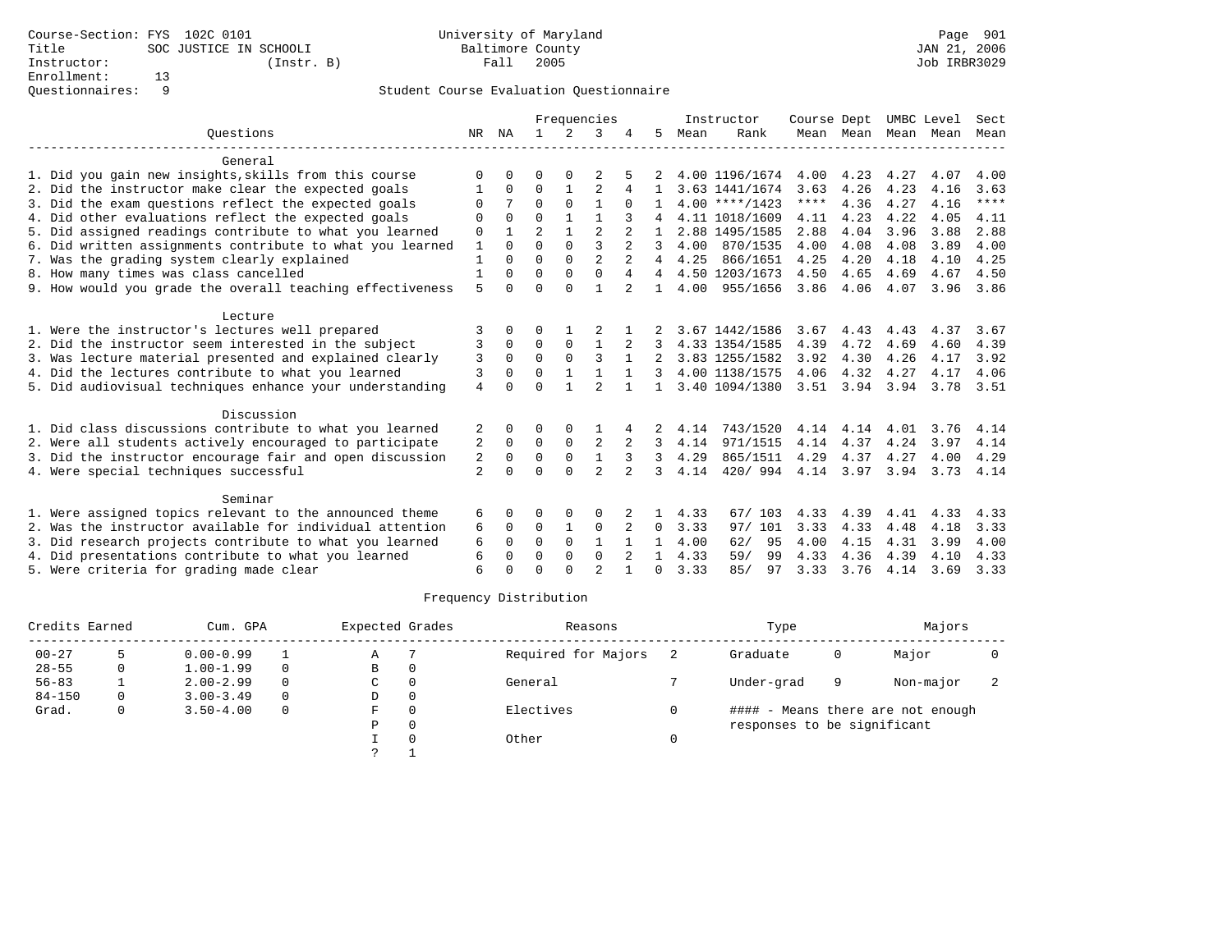|                                                           |                |          |                |              | Frequencies    |                |              |      | Instructor       | Course Dept |                     | UMBC Level |      | Sect  |
|-----------------------------------------------------------|----------------|----------|----------------|--------------|----------------|----------------|--------------|------|------------------|-------------|---------------------|------------|------|-------|
| Ouestions                                                 | NR             | ΝA       |                | 2            | २              |                | 5            | Mean | Rank             |             | Mean Mean Mean Mean |            |      | Mean  |
| General                                                   |                |          |                |              |                |                |              |      |                  |             |                     |            |      |       |
| 1. Did you gain new insights, skills from this course     | U              |          | O              |              |                |                |              |      | 4.00 1196/1674   | 4.00        | 4.23                | 4.27       | 4.07 | 4.00  |
| 2. Did the instructor make clear the expected goals       |                | 0        | 0              |              | $\overline{2}$ | 4              |              |      | 3.63 1441/1674   | 3.63        | 4.26                | 4.23       | 4.16 | 3.63  |
| 3. Did the exam questions reflect the expected goals      | O              | 7        | $\Omega$       | $\Omega$     | $\mathbf{1}$   | $\Omega$       |              |      | $4.00$ ****/1423 | ****        | 4.36                | 4.27       | 4.16 | $***$ |
| 4. Did other evaluations reflect the expected goals       | $\Omega$       | $\Omega$ | $\Omega$       |              |                |                |              |      | 4.11 1018/1609   | 4.11        | 4.23                | 4.22       | 4.05 | 4.11  |
| 5. Did assigned readings contribute to what you learned   | $\mathbf 0$    | 1        | $\overline{2}$ | $\mathbf{1}$ | $\overline{a}$ |                |              |      | 2.88 1495/1585   | 2.88        | 4.04                | 3.96       | 3.88 | 2.88  |
| 6. Did written assignments contribute to what you learned | $\mathbf{1}$   | $\Omega$ | $\Omega$       | $\Omega$     | ζ              |                | 3            | 4.00 | 870/1535         | 4.00        | 4.08                | 4.08       | 3.89 | 4.00  |
| 7. Was the grading system clearly explained               | $\mathbf{1}$   | $\cap$   | $\cap$         | $\Omega$     | $\overline{a}$ | $\overline{a}$ | 4            | 4.25 | 866/1651         | 4.25        | 4.20                | 4.18       | 4.10 | 4.25  |
| 8. How many times was class cancelled                     | $\mathbf{1}$   | O        | $\Omega$       | $\Omega$     | $\mathbf{0}$   | $\overline{4}$ | 4            |      | 4.50 1203/1673   | 4.50        | 4.65                | 4.69       | 4.67 | 4.50  |
| 9. How would you grade the overall teaching effectiveness | 5              | $\Omega$ | $\Omega$       | $\Omega$     | $\mathbf{1}$   | $\mathfrak{D}$ | $\mathbf{1}$ | 4.00 | 955/1656         | 3.86        | 4.06                | 4.07       | 3.96 | 3.86  |
| Lecture                                                   |                |          |                |              |                |                |              |      |                  |             |                     |            |      |       |
| 1. Were the instructor's lectures well prepared           | 3              | U        | O              |              |                |                |              |      | 3.67 1442/1586   | 3.67        | 4.43                | 4.43       | 4.37 | 3.67  |
| 2. Did the instructor seem interested in the subject      | 3              | 0        | $\Omega$       | $\mathbf 0$  | $\mathbf{1}$   | 2              |              |      | 4.33 1354/1585   | 4.39        | 4.72                | 4.69       | 4.60 | 4.39  |
| 3. Was lecture material presented and explained clearly   | 3              | $\Omega$ | $\Omega$       | $\Omega$     | 3              |                |              |      | 3.83 1255/1582   | 3.92        | 4.30                | 4.26       | 4.17 | 3.92  |
| 4. Did the lectures contribute to what you learned        | 3              | $\Omega$ | 0              | 1            | $\mathbf{1}$   | $\mathbf{1}$   |              |      | 4.00 1138/1575   | 4.06        | 4.32                | 4.27       | 4.17 | 4.06  |
| 5. Did audiovisual techniques enhance your understanding  | 4              | $\Omega$ | $\Omega$       |              | $\mathfrak{D}$ |                | $\mathbf{1}$ |      | 3.40 1094/1380   | 3.51        | 3.94                | 3.94       | 3.78 | 3.51  |
| Discussion                                                |                |          |                |              |                |                |              |      |                  |             |                     |            |      |       |
| 1. Did class discussions contribute to what you learned   |                | O        | O              | $\Omega$     |                |                |              | 4.14 | 743/1520         | 4.14        | 4.14                | 4.01       | 3.76 | 4.14  |
| 2. Were all students actively encouraged to participate   | 2              | 0        | $\Omega$       | $\mathbf 0$  | 2              |                | 3            | 4.14 | 971/1515         | 4.14        | 4.37                | 4.24       | 3.97 | 4.14  |
| 3. Did the instructor encourage fair and open discussion  | 2              | 0        | $\Omega$       | $\Omega$     | $\mathbf{1}$   | 3              | 3            | 4.29 | 865/1511         | 4.29        | 4.37                | 4.27       | 4.00 | 4.29  |
| 4. Were special techniques successful                     | $\overline{a}$ | $\Omega$ | $\Omega$       | $\Omega$     | $\mathfrak{D}$ |                | 3            | 4.14 | 420/994          | 4.14        | 3.97                | 3.94       | 3.73 | 4.14  |
| Seminar                                                   |                |          |                |              |                |                |              |      |                  |             |                     |            |      |       |
| 1. Were assigned topics relevant to the announced theme   | 6              | 0        | 0              | $\Omega$     | O              |                |              | 4.33 | 67/103           | 4.33        | 4.39                | 4.41       | 4.33 | 4.33  |
| 2. Was the instructor available for individual attention  | 6              | 0        | 0              | 1            | $\mathbf 0$    | 2              | $\Omega$     | 3.33 | 97/ 101          | 3.33        | 4.33                | 4.48       | 4.18 | 3.33  |
| 3. Did research projects contribute to what you learned   | 6              | $\Omega$ | $\Omega$       | $\Omega$     | $\mathbf{1}$   |                |              | 4.00 | 62/<br>95        | 4.00        | 4.15                | 4.31       | 3.99 | 4.00  |
| 4. Did presentations contribute to what you learned       | 6              | $\Omega$ | $\Omega$       | $\Omega$     | $\Omega$       |                |              | 4.33 | 99<br>59/        | 4.33        | 4.36                | 4.39       | 4.10 | 4.33  |
| 5. Were criteria for grading made clear                   | 6              | U        | $\Omega$       | $\cap$       | $\mathfrak{D}$ | $\mathbf{1}$   | 0            | 3.33 | 85/<br>97        | 3.33        | 3.76                | 4.14       | 3.69 | 3.33  |

| Credits Earned |   | Cum. GPA      |          | Expected Grades |          | Reasons             | Type                        |   | Majors                            |  |
|----------------|---|---------------|----------|-----------------|----------|---------------------|-----------------------------|---|-----------------------------------|--|
| $00 - 27$      |   | $0.00 - 0.99$ |          | Α               |          | Required for Majors | Graduate                    | 0 | Major                             |  |
| $28 - 55$      | 0 | $1.00 - 1.99$ | $\Omega$ | B               | $\Omega$ |                     |                             |   |                                   |  |
| $56 - 83$      |   | $2.00 - 2.99$ | $\Omega$ | C               |          | General             | Under-grad                  | 9 | Non-major                         |  |
| $84 - 150$     | 0 | $3.00 - 3.49$ | $\Omega$ | D               | $\Omega$ |                     |                             |   |                                   |  |
| Grad.          |   | $3.50 - 4.00$ | $\Omega$ | F.              |          | Electives           |                             |   | #### - Means there are not enough |  |
|                |   |               |          | P               | $\Omega$ |                     | responses to be significant |   |                                   |  |
|                |   |               |          |                 |          | Other               |                             |   |                                   |  |
|                |   |               |          |                 |          |                     |                             |   |                                   |  |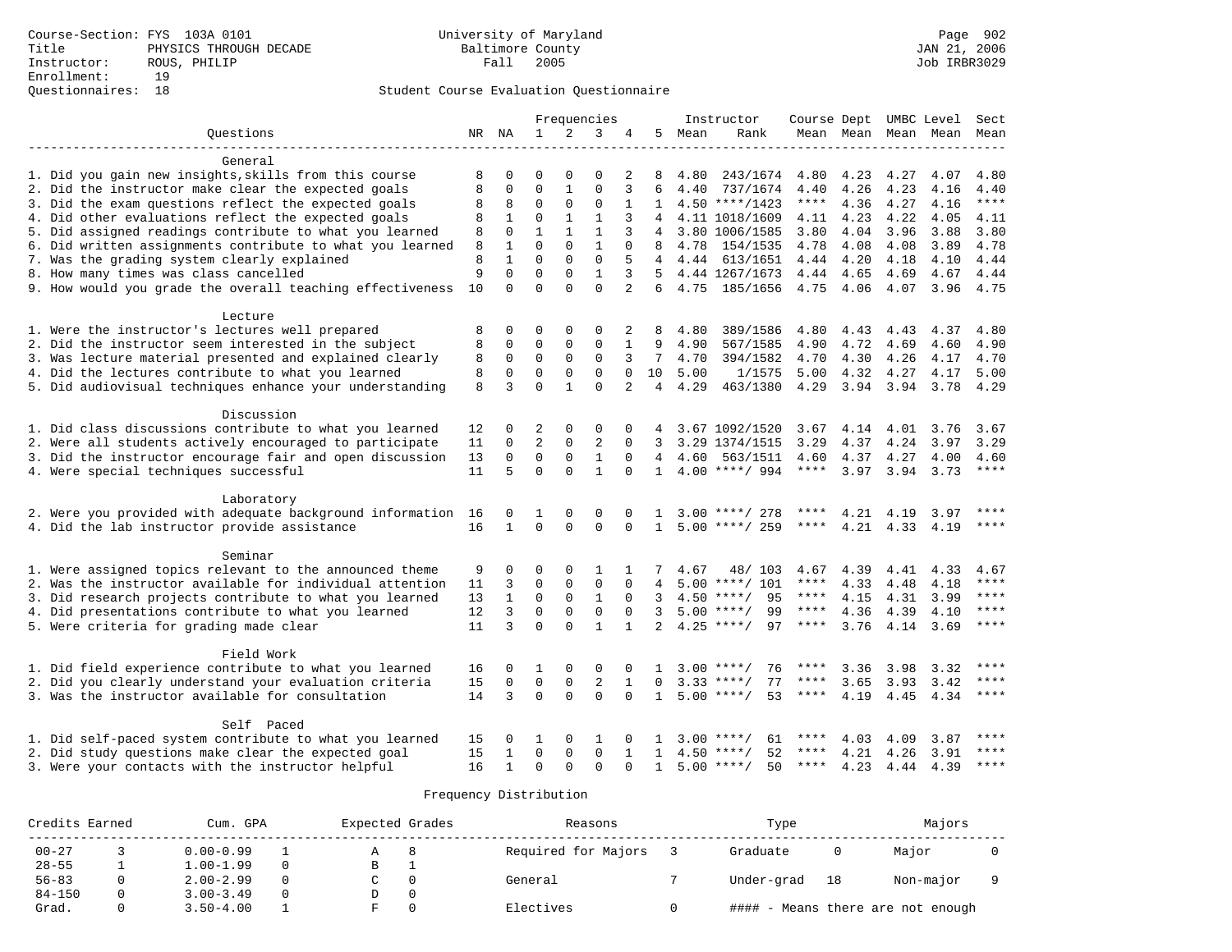|                                                           |    |              |              |              | Frequencies    |                |                |      | Instructor         | Course Dept UMBC Level |      |      |                     | Sect    |
|-----------------------------------------------------------|----|--------------|--------------|--------------|----------------|----------------|----------------|------|--------------------|------------------------|------|------|---------------------|---------|
| Ouestions                                                 |    | NR NA        | 1            | 2            | 3              | 4              | 5              | Mean | Rank               |                        |      |      | Mean Mean Mean Mean | Mean    |
| General                                                   |    |              |              |              |                |                |                |      |                    |                        |      |      |                     |         |
| 1. Did you gain new insights, skills from this course     | 8  | 0            | O            | $\Omega$     | $\Omega$       | 2              | 8              | 4.80 | 243/1674           | 4.80                   | 4.23 | 4.27 | 4.07                | 4.80    |
| 2. Did the instructor make clear the expected goals       | 8  | 0            | $\Omega$     | $\mathbf{1}$ | $\Omega$       | 3              | 6              | 4.40 | 737/1674           | 4.40                   | 4.26 | 4.23 | 4.16                | 4.40    |
| 3. Did the exam questions reflect the expected goals      | 8  | 8            | $\Omega$     | 0            | $\mathbf 0$    | $\mathbf{1}$   | 1              |      | $4.50$ ****/1423   | ****                   | 4.36 | 4.27 | 4.16                | $***$   |
| 4. Did other evaluations reflect the expected goals       | 8  | $\mathbf{1}$ | $\Omega$     | $\mathbf{1}$ | $\mathbf{1}$   | 3              | 4              |      | 4.11 1018/1609     | 4.11                   | 4.23 | 4.22 | 4.05                | 4.11    |
| 5. Did assigned readings contribute to what you learned   | 8  | $\Omega$     | $\mathbf{1}$ | $\mathbf{1}$ | $\mathbf{1}$   | 3              | $\overline{4}$ |      | 3.80 1006/1585     | 3.80                   | 4.04 | 3.96 | 3.88                | 3.80    |
| 6. Did written assignments contribute to what you learned | 8  | 1            | $\Omega$     | $\Omega$     | $\mathbf{1}$   | $\Omega$       | 8              | 4.78 | 154/1535           | 4.78                   | 4.08 | 4.08 | 3.89                | 4.78    |
| 7. Was the grading system clearly explained               | 8  | $\mathbf{1}$ | $\Omega$     | $\Omega$     | $\mathbf 0$    | 5              | $\overline{4}$ | 4.44 | 613/1651           | 4.44                   | 4.20 | 4.18 | 4.10                | 4.44    |
| 8. How many times was class cancelled                     | 9  | $\Omega$     | $\Omega$     | 0            | $\mathbf{1}$   | 3              | .5             |      | 4.44 1267/1673     | 4.44                   | 4.65 | 4.69 | 4.67                | 4.44    |
| 9. How would you grade the overall teaching effectiveness | 10 | $\Omega$     | $\Omega$     | $\Omega$     | $\Omega$       | $\overline{2}$ | 6              | 4.75 | 185/1656           | 4.75                   | 4.06 | 4.07 | 3.96                | 4.75    |
| Lecture                                                   |    |              |              |              |                |                |                |      |                    |                        |      |      |                     |         |
| 1. Were the instructor's lectures well prepared           | 8  | 0            | 0            | 0            | $\Omega$       | 2              | 8              | 4.80 | 389/1586           | 4.80                   | 4.43 | 4.43 | 4.37                | 4.80    |
| 2. Did the instructor seem interested in the subject      | 8  | 0            | $\Omega$     | 0            | $\mathbf 0$    | 1              | 9              | 4.90 | 567/1585           | 4.90                   | 4.72 | 4.69 | 4.60                | 4.90    |
| 3. Was lecture material presented and explained clearly   | 8  | $\mathbf 0$  | $\mathbf 0$  | $\Omega$     | $\Omega$       | 3              | $7^{\circ}$    | 4.70 | 394/1582           | 4.70                   | 4.30 | 4.26 | 4.17                | 4.70    |
| 4. Did the lectures contribute to what you learned        | 8  | $\mathbf 0$  | $\Omega$     | 0            | $\Omega$       | $\Omega$       | 10             | 5.00 | 1/1575             | 5.00                   | 4.32 | 4.27 | 4.17                | 5.00    |
| 5. Did audiovisual techniques enhance your understanding  | 8  | 3            | $\Omega$     | $\mathbf{1}$ | $\Omega$       | 2              | 4              | 4.29 | 463/1380           | 4.29                   | 3.94 | 3.94 | 3.78                | 4.29    |
|                                                           |    |              |              |              |                |                |                |      |                    |                        |      |      |                     |         |
| Discussion                                                |    |              |              |              |                |                |                |      |                    |                        |      |      |                     |         |
| 1. Did class discussions contribute to what you learned   | 12 | 0            | 2            | 0            | $\Omega$       | 0              | 4              |      | 3.67 1092/1520     | 3.67                   | 4.14 | 4.01 | 3.76                | 3.67    |
| 2. Were all students actively encouraged to participate   | 11 | 0            | 2            | 0            | $\overline{2}$ | $\Omega$       | 3              |      | 3.29 1374/1515     | 3.29                   | 4.37 | 4.24 | 3.97                | 3.29    |
| 3. Did the instructor encourage fair and open discussion  | 13 | $\mathbf 0$  | $\mathbf 0$  | $\mathbf 0$  | $\mathbf{1}$   | $\Omega$       | 4              | 4.60 | 563/1511           | 4.60                   | 4.37 | 4.27 | 4.00                | 4.60    |
| 4. Were special techniques successful                     | 11 | 5            | $\Omega$     | $\Omega$     | $\mathbf{1}$   | $\Omega$       | $\mathbf{1}$   |      | $4.00$ ****/ 994   | $***$ * * *            | 3.97 | 3.94 | 3.73                | ****    |
| Laboratory                                                |    |              |              |              |                |                |                |      |                    |                        |      |      |                     |         |
| 2. Were you provided with adequate background information | 16 | 0            | 1            | $\Omega$     | $\Omega$       | $\Omega$       |                | 3.00 | ****/ 278          |                        | 4.21 | 4.19 | 3.97                |         |
| 4. Did the lab instructor provide assistance              | 16 | $\mathbf{1}$ | $\Omega$     | $\Omega$     | $\Omega$       | $\Omega$       | $\mathbf{1}$   |      | $5.00$ ****/ 259   | ****                   | 4.21 | 4.33 | 4.19                | $***$   |
| Seminar                                                   |    |              |              |              |                |                |                |      |                    |                        |      |      |                     |         |
| 1. Were assigned topics relevant to the announced theme   | 9  | 0            | 0            | $\Omega$     | 1              |                |                | 4.67 | 48/ 103            | 4.67                   | 4.39 | 4.41 | 4.33                | 4.67    |
| 2. Was the instructor available for individual attention  | 11 | 3            | 0            | 0            | $\mathbf 0$    | $\mathbf 0$    | 4              |      | $5.00$ ****/ 101   | $***$ * * *            | 4.33 | 4.48 | 4.18                | ****    |
| 3. Did research projects contribute to what you learned   | 13 | $\mathbf{1}$ | $\Omega$     | $\Omega$     | $\mathbf{1}$   | $\Omega$       | 3              |      | 95<br>$4.50$ ****/ | $***$ * * *            | 4.15 | 4.31 | 3.99                | ****    |
| 4. Did presentations contribute to what you learned       | 12 | 3            | $\Omega$     | $\Omega$     | $\Omega$       | $\Omega$       | 3              |      | $5.00$ ****/<br>99 | ****                   | 4.36 |      | 4.39 4.10           | $***$   |
| 5. Were criteria for grading made clear                   | 11 | 3            | $\Omega$     | $\Omega$     | $\mathbf{1}$   | $\mathbf{1}$   | $\overline{a}$ | 4.25 | $***/$<br>97       | ****                   | 3.76 |      | 4.14 3.69           | ****    |
| Field Work                                                |    |              |              |              |                |                |                |      |                    |                        |      |      |                     |         |
| 1. Did field experience contribute to what you learned    | 16 | 0            | 1            | $\Omega$     | $\mathbf 0$    | $\Omega$       |                | 3.00 | $***$ /<br>76      |                        | 3.36 | 3.98 | 3.32                |         |
| 2. Did you clearly understand your evaluation criteria    | 15 | 0            | 0            | $\mathsf 0$  | $\sqrt{2}$     | $\mathbf{1}$   | $\Omega$       |      | $3.33$ ****/<br>77 | ****                   | 3.65 | 3.93 | 3.42                | $***$   |
| 3. Was the instructor available for consultation          | 14 | 3            | $\Omega$     | $\Omega$     | $\Omega$       | $\Omega$       | $\mathbf{1}$   | 5.00 | 53<br>$***$ /      | ****                   | 4.19 | 4.45 | 4.34                | ****    |
| Self Paced                                                |    |              |              |              |                |                |                |      |                    |                        |      |      |                     |         |
| 1. Did self-paced system contribute to what you learned   | 15 | 0            | 1            | $\Omega$     | 1              | $\Omega$       |                | 3.00 | 61<br>****/        |                        | 4.03 | 4.09 | 3.87                |         |
| 2. Did study questions make clear the expected goal       | 15 | 1            | $\Omega$     | $\Omega$     | $\Omega$       | $\mathbf{1}$   | $\mathbf{1}$   | 4.50 | 52<br>$***$ /      | ****                   | 4.21 | 4.26 | 3.91                | ****    |
| 3. Were your contacts with the instructor helpful         | 16 | $\mathbf{1}$ | $\Omega$     | $\Omega$     | $\Omega$       | ∩              | $\mathbf{1}$   |      | $5.00$ ****/<br>50 | ****                   | 4.23 | 4.44 | 4.39                | $***$ * |

| Credits Earned | Cum. GPA      | Expected Grades | Reasons             | Type       |    | Majors                            |  |
|----------------|---------------|-----------------|---------------------|------------|----|-----------------------------------|--|
| $00 - 27$      | $0.00 - 0.99$ |                 | Required for Majors | Graduate   |    | Major                             |  |
| $28 - 55$      | $1.00 - 1.99$ | в               |                     |            |    |                                   |  |
| $56 - 83$      | $2.00 - 2.99$ |                 | General             | Under-grad | 18 | Non-major                         |  |
| $84 - 150$     | $3.00 - 3.49$ |                 |                     |            |    |                                   |  |
| Grad.          | $3.50 - 4.00$ |                 | Electives           |            |    | #### - Means there are not enough |  |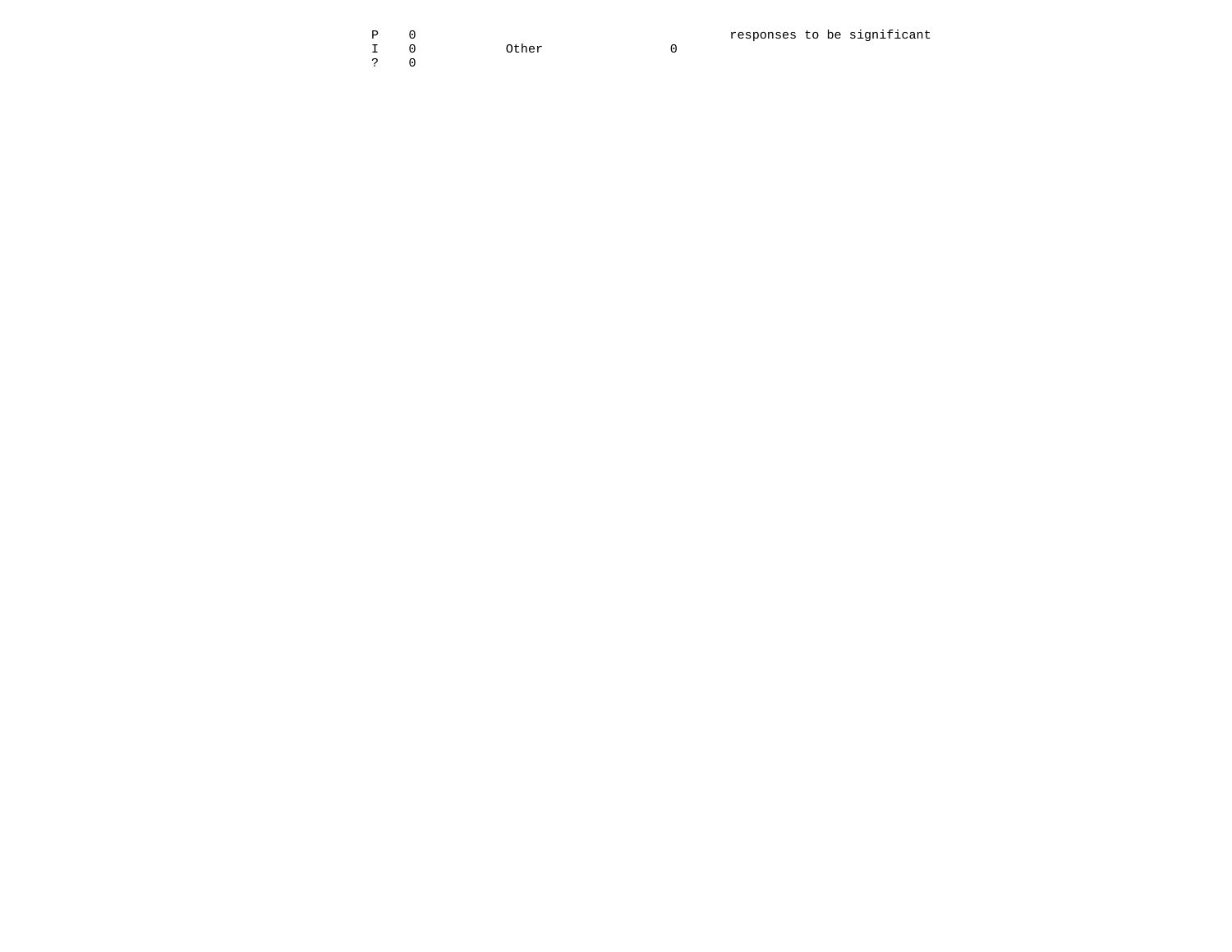| D |                               |  | responses to be significant |
|---|-------------------------------|--|-----------------------------|
|   | Other<br>$\sim$ $\sim$ $\sim$ |  |                             |
|   |                               |  |                             |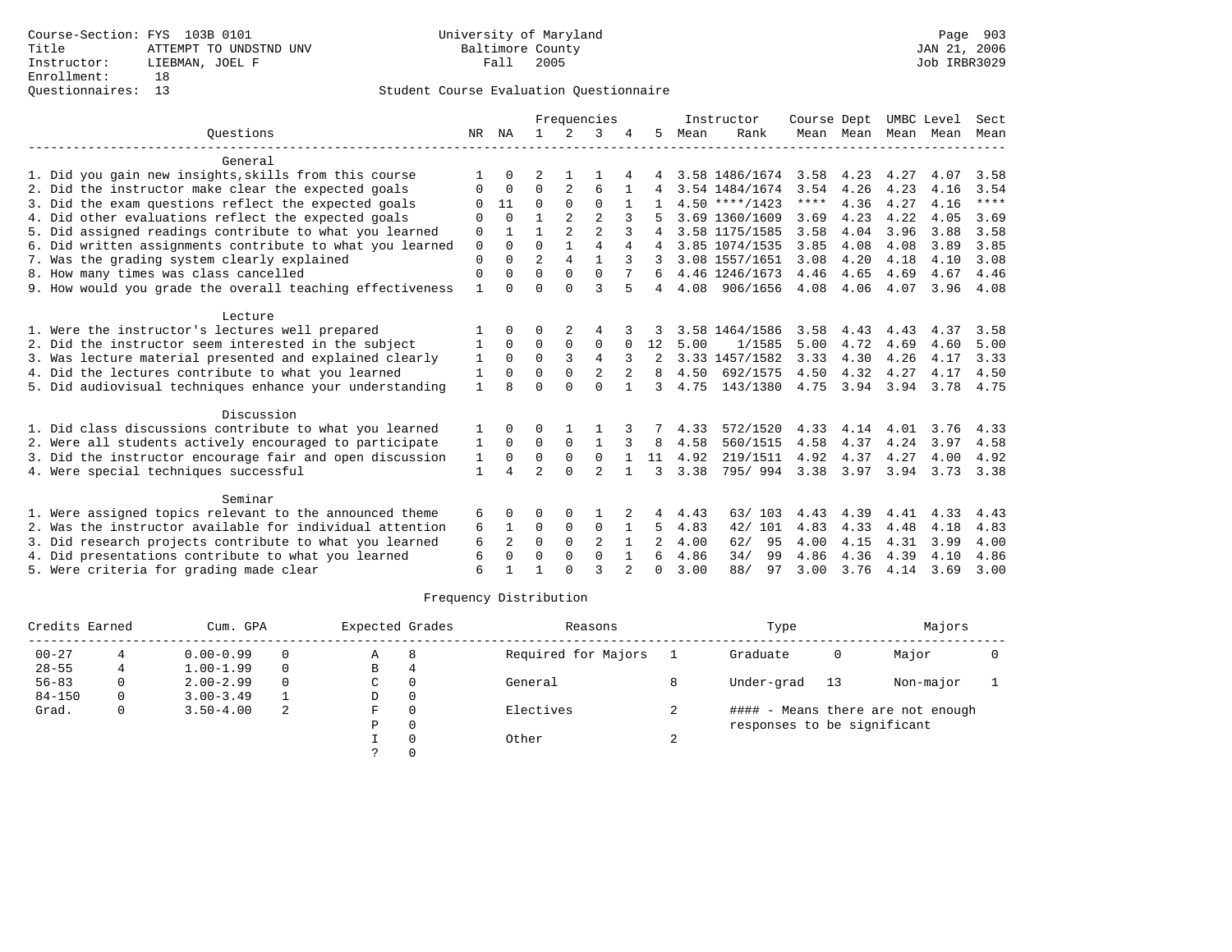|             |                        |                |                |                |                     |              |      |           | Course Dept                                                                                                                                                                                                             |                                                                           |                      |                           | Sect                               |
|-------------|------------------------|----------------|----------------|----------------|---------------------|--------------|------|-----------|-------------------------------------------------------------------------------------------------------------------------------------------------------------------------------------------------------------------------|---------------------------------------------------------------------------|----------------------|---------------------------|------------------------------------|
| NR          | NA                     | $\mathbf{1}$   | $2^{1}$        | 3              |                     | 5.           | Mean | Rank      |                                                                                                                                                                                                                         |                                                                           |                      | Mean                      | Mean                               |
|             |                        |                |                |                |                     |              |      |           |                                                                                                                                                                                                                         |                                                                           |                      |                           |                                    |
|             |                        |                |                |                |                     |              |      |           | 3.58                                                                                                                                                                                                                    | 4.23                                                                      | 4.27                 | 4.07                      | 3.58                               |
| $\Omega$    | $\Omega$               | $\Omega$       | $\overline{2}$ | 6              |                     |              |      |           | 3.54                                                                                                                                                                                                                    | 4.26                                                                      | 4.23                 | 4.16                      | 3.54                               |
| ∩           | 11                     | $\Omega$       | $\Omega$       | $\Omega$       |                     |              |      |           | $***$ * * *                                                                                                                                                                                                             | 4.36                                                                      | 4.27                 | 4.16                      | $***$                              |
| $\Omega$    | $\Omega$               |                | $\overline{2}$ | $\mathfrak{D}$ |                     |              |      |           | 3.69                                                                                                                                                                                                                    | 4.23                                                                      | 4.22                 | 4.05                      | 3.69                               |
| $\mathbf 0$ |                        |                | $\overline{a}$ | $\overline{a}$ | 3                   |              |      |           | 3.58                                                                                                                                                                                                                    | 4.04                                                                      | 3.96                 | 3.88                      | 3.58                               |
| $\Omega$    | $\Omega$               | $\Omega$       |                |                | 4                   | 4            |      |           | 3.85                                                                                                                                                                                                                    | 4.08                                                                      | 4.08                 | 3.89                      | 3.85                               |
| $\Omega$    | $\Omega$               |                | 4              |                | 3                   |              |      |           | 3.08                                                                                                                                                                                                                    | 4.20                                                                      | 4.18                 | 4.10                      | 3.08                               |
| $\Omega$    | $\Omega$               | $\Omega$       | $\Omega$       | $\Omega$       |                     |              |      |           |                                                                                                                                                                                                                         | 4.65                                                                      | 4.69                 | 4.67                      | 4.46                               |
|             | $\cap$                 | $\Omega$       |                |                |                     | 4            |      |           |                                                                                                                                                                                                                         |                                                                           |                      |                           | 4.08                               |
|             |                        |                |                |                |                     |              |      |           |                                                                                                                                                                                                                         |                                                                           |                      |                           |                                    |
|             |                        | O              | 2              |                |                     |              |      |           | 3.58                                                                                                                                                                                                                    | 4.43                                                                      | 4.43                 | 4.37                      | 3.58                               |
|             | $\Omega$               | 0              | $\Omega$       | 0              | 0                   | 12           | 5.00 | 1/1585    | 5.00                                                                                                                                                                                                                    | 4.72                                                                      | 4.69                 | 4.60                      | 5.00                               |
| 1           | $\Omega$               | $\Omega$       | 3              | $\overline{4}$ | 3                   |              |      |           | 3.33                                                                                                                                                                                                                    | 4.30                                                                      | 4.26                 | 4.17                      | 3.33                               |
| 1           | $\Omega$               | $\Omega$       | $\Omega$       | 2              | $\overline{2}$      | 8            | 4.50 | 692/1575  | 4.50                                                                                                                                                                                                                    | 4.32                                                                      | 4.27                 | 4.17                      | 4.50                               |
| 1           | $\mathsf{R}$           | $\Omega$       | $\cap$         | $\Omega$       |                     | 3            | 4.75 |           | 4.75                                                                                                                                                                                                                    |                                                                           | 3.94                 | 3.78                      | 4.75                               |
|             |                        |                |                |                |                     |              |      |           |                                                                                                                                                                                                                         |                                                                           |                      |                           |                                    |
|             |                        | $\Omega$       |                |                |                     |              | 4.33 |           | 4.33                                                                                                                                                                                                                    | 4.14                                                                      | 4.01                 | 3.76                      | 4.33                               |
| 1           | $\Omega$               | $\Omega$       | $\Omega$       |                |                     | 8            | 4.58 | 560/1515  | 4.58                                                                                                                                                                                                                    | 4.37                                                                      | 4.24                 | 3.97                      | 4.58                               |
| 1           | $\Omega$               | $\Omega$       | $\Omega$       | $\Omega$       |                     | 11           | 4.92 | 219/1511  | 4.92                                                                                                                                                                                                                    | 4.37                                                                      | 4.27                 | 4.00                      | 4.92                               |
| 1           | 4                      | $\overline{a}$ | $\Omega$       | $\mathfrak{D}$ |                     | २            | 3.38 |           | 3.38                                                                                                                                                                                                                    | 3.97                                                                      | 3.94                 | 3.73                      | 3.38                               |
|             |                        |                |                |                |                     |              |      |           |                                                                                                                                                                                                                         |                                                                           |                      |                           |                                    |
|             |                        | O              | $\Omega$       |                |                     | 4            |      |           |                                                                                                                                                                                                                         |                                                                           |                      |                           | 4.43                               |
|             |                        | 0              |                | 0              |                     | 5            | 4.83 |           | 4.83                                                                                                                                                                                                                    | 4.33                                                                      | 4.48                 | 4.18                      | 4.83                               |
| 6           | $\overline{2}$         | $\Omega$       | $\Omega$       | $\overline{2}$ |                     | 2            | 4.00 | 95<br>62/ | 4.00                                                                                                                                                                                                                    | 4.15                                                                      | 4.31                 | 3.99                      | 4.00                               |
| 6           | $\Omega$               | $\Omega$       | $\Omega$       | $\Omega$       |                     | 6            | 4.86 | 34/<br>99 | 4.86                                                                                                                                                                                                                    | 4.36                                                                      | 4.39                 | 4.10                      | 4.86                               |
|             |                        |                |                | ঽ              | $\mathfrak{D}$      | <sup>0</sup> | 3.00 | 88/<br>97 | 3.00                                                                                                                                                                                                                    | 3.76                                                                      | 4.14                 | 3.69                      | 3.00                               |
|             | $\mathbf{1}$<br>6<br>6 |                | $\overline{a}$ | $\cap$<br>0    | $\overline{4}$<br>ζ | Frequencies  |      | 4.43      | Instructor<br>3.54 1484/1674<br>$4.50$ ****/1423<br>3.69 1360/1609<br>3.58 1175/1585<br>3.85 1074/1535<br>3.08 1557/1651<br>4.46 1246/1673<br>4.08<br>906/1656<br>3.58 1464/1586<br>3.33 1457/1582<br>63/103<br>42/ 101 | 3.58 1486/1674<br>4.46<br>4.08<br>143/1380<br>572/1520<br>795/994<br>4.43 | 4.06<br>3.94<br>4.39 | Mean Mean<br>4.07<br>4.41 | UMBC Level<br>Mean<br>3.96<br>4.33 |

| Credits Earned |   | Cum. GPA      |   |   | Expected Grades | Reasons             |   | Type                        | Majors |                                   |  |
|----------------|---|---------------|---|---|-----------------|---------------------|---|-----------------------------|--------|-----------------------------------|--|
| $00 - 27$      |   | $0.00 - 0.99$ |   | Α | 8               | Required for Majors |   | Graduate                    | 0      | Major                             |  |
| $28 - 55$      | 4 | $1.00 - 1.99$ |   | B | 4               |                     |   |                             |        |                                   |  |
| $56 - 83$      |   | $2.00 - 2.99$ |   | C | 0               | General             |   | Under-grad                  | 13     | Non-major                         |  |
| $84 - 150$     |   | $3.00 - 3.49$ |   | D | 0               |                     |   |                             |        |                                   |  |
| Grad.          | 0 | $3.50 - 4.00$ | 2 | F | $\Omega$        | Electives           | ∠ |                             |        | #### - Means there are not enough |  |
|                |   |               |   | Ρ | 0               |                     |   | responses to be significant |        |                                   |  |
|                |   |               |   |   | $\Omega$        | Other               | A |                             |        |                                   |  |
|                |   |               |   |   |                 |                     |   |                             |        |                                   |  |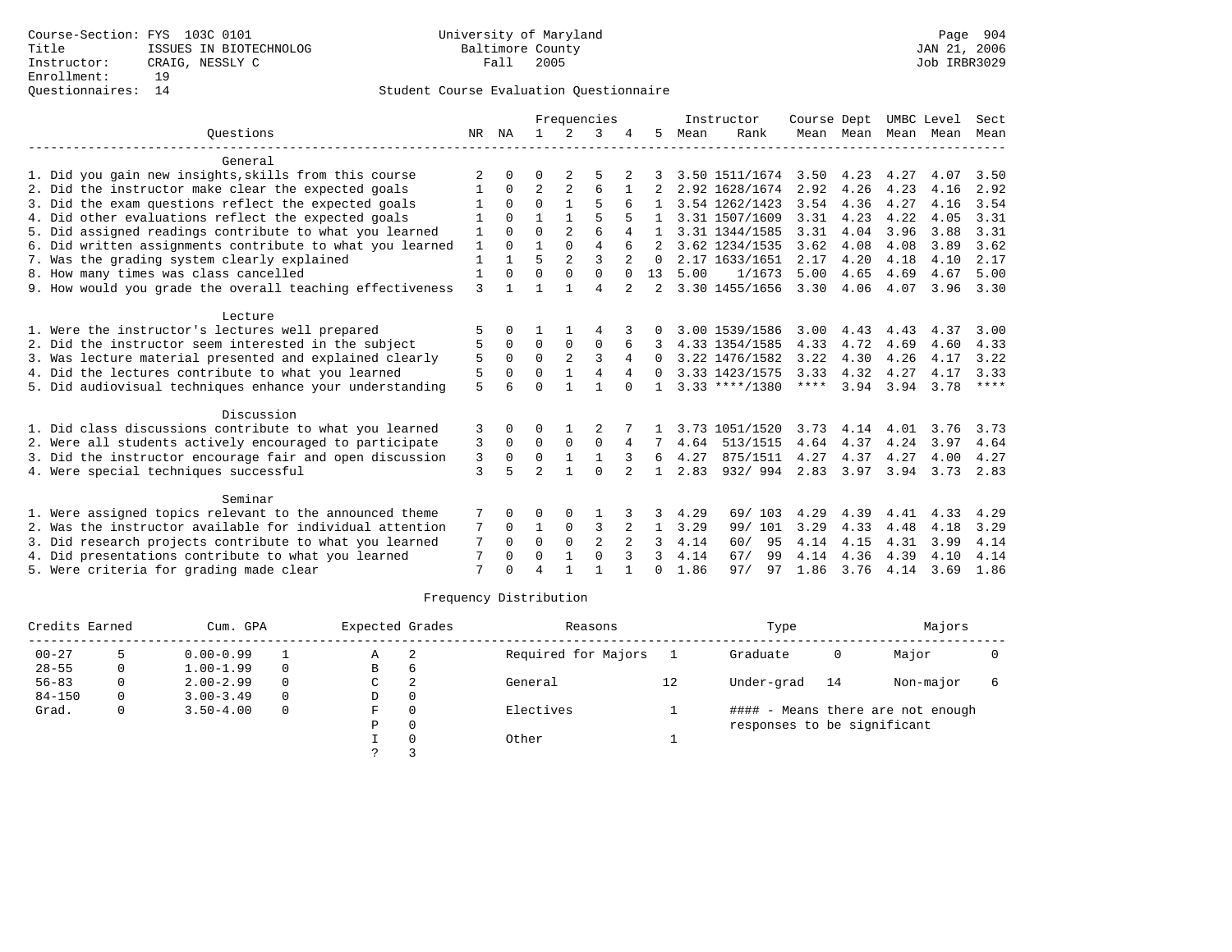|                                                           | Frequencies  |          |                |                | Instructor     | Course Dept |              |      | UMBC Level       | Sect        |           |                     |      |      |
|-----------------------------------------------------------|--------------|----------|----------------|----------------|----------------|-------------|--------------|------|------------------|-------------|-----------|---------------------|------|------|
| Ouestions                                                 |              | NR NA    | $\mathbf{1}$   | 2              | 3              |             | 5.           | Mean | Rank             |             |           | Mean Mean Mean Mean |      | Mean |
| General                                                   |              |          |                |                |                |             |              |      |                  |             |           |                     |      |      |
| 1. Did you gain new insights, skills from this course     | 2            | 0        | O              | 2              | 5              | 2           |              |      | 3.50 1511/1674   | 3.50        | 4.23      | 4.27                | 4.07 | 3.50 |
| 2. Did the instructor make clear the expected goals       |              | $\Omega$ | $\overline{2}$ | $\overline{a}$ | 6              |             |              |      | 2.92 1628/1674   | 2.92        | 4.26      | 4.23                | 4.16 | 2.92 |
| 3. Did the exam questions reflect the expected goals      |              | $\Omega$ | $\Omega$       |                | 5              |             |              |      | 3.54 1262/1423   | 3.54        | 4.36      | 4.27                | 4.16 | 3.54 |
| 4. Did other evaluations reflect the expected goals       |              | $\Omega$ | $\mathbf{1}$   | $\mathbf{1}$   | 5              |             |              |      | 3.31 1507/1609   | 3.31        | 4.23      | 4.22                | 4.05 | 3.31 |
| 5. Did assigned readings contribute to what you learned   | 1            | 0        | $\Omega$       | $\overline{a}$ | 6              | 4           |              |      | 3.31 1344/1585   | 3.31        | 4.04      | 3.96                | 3.88 | 3.31 |
| 6. Did written assignments contribute to what you learned | 1            | $\cap$   | 1              | $\Omega$       | $\overline{4}$ |             |              |      | 3.62 1234/1535   | 3.62        | 4.08      | 4.08                | 3.89 | 3.62 |
| 7. Was the grading system clearly explained               | $\mathbf{1}$ |          | 5              | $\overline{a}$ | 3              |             | $\Omega$     |      | 2.17 1633/1651   | 2.17        | 4.20      | 4.18                | 4.10 | 2.17 |
| 8. How many times was class cancelled                     | 1            | $\Omega$ | $\Omega$       | 0              | $\Omega$       | $\Omega$    | 13           | 5.00 | 1/1673           | 5.00        | 4.65      | 4.69                | 4.67 | 5.00 |
| 9. How would you grade the overall teaching effectiveness | 3            |          |                |                | $\overline{4}$ | 2           |              |      | 3.30 1455/1656   | 3.30        | 4.06      | 4.07                | 3.96 | 3.30 |
| Lecture                                                   |              |          |                |                |                |             |              |      |                  |             |           |                     |      |      |
| 1. Were the instructor's lectures well prepared           | 5            |          |                |                |                |             |              |      | 3.00 1539/1586   | 3.00        | 4.43      | 4.43                | 4.37 | 3.00 |
| 2. Did the instructor seem interested in the subject      | 5            | 0        | $\Omega$       | 0              | $\mathbf 0$    | 6           |              |      | 4.33 1354/1585   | 4.33        | 4.72      | 4.69                | 4.60 | 4.33 |
| 3. Was lecture material presented and explained clearly   | 5            | $\Omega$ | $\Omega$       | $\overline{a}$ | 3              |             | $\Omega$     |      | 3.22 1476/1582   | 3.22        | 4.30      | 4.26                | 4.17 | 3.22 |
| 4. Did the lectures contribute to what you learned        | 5            | 0        | $\Omega$       |                | $\overline{4}$ | 4           | 0            |      | 3.33 1423/1575   | 3.33        | 4.32      | 4.27                | 4.17 | 3.33 |
| 5. Did audiovisual techniques enhance your understanding  | 5            |          | $\Omega$       |                |                | $\cap$      |              |      | $3.33$ ****/1380 | $***$ * * * | 3.94      | 3.94                | 3.78 | **** |
| Discussion                                                |              |          |                |                |                |             |              |      |                  |             |           |                     |      |      |
| 1. Did class discussions contribute to what you learned   | 3            |          | 0              |                |                |             |              |      | 3.73 1051/1520   | 3.73        | 4.14      | 4.01                | 3.76 | 3.73 |
| 2. Were all students actively encouraged to participate   | 3            | $\Omega$ | $\Omega$       | $\Omega$       | $\Omega$       | 4           | 7            | 4.64 | 513/1515         | 4.64        | 4.37      | 4.24                | 3.97 | 4.64 |
| 3. Did the instructor encourage fair and open discussion  | 3            | 0        | $\mathbf 0$    | $\mathbf{1}$   | $\mathbf{1}$   |             | 6            | 4.27 | 875/1511         | 4.27        | 4.37      | 4.27                | 4.00 | 4.27 |
| 4. Were special techniques successful                     | 3            | 5        | $\overline{a}$ |                | $\Omega$       | 2           | $\mathbf{1}$ | 2.83 | 932/994          |             | 2.83 3.97 | 3.94                | 3.73 | 2.83 |
| Seminar                                                   |              |          |                |                |                |             |              |      |                  |             |           |                     |      |      |
| 1. Were assigned topics relevant to the announced theme   | 7            | O        | 0              | 0              |                |             | 3            | 4.29 | 69/ 103          | 4.29        | 4.39      | 4.41                | 4.33 | 4.29 |
| 2. Was the instructor available for individual attention  | 7            | $\Omega$ | 1              | $\mathbf 0$    | 3              | 2           | $\mathbf{1}$ | 3.29 | 99/ 101          | 3.29        | 4.33      | 4.48                | 4.18 | 3.29 |
| 3. Did research projects contribute to what you learned   |              | $\Omega$ | $\Omega$       | $\Omega$       | $\overline{2}$ |             | 3            | 4.14 | 60/<br>95        | 4.14        | 4.15      | 4.31                | 3.99 | 4.14 |
| 4. Did presentations contribute to what you learned       | 7            | $\Omega$ | $\Omega$       | 1              | $\Omega$       | 3           | 3            | 4.14 | 67/<br>99        | 4.14        | 4.36      | 4.39                | 4.10 | 4.14 |
| 5. Were criteria for grading made clear                   | 7            |          | $\overline{4}$ |                |                |             | 0            | 1.86 | 97/<br>97        | 1.86        | 3.76      | 4.14                | 3.69 | 1.86 |

| Credits Earned |   | Cum. GPA      | Expected Grades |   | Reasons |                     | Type | Majors                      |    |                                   |  |
|----------------|---|---------------|-----------------|---|---------|---------------------|------|-----------------------------|----|-----------------------------------|--|
| $00 - 27$      |   | $0.00 - 0.99$ |                 | Α | 2       | Required for Majors |      | Graduate                    | 0  | Major                             |  |
| $28 - 55$      | 0 | $1.00 - 1.99$ | $\Omega$        | В | 6       |                     |      |                             |    |                                   |  |
| $56 - 83$      |   | $2.00 - 2.99$ | $\Omega$        | C | 2       | General             | 12   | Under-grad                  | 14 | Non-major                         |  |
| $84 - 150$     | 0 | $3.00 - 3.49$ | $\Omega$        | D |         |                     |      |                             |    |                                   |  |
| Grad.          | 0 | $3.50 - 4.00$ | 0               | F |         | Electives           |      |                             |    | #### - Means there are not enough |  |
|                |   |               |                 | P |         |                     |      | responses to be significant |    |                                   |  |
|                |   |               |                 |   |         | Other               |      |                             |    |                                   |  |
|                |   |               |                 |   |         |                     |      |                             |    |                                   |  |